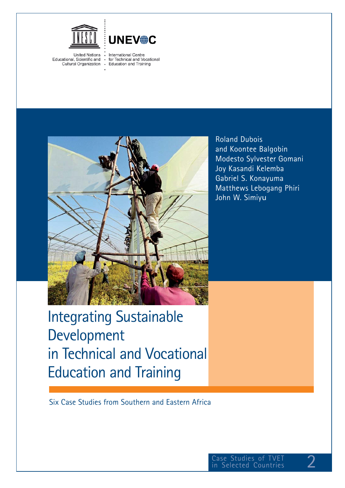



**United Nations** Educational, Scientific and Cultural Organization **International Centre** for Technical and Vocational Education and Training



Roland Dubois and Koontee Balgobin Modesto Sylvester Gomani Joy Kasandi Kelemba Gabriel S. Konayuma Matthews Lebogang Phiri John W. Simiyu

# Integrating Sustainable Development in Technical and Vocational Education and Training

Six Case Studies from Southern and Eastern Africa

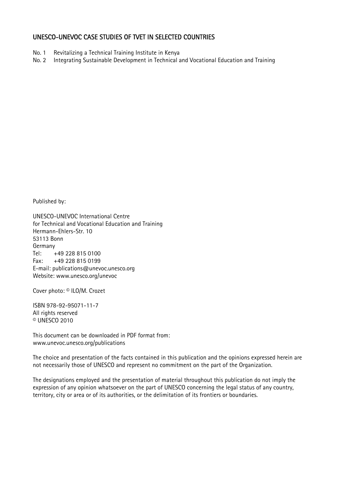#### UNESCO-UNEVOC CASE STUDIES OF TVET IN SELECTED COUNTRIES

- No. 1 Revitalizing a Technical Training Institute in Kenya
- No. 2 Integrating Sustainable Development in Technical and Vocational Education and Training

Published by:

UNESCO-UNEVOC International Centre for Technical and Vocational Education and Training Hermann-Ehlers-Str. 10 53113 Bonn Germany Tel: +49 228 815 0100 Fax: +49 228 815 0199 E-mail: publications@unevoc.unesco.org Website: www.unesco.org/unevoc

Cover photo: © ILO/M. Crozet

ISBN 978-92-95071-11-7 All rights reserved © UNESCO 2010

This document can be downloaded in PDF format from: www.unevoc.unesco.org/publications

The choice and presentation of the facts contained in this publication and the opinions expressed herein are not necessarily those of UNESCO and represent no commitment on the part of the Organization.

The designations employed and the presentation of material throughout this publication do not imply the expression of any opinion whatsoever on the part of UNESCO concerning the legal status of any country, territory, city or area or of its authorities, or the delimitation of its frontiers or boundaries.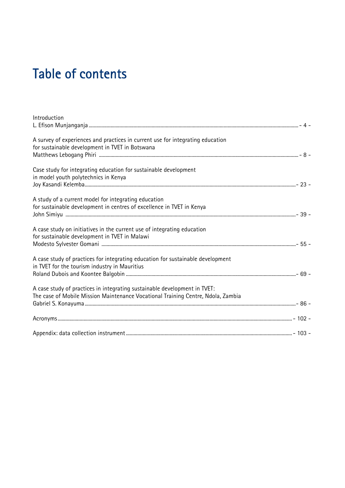# Table of contents

| A survey of experiences and practices in current use for integrating education   |  |
|----------------------------------------------------------------------------------|--|
| for sustainable development in TVET in Botswana                                  |  |
|                                                                                  |  |
| Case study for integrating education for sustainable development                 |  |
| in model youth polytechnics in Kenya                                             |  |
|                                                                                  |  |
| A study of a current model for integrating education                             |  |
| for sustainable development in centres of excellence in TVET in Kenya            |  |
|                                                                                  |  |
| A case study on initiatives in the current use of integrating education          |  |
| for sustainable development in TVET in Malawi                                    |  |
|                                                                                  |  |
| A case study of practices for integrating education for sustainable development  |  |
| in TVET for the tourism industry in Mauritius                                    |  |
|                                                                                  |  |
| A case study of practices in integrating sustainable development in TVET:        |  |
| The case of Mobile Mission Maintenance Vocational Training Centre, Ndola, Zambia |  |
|                                                                                  |  |
|                                                                                  |  |
|                                                                                  |  |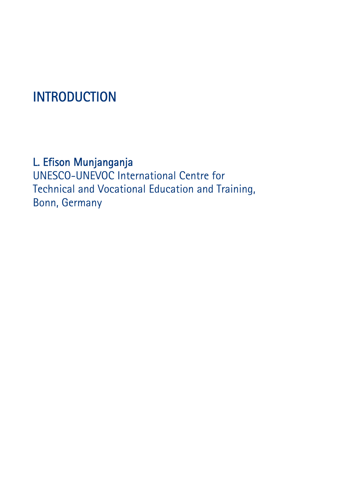# INTRODUCTION

### L. Efison Munjanganja

UNESCO-UNEVOC International Centre for Technical and Vocational Education and Training, Bonn, Germany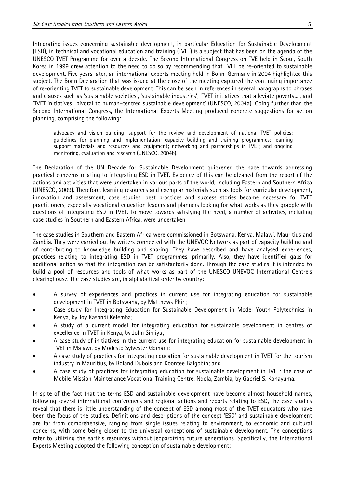Integrating issues concerning sustainable development, in particular Education for Sustainable Development (ESD), in technical and vocational education and training (TVET) is a subject that has been on the agenda of the UNESCO TVET Programme for over a decade. The Second International Congress on TVE held in Seoul, South Korea in 1999 drew attention to the need to do so by recommending that TVET be re-oriented to sustainable development. Five years later, an international experts meeting held in Bonn, Germany in 2004 highlighted this subject. The Bonn Declaration that was issued at the close of the meeting captured the continuing importance of re-orienting TVET to sustainable development. This can be seen in references in several paragraphs to phrases and clauses such as 'sustainable societies', 'sustainable industries', 'TVET initiatives that alleviate poverty...', and 'TVET initiatives…pivotal to human-centred sustainable development' (UNESCO, 2004a). Going further than the Second International Congress, the International Experts Meeting produced concrete suggestions for action planning, comprising the following:

advocacy and vision building; support for the review and development of national TVET policies; guidelines for planning and implementation; capacity building and training programmes; learning support materials and resources and equipment; networking and partnerships in TVET; and ongoing monitoring, evaluation and research (UNESCO, 2004b).

The Declaration of the UN Decade for Sustainable Development quickened the pace towards addressing practical concerns relating to integrating ESD in TVET. Evidence of this can be gleaned from the report of the actions and activities that were undertaken in various parts of the world, including Eastern and Southern Africa (UNESCO, 2009). Therefore, learning resources and exemplar materials such as tools for curricular development, innovation and assessment, case studies, best practices and success stories became necessary for TVET practitioners, especially vocational education leaders and planners looking for what works as they grapple with questions of integrating ESD in TVET. To move towards satisfying the need, a number of activities, including case studies in Southern and Eastern Africa, were undertaken.

The case studies in Southern and Eastern Africa were commissioned in Botswana, Kenya, Malawi, Mauritius and Zambia. They were carried out by writers connected with the UNEVOC Network as part of capacity building and of contributing to knowledge building and sharing. They have described and have analysed experiences, practices relating to integrating ESD in TVET programmes, primarily. Also, they have identified gaps for additional action so that the integration can be satisfactorily done. Through the case studies it is intended to build a pool of resources and tools of what works as part of the UNESCO-UNEVOC International Centre's clearinghouse. The case studies are, in alphabetical order by country:

- A survey of experiences and practices in current use for integrating education for sustainable development in TVET in Botswana, by Matthews Phiri;
- Case study for Integrating Education for Sustainable Development in Model Youth Polytechnics in Kenya, by Joy Kasandi Kelemba;
- A study of a current model for integrating education for sustainable development in centres of excellence in TVET in Kenya, by John Simiyu;
- A case study of initiatives in the current use for integrating education for sustainable development in TVET in Malawi, by Modesto Sylvester Gomani;
- A case study of practices for integrating education for sustainable development in TVET for the tourism industry in Mauritius, by Roland Dubois and Koontee Balgobin; and
- A case study of practices for integrating education for sustainable development in TVET: the case of Mobile Mission Maintenance Vocational Training Centre, Ndola, Zambia, by Gabriel S. Konayuma.

In spite of the fact that the terms ESD and sustainable development have become almost household names, following several international conferences and regional actions and reports relating to ESD, the case studies reveal that there is little understanding of the concept of ESD among most of the TVET educators who have been the focus of the studies. Definitions and descriptions of the concept 'ESD' and sustainable development are far from comprehensive, ranging from single issues relating to environment, to economic and cultural concerns, with some being closer to the universal conceptions of sustainable development. The conceptions refer to utilizing the earth's resources without jeopardizing future generations. Specifically, the International Experts Meeting adopted the following conception of sustainable development: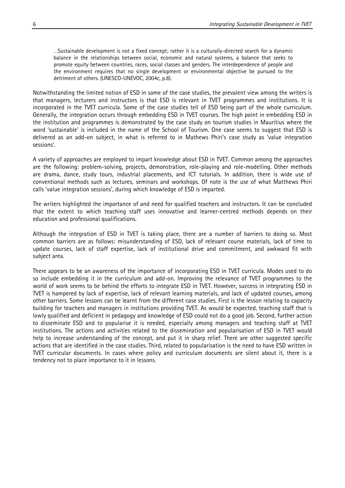…Sustainable development is not a fixed concept; rather it is a culturally-directed search for a dynamic balance in the relationships between social, economic and natural systems, a balance that seeks to promote equity between countries, races, social classes and genders. The interdependence of people and the environment requires that no single development or environmental objective be pursued to the detriment of others. (UNESCO-UNEVOC, 2004c, p.8).

Notwithstanding the limited notion of ESD in some of the case studies, the prevalent view among the writers is that managers, lecturers and instructors is that ESD is relevant in TVET programmes and institutions. It is incorporated in the TVET curricula. Some of the case studies tell of ESD being part of the whole curriculum. Generally, the integration occurs through embedding ESD in TVET courses. The high point in embedding ESD in the institution and programmes is demonstrated by the case study on tourism studies in Mauritius where the word 'sustainable' is included in the name of the School of Tourism. One case seems to suggest that ESD is delivered as an add-on subject, in what is referred to in Mathews Phiri's case study as 'value integration sessions'.

A variety of approaches are employed to impart knowledge about ESD in TVET. Common among the approaches are the following: problem-solving, projects, demonstration, role-playing and role-modelling. Other methods are drama, dance, study tours, industrial placements, and ICT tutorials. In addition, there is wide use of conventional methods such as lectures, seminars and workshops. Of note is the use of what Matthews Phiri calls 'value integration sessions', during which knowledge of ESD is imparted.

The writers highlighted the importance of and need for qualified teachers and instructors. It can be concluded that the extent to which teaching staff uses innovative and learner-centred methods depends on their education and professional qualifications.

Although the integration of ESD in TVET is taking place, there are a number of barriers to doing so. Most common barriers are as follows: misunderstanding of ESD, lack of relevant course materials, lack of time to update courses, lack of staff expertise, lack of institutional drive and commitment, and awkward fit with subject area.

There appears to be an awareness of the importance of incorporating ESD in TVET curricula. Modes used to do so include embedding it in the curriculum and add-on. Improving the relevance of TVET programmes to the world of work seems to be behind the efforts to integrate ESD in TVET. However, success in integrating ESD in TVET is hampered by lack of expertise, lack of relevant learning materials, and lack of updated courses, among other barriers. Some lessons can be learnt from the different case studies. First is the lesson relating to capacity building for teachers and managers in institutions providing TVET. As would be expected, teaching staff that is lowly qualified and deficient in pedagogy and knowledge of ESD could not do a good job. Second, further action to disseminate ESD and to popularise it is needed, especially among managers and teaching staff at TVET institutions. The actions and activities related to the dissemination and popularisation of ESD in TVET would help to increase understanding of the concept, and put it in sharp relief. There are other suggested specific actions that are identified in the case studies. Third, related to popularisation is the need to have ESD written in TVET curricular documents. In cases where policy and curriculum documents are silent about it, there is a tendency not to place importance to it in lessons.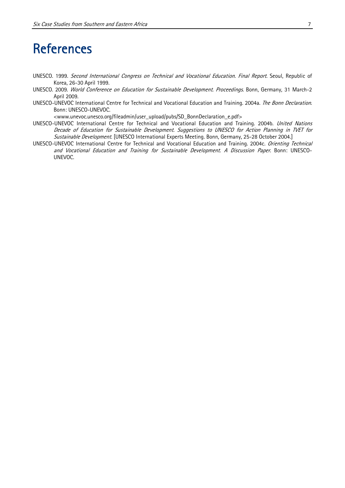### **References**

- UNESCO. 1999. Second International Congress on Technical and Vocational Education. Final Report. Seoul, Republic of Korea, 26-30 April 1999.
- UNESCO. 2009. World Conference on Education for Sustainable Development. Proceedings. Bonn, Germany, 31 March-2 April 2009.
- UNESCO-UNEVOC International Centre for Technical and Vocational Education and Training. 2004a. The Bonn Declaration. Bonn: UNESCO-UNEVOC.

<www.unevoc.unesco.org/fileadmin/user\_upload/pubs/SD\_BonnDeclaration\_e.pdf>

- UNESCO-UNEVOC International Centre for Technical and Vocational Education and Training. 2004b. United Nations Decade of Education for Sustainable Development. Suggestions to UNESCO for Action Planning in TVET for Sustainable Development. [UNESCO International Experts Meeting. Bonn, Germany, 25-28 October 2004.]
- UNESCO-UNEVOC International Centre for Technical and Vocational Education and Training. 2004c. Orienting Technical and Vocational Education and Training for Sustainable Development. A Discussion Paper. Bonn: UNESCO-UNEVOC.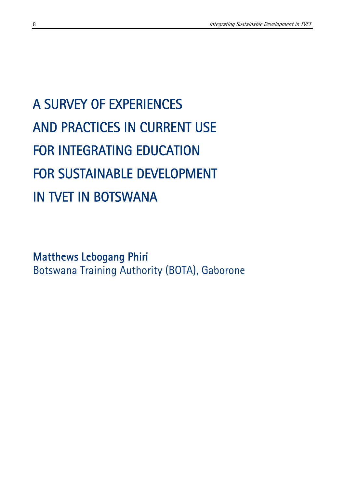# A SURVEY OF EXPERIENCES AND PRACTICES IN CURRENT USE FOR INTEGRATING EDUCATION FOR SUSTAINABLE DEVELOPMENT IN TVET IN BOTSWANA

Matthews Lebogang Phiri Botswana Training Authority (BOTA), Gaborone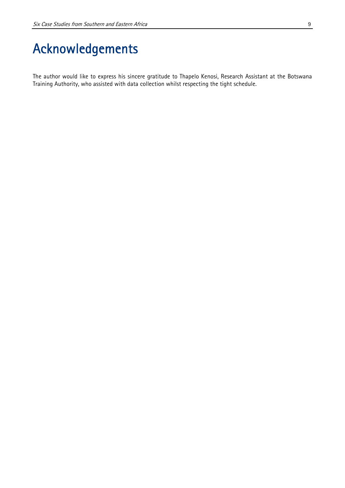The author would like to express his sincere gratitude to Thapelo Kenosi, Research Assistant at the Botswana Training Authority, who assisted with data collection whilst respecting the tight schedule.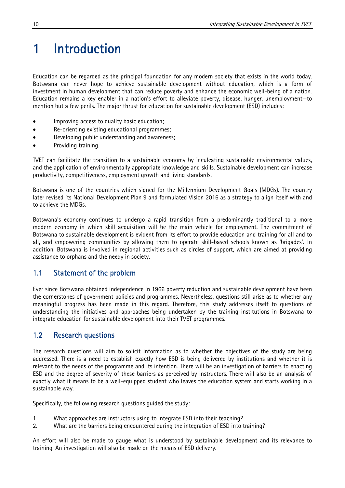# 1 Introduction

Education can be regarded as the principal foundation for any modern society that exists in the world today. Botswana can never hope to achieve sustainable development without education, which is a form of investment in human development that can reduce poverty and enhance the economic well-being of a nation. Education remains a key enabler in a nation's effort to alleviate poverty, disease, hunger, unemployment—to mention but a few perils. The major thrust for education for sustainable development (ESD) includes:

- Improving access to quality basic education;
- Re-orienting existing educational programmes;
- Developing public understanding and awareness;
- Providing training.

TVET can facilitate the transition to a sustainable economy by inculcating sustainable environmental values, and the application of environmentally appropriate knowledge and skills. Sustainable development can increase productivity, competitiveness, employment growth and living standards.

Botswana is one of the countries which signed for the Millennium Development Goals (MDGs). The country later revised its National Development Plan 9 and formulated Vision 2016 as a strategy to align itself with and to achieve the MDGs.

Botswana's economy continues to undergo a rapid transition from a predominantly traditional to a more modern economy in which skill acquisition will be the main vehicle for employment. The commitment of Botswana to sustainable development is evident from its effort to provide education and training for all and to all, and empowering communities by allowing them to operate skill-based schools known as 'brigades'. In addition, Botswana is involved in regional activities such as circles of support, which are aimed at providing assistance to orphans and the needy in society.

#### 1.1 Statement of the problem

Ever since Botswana obtained independence in 1966 poverty reduction and sustainable development have been the cornerstones of government policies and programmes. Nevertheless, questions still arise as to whether any meaningful progress has been made in this regard. Therefore, this study addresses itself to questions of understanding the initiatives and approaches being undertaken by the training institutions in Botswana to integrate education for sustainable development into their TVET programmes.

### 1.2 Research questions

The research questions will aim to solicit information as to whether the objectives of the study are being addressed. There is a need to establish exactly how ESD is being delivered by institutions and whether it is relevant to the needs of the programme and its intention. There will be an investigation of barriers to enacting ESD and the degree of severity of these barriers as perceived by instructors. There will also be an analysis of exactly what it means to be a well-equipped student who leaves the education system and starts working in a sustainable way.

Specifically, the following research questions guided the study:

- 1. What approaches are instructors using to integrate ESD into their teaching?
- 2. What are the barriers being encountered during the integration of ESD into training?

An effort will also be made to gauge what is understood by sustainable development and its relevance to training. An investigation will also be made on the means of ESD delivery.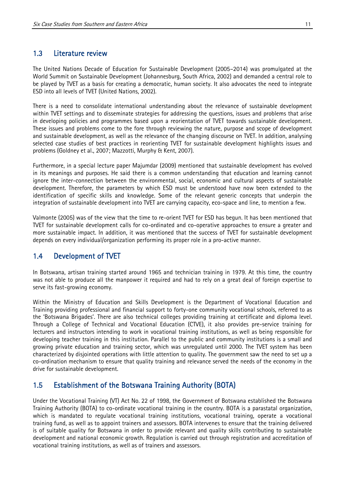#### 1.3 Literature review

The United Nations Decade of Education for Sustainable Development (2005–2014) was promulgated at the World Summit on Sustainable Development (Johannesburg, South Africa, 2002) and demanded a central role to be played by TVET as a basis for creating a democratic, human society. It also advocates the need to integrate ESD into all levels of TVET (United Nations, 2002).

There is a need to consolidate international understanding about the relevance of sustainable development within TVET settings and to disseminate strategies for addressing the questions, issues and problems that arise in developing policies and programmes based upon a reorientation of TVET towards sustainable development. These issues and problems come to the fore through reviewing the nature, purpose and scope of development and sustainable development, as well as the relevance of the changing discourse on TVET. In addition, analysing selected case studies of best practices in reorienting TVET for sustainable development highlights issues and problems (Goldney et al., 2007; Mazzotti, Murphy & Kent, 2007).

Furthermore, in a special lecture paper Majumdar (2009) mentioned that sustainable development has evolved in its meanings and purposes. He said there is a common understanding that education and learning cannot ignore the inter-connection between the environmental, social, economic and cultural aspects of sustainable development. Therefore, the parameters by which ESD must be understood have now been extended to the identification of specific skills and knowledge. Some of the relevant generic concepts that underpin the integration of sustainable development into TVET are carrying capacity, eco-space and line, to mention a few.

Valmonte (2005) was of the view that the time to re-orient TVET for ESD has begun. It has been mentioned that TVET for sustainable development calls for co-ordinated and co-operative approaches to ensure a greater and more sustainable impact. In addition, it was mentioned that the success of TVET for sustainable development depends on every individual/organization performing its proper role in a pro-active manner.

#### 1.4 Development of TVET

In Botswana, artisan training started around 1965 and technician training in 1979. At this time, the country was not able to produce all the manpower it required and had to rely on a great deal of foreign expertise to serve its fast-growing economy.

Within the Ministry of Education and Skills Development is the Department of Vocational Education and Training providing professional and financial support to forty-one community vocational schools, referred to as the 'Botswana Brigades'. There are also technical colleges providing training at certificate and diploma level. Through a College of Technical and Vocational Education (CTVE), it also provides pre-service training for lecturers and instructors intending to work in vocational training institutions, as well as being responsible for developing teacher training in this institution. Parallel to the public and community institutions is a small and growing private education and training sector, which was unregulated until 2000. The TVET system has been characterized by disjointed operations with little attention to quality. The government saw the need to set up a co-ordination mechanism to ensure that quality training and relevance served the needs of the economy in the drive for sustainable development.

### 1.5 Establishment of the Botswana Training Authority (BOTA)

Under the Vocational Training (VT) Act No. 22 of 1998, the Government of Botswana established the Botswana Training Authority (BOTA) to co-ordinate vocational training in the country. BOTA is a parastatal organization, which is mandated to regulate vocational training institutions, vocational training, operate a vocational training fund, as well as to appoint trainers and assessors. BOTA intervenes to ensure that the training delivered is of suitable quality for Botswana in order to provide relevant and quality skills contributing to sustainable development and national economic growth. Regulation is carried out through registration and accreditation of vocational training institutions, as well as of trainers and assessors.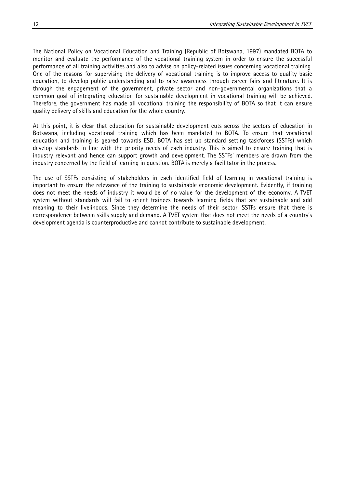The National Policy on Vocational Education and Training (Republic of Botswana, 1997) mandated BOTA to monitor and evaluate the performance of the vocational training system in order to ensure the successful performance of all training activities and also to advise on policy-related issues concerning vocational training. One of the reasons for supervising the delivery of vocational training is to improve access to quality basic education, to develop public understanding and to raise awareness through career fairs and literature. It is through the engagement of the government, private sector and non-governmental organizations that a common goal of integrating education for sustainable development in vocational training will be achieved. Therefore, the government has made all vocational training the responsibility of BOTA so that it can ensure quality delivery of skills and education for the whole country.

At this point, it is clear that education for sustainable development cuts across the sectors of education in Botswana, including vocational training which has been mandated to BOTA. To ensure that vocational education and training is geared towards ESD, BOTA has set up standard setting taskforces (SSTFs) which develop standards in line with the priority needs of each industry. This is aimed to ensure training that is industry relevant and hence can support growth and development. The SSTFs' members are drawn from the industry concerned by the field of learning in question. BOTA is merely a facilitator in the process.

The use of SSTFs consisting of stakeholders in each identified field of learning in vocational training is important to ensure the relevance of the training to sustainable economic development. Evidently, if training does not meet the needs of industry it would be of no value for the development of the economy. A TVET system without standards will fail to orient trainees towards learning fields that are sustainable and add meaning to their livelihoods. Since they determine the needs of their sector, SSTFs ensure that there is correspondence between skills supply and demand. A TVET system that does not meet the needs of a country's development agenda is counterproductive and cannot contribute to sustainable development.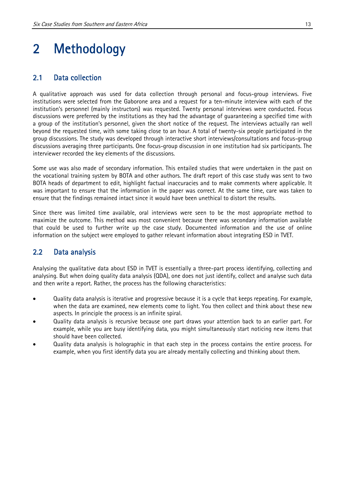# 2 Methodology

#### 2.1 Data collection

A qualitative approach was used for data collection through personal and focus-group interviews. Five institutions were selected from the Gaborone area and a request for a ten-minute interview with each of the institution's personnel (mainly instructors) was requested. Twenty personal interviews were conducted. Focus discussions were preferred by the institutions as they had the advantage of guaranteeing a specified time with a group of the institution's personnel, given the short notice of the request. The interviews actually ran well beyond the requested time, with some taking close to an hour. A total of twenty-six people participated in the group discussions. The study was developed through interactive short interviews/consultations and focus-group discussions averaging three participants. One focus-group discussion in one institution had six participants. The interviewer recorded the key elements of the discussions.

Some use was also made of secondary information. This entailed studies that were undertaken in the past on the vocational training system by BOTA and other authors. The draft report of this case study was sent to two BOTA heads of department to edit, highlight factual inaccuracies and to make comments where applicable. It was important to ensure that the information in the paper was correct. At the same time, care was taken to ensure that the findings remained intact since it would have been unethical to distort the results.

Since there was limited time available, oral interviews were seen to be the most appropriate method to maximize the outcome. This method was most convenient because there was secondary information available that could be used to further write up the case study. Documented information and the use of online information on the subject were employed to gather relevant information about integrating ESD in TVET.

### 2.2 Data analysis

Analysing the qualitative data about ESD in TVET is essentially a three-part process identifying, collecting and analysing. But when doing quality data analysis (QDA), one does not just identify, collect and analyse such data and then write a report. Rather, the process has the following characteristics:

- Quality data analysis is iterative and progressive because it is a cycle that keeps repeating. For example, when the data are examined, new elements come to light. You then collect and think about these new aspects. In principle the process is an infinite spiral.
- Quality data analysis is recursive because one part draws your attention back to an earlier part. For example, while you are busy identifying data, you might simultaneously start noticing new items that should have been collected.
- Quality data analysis is holographic in that each step in the process contains the entire process. For example, when you first identify data you are already mentally collecting and thinking about them.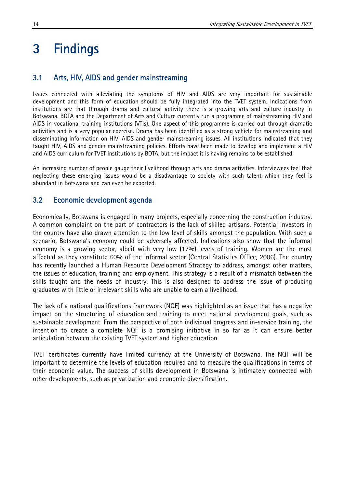### 3 Findings

### 3.1 Arts, HIV, AIDS and gender mainstreaming

Issues connected with alleviating the symptoms of HIV and AIDS are very important for sustainable development and this form of education should be fully integrated into the TVET system. Indications from institutions are that through drama and cultural activity there is a growing arts and culture industry in Botswana. BOTA and the Department of Arts and Culture currently run a programme of mainstreaming HIV and AIDS in vocational training institutions (VTIs). One aspect of this programme is carried out through dramatic activities and is a very popular exercise. Drama has been identified as a strong vehicle for mainstreaming and disseminating information on HIV, AIDS and gender mainstreaming issues. All institutions indicated that they taught HIV, AIDS and gender mainstreaming policies. Efforts have been made to develop and implement a HIV and AIDS curriculum for TVET institutions by BOTA, but the impact it is having remains to be established.

An increasing number of people gauge their livelihood through arts and drama activities. Interviewees feel that neglecting these emerging issues would be a disadvantage to society with such talent which they feel is abundant in Botswana and can even be exported.

### 3.2 Economic development agenda

Economically, Botswana is engaged in many projects, especially concerning the construction industry. A common complaint on the part of contractors is the lack of skilled artisans. Potential investors in the country have also drawn attention to the low level of skills amongst the population. With such a scenario, Botswana's economy could be adversely affected. Indications also show that the informal economy is a growing sector, albeit with very low (17%) levels of training. Women are the most affected as they constitute 60% of the informal sector (Central Statistics Office, 2006). The country has recently launched a Human Resource Development Strategy to address, amongst other matters, the issues of education, training and employment. This strategy is a result of a mismatch between the skills taught and the needs of industry. This is also designed to address the issue of producing graduates with little or irrelevant skills who are unable to earn a livelihood.

The lack of a national qualifications framework (NQF) was highlighted as an issue that has a negative impact on the structuring of education and training to meet national development goals, such as sustainable development. From the perspective of both individual progress and in-service training, the intention to create a complete NQF is a promising initiative in so far as it can ensure better articulation between the existing TVET system and higher education.

TVET certificates currently have limited currency at the University of Botswana. The NQF will be important to determine the levels of education required and to measure the qualifications in terms of their economic value. The success of skills development in Botswana is intimately connected with other developments, such as privatization and economic diversification.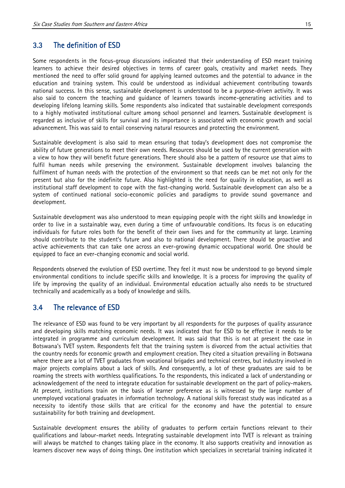#### 3.3 The definition of ESD

Some respondents in the focus-group discussions indicated that their understanding of ESD meant training learners to achieve their desired objectives in terms of career goals, creativity and market needs. They mentioned the need to offer solid ground for applying learned outcomes and the potential to advance in the education and training system. This could be understood as individual achievement contributing towards national success. In this sense, sustainable development is understood to be a purpose-driven activity. It was also said to concern the teaching and guidance of learners towards income-generating activities and to developing lifelong learning skills. Some respondents also indicated that sustainable development corresponds to a highly motivated institutional culture among school personnel and learners. Sustainable development is regarded as inclusive of skills for survival and its importance is associated with economic growth and social advancement. This was said to entail conserving natural resources and protecting the environment.

Sustainable development is also said to mean ensuring that today's development does not compromise the ability of future generations to meet their own needs. Resources should be used by the current generation with a view to how they will benefit future generations. There should also be a pattern of resource use that aims to fulfil human needs while preserving the environment. Sustainable development involves balancing the fulfilment of human needs with the protection of the environment so that needs can be met not only for the present but also for the indefinite future. Also highlighted is the need for quality in education, as well as institutional staff development to cope with the fast-changing world. Sustainable development can also be a system of continued national socio-economic policies and paradigms to provide sound governance and development.

Sustainable development was also understood to mean equipping people with the right skills and knowledge in order to live in a sustainable way, even during a time of unfavourable conditions. Its focus is on educating individuals for future roles both for the benefit of their own lives and for the community at large. Learning should contribute to the student's future and also to national development. There should be proactive and active achievements that can take one across an ever-growing dynamic occupational world. One should be equipped to face an ever-changing economic and social world.

Respondents observed the evolution of ESD overtime. They feel it must now be understood to go beyond simple environmental conditions to include specific skills and knowledge. It is a process for improving the quality of life by improving the quality of an individual. Environmental education actually also needs to be structured technically and academically as a body of knowledge and skills.

#### 3.4 The relevance of ESD

The relevance of ESD was found to be very important by all respondents for the purposes of quality assurance and developing skills matching economic needs. It was indicated that for ESD to be effective it needs to be integrated in programme and curriculum development. It was said that this is not at present the case in Botswana's TVET system. Respondents felt that the training system is divorced from the actual activities that the country needs for economic growth and employment creation. They cited a situation prevailing in Botswana where there are a lot of TVET graduates from vocational brigades and technical centres, but industry involved in major projects complains about a lack of skills. And consequently, a lot of these graduates are said to be roaming the streets with worthless qualifications. To the respondents, this indicated a lack of understanding or acknowledgement of the need to integrate education for sustainable development on the part of policy-makers. At present, institutions train on the basis of learner preference as is witnessed by the large number of unemployed vocational graduates in information technology. A national skills forecast study was indicated as a necessity to identify those skills that are critical for the economy and have the potential to ensure sustainability for both training and development.

Sustainable development ensures the ability of graduates to perform certain functions relevant to their qualifications and labour-market needs. Integrating sustainable development into TVET is relevant as training will always be matched to changes taking place in the economy. It also supports creativity and innovation as learners discover new ways of doing things. One institution which specializes in secretarial training indicated it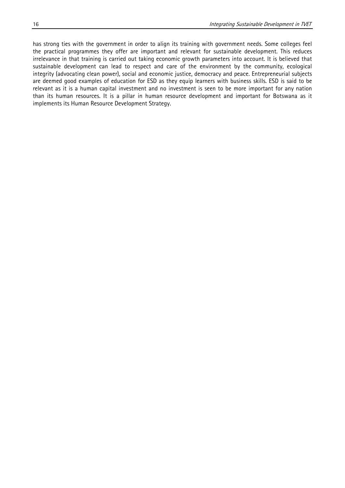has strong ties with the government in order to align its training with government needs. Some colleges feel the practical programmes they offer are important and relevant for sustainable development. This reduces irrelevance in that training is carried out taking economic growth parameters into account. It is believed that sustainable development can lead to respect and care of the environment by the community, ecological integrity (advocating clean power), social and economic justice, democracy and peace. Entrepreneurial subjects are deemed good examples of education for ESD as they equip learners with business skills. ESD is said to be relevant as it is a human capital investment and no investment is seen to be more important for any nation than its human resources. It is a pillar in human resource development and important for Botswana as it implements its Human Resource Development Strategy.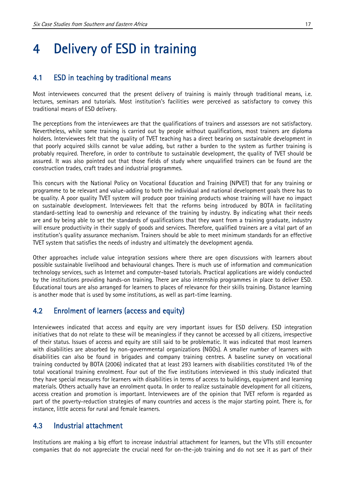## 4 Delivery of ESD in training

#### 4.1 ESD in teaching by traditional means

Most interviewees concurred that the present delivery of training is mainly through traditional means, i.e. lectures, seminars and tutorials. Most institution's facilities were perceived as satisfactory to convey this traditional means of ESD delivery.

The perceptions from the interviewees are that the qualifications of trainers and assessors are not satisfactory. Nevertheless, while some training is carried out by people without qualifications, most trainers are diploma holders. Interviewees felt that the quality of TVET teaching has a direct bearing on sustainable development in that poorly acquired skills cannot be value adding, but rather a burden to the system as further training is probably required. Therefore, in order to contribute to sustainable development, the quality of TVET should be assured. It was also pointed out that those fields of study where unqualified trainers can be found are the construction trades, craft trades and industrial programmes.

This concurs with the National Policy on Vocational Education and Training (NPVET) that for any training or programme to be relevant and value-adding to both the individual and national development goals there has to be quality. A poor quality TVET system will produce poor training products whose training will have no impact on sustainable development. Interviewees felt that the reforms being introduced by BOTA in facilitating standard-setting lead to ownership and relevance of the training by industry. By indicating what their needs are and by being able to set the standards of qualifications that they want from a training graduate, industry will ensure productivity in their supply of goods and services. Therefore, qualified trainers are a vital part of an institution's quality assurance mechanism. Trainers should be able to meet minimum standards for an effective TVET system that satisfies the needs of industry and ultimately the development agenda.

Other approaches include value integration sessions where there are open discussions with learners about possible sustainable livelihood and behavioural changes. There is much use of information and communication technology services, such as Internet and computer-based tutorials. Practical applications are widely conducted by the institutions providing hands-on training. There are also internship programmes in place to deliver ESD. Educational tours are also arranged for learners to places of relevance for their skills training. Distance learning is another mode that is used by some institutions, as well as part-time learning.

### 4.2 Enrolment of learners (access and equity)

Interviewees indicated that access and equity are very important issues for ESD delivery. ESD integration initiatives that do not relate to these will be meaningless if they cannot be accessed by all citizens, irrespective of their status. Issues of access and equity are still said to be problematic. It was indicated that most learners with disabilities are absorbed by non-governmental organizations (NGOs). A smaller number of learners with disabilities can also be found in brigades and company training centres. A baseline survey on vocational training conducted by BOTA (2006) indicated that at least 293 learners with disabilities constituted 1% of the total vocational training enrolment. Four out of the five institutions interviewed in this study indicated that they have special measures for learners with disabilities in terms of access to buildings, equipment and learning materials. Others actually have an enrolment quota. In order to realize sustainable development for all citizens, access creation and promotion is important. Interviewees are of the opinion that TVET reform is regarded as part of the poverty-reduction strategies of many countries and access is the major starting point. There is, for instance, little access for rural and female learners.

#### 4.3 Industrial attachment

Institutions are making a big effort to increase industrial attachment for learners, but the VTIs still encounter companies that do not appreciate the crucial need for on-the-job training and do not see it as part of their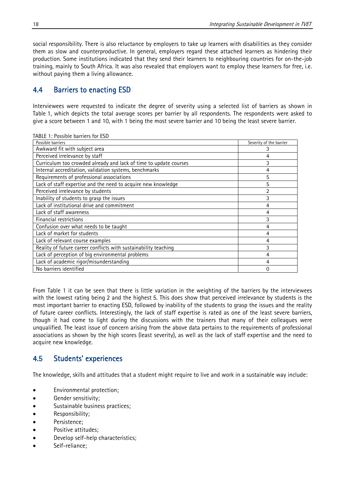social responsibility. There is also reluctance by employers to take up learners with disabilities as they consider them as slow and counterproductive. In general, employers regard these attached learners as hindering their production. Some institutions indicated that they send their learners to neighbouring countries for on-the-job training, mainly to South Africa. It was also revealed that employers want to employ these learners for free, i.e. without paying them a living allowance.

### 4.4 Barriers to enacting ESD

Interviewees were requested to indicate the degree of severity using a selected list of barriers as shown in Table 1, which depicts the total average scores per barrier by all respondents. The respondents were asked to give a score between 1 and 10, with 1 being the most severe barrier and 10 being the least severe barrier.

| Possible barriers                                                 | Severity of the barrier |
|-------------------------------------------------------------------|-------------------------|
| Awkward fit with subject area                                     | 3                       |
| Perceived irrelevance by staff                                    | 4                       |
| Curriculum too crowded already and lack of time to update courses | 3                       |
| Internal accreditation, validation systems, benchmarks            | 4                       |
| Requirements of professional associations                         | 5                       |
| Lack of staff expertise and the need to acquire new knowledge     | 5                       |
| Perceived irrelevance by students                                 | 2                       |
| Inability of students to grasp the issues                         | 3                       |
| Lack of institutional drive and commitment                        | 4                       |
| Lack of staff awareness                                           | 4                       |
| Financial restrictions                                            | 3                       |
| Confusion over what needs to be taught                            | 4                       |
| Lack of market for students                                       | 4                       |
| Lack of relevant course examples                                  | 4                       |
| Reality of future career conflicts with sustainability teaching   | 3                       |
| Lack of perception of big environmental problems                  | 4                       |
| Lack of academic rigor/misunderstanding                           | 4                       |
| No barriers identified                                            | 0                       |

From Table 1 it can be seen that there is little variation in the weighting of the barriers by the interviewees with the lowest rating being 2 and the highest 5. This does show that perceived irrelevance by students is the most important barrier to enacting ESD, followed by inability of the students to grasp the issues and the reality of future career conflicts. Interestingly, the lack of staff expertise is rated as one of the least severe barriers, though it had come to light during the discussions with the trainers that many of their colleagues were unqualified. The least issue of concern arising from the above data pertains to the requirements of professional associations as shown by the high scores (least severity), as well as the lack of staff expertise and the need to acquire new knowledge.

#### 4.5 Students' experiences

The knowledge, skills and attitudes that a student might require to live and work in a sustainable way include:

- Environmental protection;
- Gender sensitivity;
- Sustainable business practices;
- Responsibility;
- Persistence;
- Positive attitudes;
- Develop self-help characteristics;
- Self-reliance;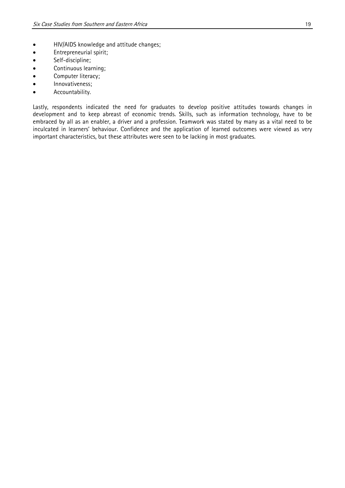- HIV/AIDS knowledge and attitude changes;
- **•** Entrepreneurial spirit;
- Self-discipline;
- Continuous learning;
- Computer literacy;
- Innovativeness;
- Accountability.

Lastly, respondents indicated the need for graduates to develop positive attitudes towards changes in development and to keep abreast of economic trends. Skills, such as information technology, have to be embraced by all as an enabler, a driver and a profession. Teamwork was stated by many as a vital need to be inculcated in learners' behaviour. Confidence and the application of learned outcomes were viewed as very important characteristics, but these attributes were seen to be lacking in most graduates.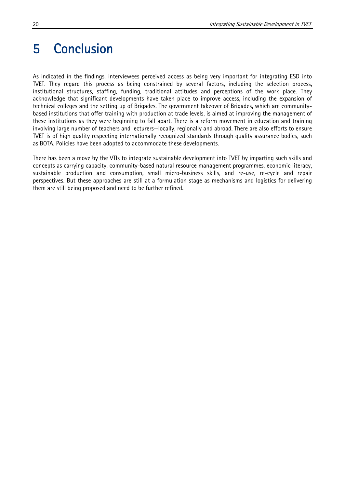### 5 Conclusion

As indicated in the findings, interviewees perceived access as being very important for integrating ESD into TVET. They regard this process as being constrained by several factors, including the selection process, institutional structures, staffing, funding, traditional attitudes and perceptions of the work place. They acknowledge that significant developments have taken place to improve access, including the expansion of technical colleges and the setting up of Brigades. The government takeover of Brigades, which are communitybased institutions that offer training with production at trade levels, is aimed at improving the management of these institutions as they were beginning to fall apart. There is a reform movement in education and training involving large number of teachers and lecturers—locally, regionally and abroad. There are also efforts to ensure TVET is of high quality respecting internationally recognized standards through quality assurance bodies, such as BOTA. Policies have been adopted to accommodate these developments.

There has been a move by the VTIs to integrate sustainable development into TVET by imparting such skills and concepts as carrying capacity, community-based natural resource management programmes, economic literacy, sustainable production and consumption, small micro-business skills, and re-use, re-cycle and repair perspectives. But these approaches are still at a formulation stage as mechanisms and logistics for delivering them are still being proposed and need to be further refined.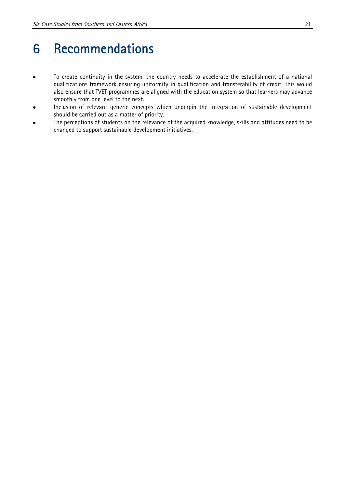### 6 Recommendations

- To create continuity in the system, the country needs to accelerate the establishment of a national qualifications framework ensuring uniformity in qualification and transferability of credit. This would also ensure that TVET programmes are aligned with the education system so that learners may advance smoothly from one level to the next.
- Inclusion of relevant generic concepts which underpin the integration of sustainable development should be carried out as a matter of priority.
- The perceptions of students on the relevance of the acquired knowledge, skills and attitudes need to be changed to support sustainable development initiatives.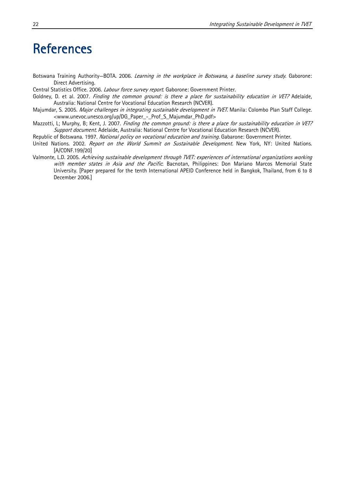### **References**

- Botswana Training Authority–BOTA. 2006. Learning in the workplace in Botswana, a baseline survey study. Gaborone: Direct Advertising.
- Central Statistics Office. 2006. Labour force survey report. Gaborone: Government Printer.
- Goldney, D. et al. 2007. Finding the common ground: is there a place for sustainability education in VET? Adelaide, Australia: National Centre for Vocational Education Research (NCVER).
- Majumdar, S. 2005. Major challenges in integrating sustainable development in TVET. Manila: Colombo Plan Staff College. <www.unevoc.unesco.org/up/DG\_Paper\_-\_Prof\_S\_Majumdar\_PhD.pdf>
- Mazzotti, L; Murphy, B; Kent, J. 2007. Finding the common ground: is there a place for sustainability education in VET? Support document. Adelaide, Australia: National Centre for Vocational Education Research (NCVER).
- Republic of Botswana. 1997. National policy on vocational education and training. Gabarone: Government Printer.
- United Nations. 2002. Report on the World Summit on Sustainable Development. New York, NY: United Nations. [A/CONF.199/20]
- Valmonte, L.D. 2005. Achieving sustainable development through TVET: experiences of international organizations working with member states in Asia and the Pacific. Bacnotan, Philippines: Don Mariano Marcos Memorial State University. [Paper prepared for the tenth International APEID Conference held in Bangkok, Thailand, from 6 to 8 December 2006.]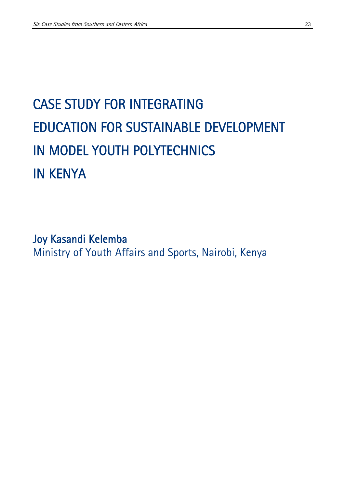# CASE STUDY FOR INTEGRATING EDUCATION FOR SUSTAINABLE DEVELOPMENT IN MODEL YOUTH POLYTECHNICS IN KENYA

Joy Kasandi Kelemba Ministry of Youth Affairs and Sports, Nairobi, Kenya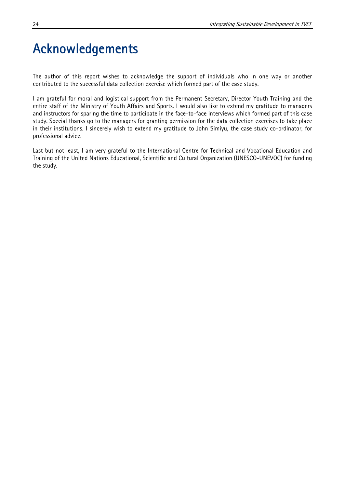### Acknowledgements

The author of this report wishes to acknowledge the support of individuals who in one way or another contributed to the successful data collection exercise which formed part of the case study.

I am grateful for moral and logistical support from the Permanent Secretary, Director Youth Training and the entire staff of the Ministry of Youth Affairs and Sports. I would also like to extend my gratitude to managers and instructors for sparing the time to participate in the face-to-face interviews which formed part of this case study. Special thanks go to the managers for granting permission for the data collection exercises to take place in their institutions. I sincerely wish to extend my gratitude to John Simiyu, the case study co-ordinator, for professional advice.

Last but not least, I am very grateful to the International Centre for Technical and Vocational Education and Training of the United Nations Educational, Scientific and Cultural Organization (UNESCO-UNEVOC) for funding the study.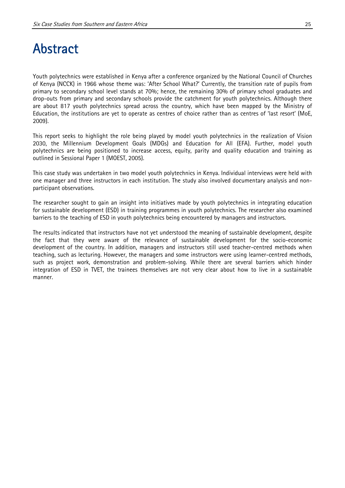### Abstract

Youth polytechnics were established in Kenya after a conference organized by the National Council of Churches of Kenya (NCCK) in 1966 whose theme was: 'After School What?' Currently, the transition rate of pupils from primary to secondary school level stands at 70%; hence, the remaining 30% of primary school graduates and drop-outs from primary and secondary schools provide the catchment for youth polytechnics. Although there are about 817 youth polytechnics spread across the country, which have been mapped by the Ministry of Education, the institutions are yet to operate as centres of choice rather than as centres of 'last resort' (MoE, 2009).

This report seeks to highlight the role being played by model youth polytechnics in the realization of Vision 2030, the Millennium Development Goals (MDGs) and Education for All (EFA). Further, model youth polytechnics are being positioned to increase access, equity, parity and quality education and training as outlined in Sessional Paper 1 (MOEST, 2005).

This case study was undertaken in two model youth polytechnics in Kenya. Individual interviews were held with one manager and three instructors in each institution. The study also involved documentary analysis and nonparticipant observations.

The researcher sought to gain an insight into initiatives made by youth polytechnics in integrating education for sustainable development (ESD) in training programmes in youth polytechnics. The researcher also examined barriers to the teaching of ESD in youth polytechnics being encountered by managers and instructors.

The results indicated that instructors have not yet understood the meaning of sustainable development, despite the fact that they were aware of the relevance of sustainable development for the socio-economic development of the country. In addition, managers and instructors still used teacher-centred methods when teaching, such as lecturing. However, the managers and some instructors were using learner-centred methods, such as project work, demonstration and problem-solving. While there are several barriers which hinder integration of ESD in TVET, the trainees themselves are not very clear about how to live in a sustainable manner.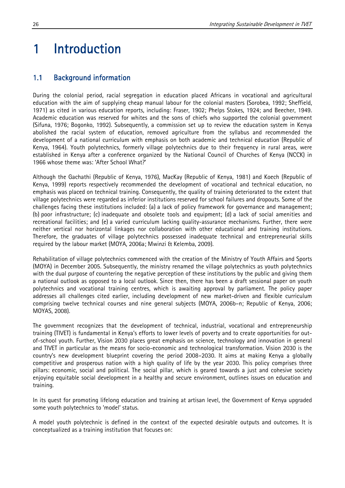### 1 Introduction

### 1.1 Background information

During the colonial period, racial segregation in education placed Africans in vocational and agricultural education with the aim of supplying cheap manual labour for the colonial masters (Sorobea, 1992; Sheffield, 1971) as cited in various education reports, including: Fraser, 1902; Phelps Stokes, 1924; and Beecher, 1949. Academic education was reserved for whites and the sons of chiefs who supported the colonial government (Sifuna, 1976; Bogonko, 1992). Subsequently, a commission set up to review the education system in Kenya abolished the racial system of education, removed agriculture from the syllabus and recommended the development of a national curriculum with emphasis on both academic and technical education (Republic of Kenya, 1964). Youth polytechnics, formerly village polytechnics due to their frequency in rural areas, were established in Kenya after a conference organized by the National Council of Churches of Kenya (NCCK) in 1966 whose theme was: 'After School What?'

Although the Gachathi (Republic of Kenya, 1976), MacKay (Republic of Kenya, 1981) and Koech (Republic of Kenya, 1999) reports respectively recommended the development of vocational and technical education, no emphasis was placed on technical training. Consequently, the quality of training deteriorated to the extent that village polytechnics were regarded as inferior institutions reserved for school failures and dropouts. Some of the challenges facing these institutions included: (a) a lack of policy framework for governance and management; (b) poor infrastructure; (c) inadequate and obsolete tools and equipment; (d) a lack of social amenities and recreational facilities; and (e) a varied curriculum lacking quality-assurance mechanisms. Further, there were neither vertical nor horizontal linkages nor collaboration with other educational and training institutions. Therefore, the graduates of village polytechnics possessed inadequate technical and entrepreneurial skills required by the labour market (MOYA, 2006a; Mwinzi & Kelemba, 2009).

Rehabilitation of village polytechnics commenced with the creation of the Ministry of Youth Affairs and Sports (MOYA) in December 2005. Subsequently, the ministry renamed the village polytechnics as youth polytechnics with the dual purpose of countering the negative perception of these institutions by the public and giving them a national outlook as opposed to a local outlook. Since then, there has been a draft sessional paper on youth polytechnics and vocational training centres, which is awaiting approval by parliament. The policy paper addresses all challenges cited earlier, including development of new market-driven and flexible curriculum comprising twelve technical courses and nine general subjects (MOYA, 2006b–n; Republic of Kenya, 2006; MOYAS, 2008).

The government recognizes that the development of technical, industrial, vocational and entrepreneurship training (TIVET) is fundamental in Kenya's efforts to lower levels of poverty and to create opportunities for outof-school youth. Further, Vision 2030 places great emphasis on science, technology and innovation in general and TIVET in particular as the means for socio-economic and technological transformation. Vision 2030 is the country's new development blueprint covering the period 2008–2030. It aims at making Kenya a globally competitive and prosperous nation with a high quality of life by the year 2030. This policy comprises three pillars: economic, social and political. The social pillar, which is geared towards a just and cohesive society enjoying equitable social development in a healthy and secure environment, outlines issues on education and training.

In its quest for promoting lifelong education and training at artisan level, the Government of Kenya upgraded some youth polytechnics to 'model' status.

A model youth polytechnic is defined in the context of the expected desirable outputs and outcomes. It is conceptualized as a training institution that focuses on: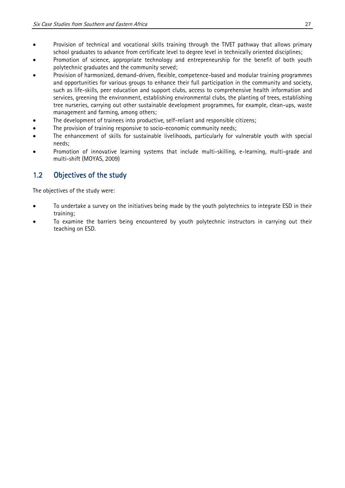- Provision of technical and vocational skills training through the TIVET pathway that allows primary school graduates to advance from certificate level to degree level in technically oriented disciplines;
- Promotion of science, appropriate technology and entrepreneurship for the benefit of both youth polytechnic graduates and the community served;
- Provision of harmonized, demand-driven, flexible, competence-based and modular training programmes and opportunities for various groups to enhance their full participation in the community and society, such as life-skills, peer education and support clubs, access to comprehensive health information and services, greening the environment, establishing environmental clubs, the planting of trees, establishing tree nurseries, carrying out other sustainable development programmes, for example, clean-ups, waste management and farming, among others;
- The development of trainees into productive, self-reliant and responsible citizens;
- The provision of training responsive to socio-economic community needs;
- The enhancement of skills for sustainable livelihoods, particularly for vulnerable youth with special needs;
- Promotion of innovative learning systems that include multi-skilling, e-learning, multi-grade and multi-shift (MOYAS, 2009)

### 1.2 Objectives of the study

The objectives of the study were:

- To undertake a survey on the initiatives being made by the youth polytechnics to integrate ESD in their training;
- To examine the barriers being encountered by youth polytechnic instructors in carrying out their teaching on ESD.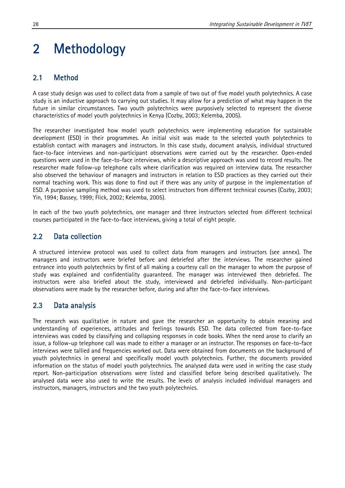## 2 Methodology

### 2.1 Method

A case study design was used to collect data from a sample of two out of five model youth polytechnics. A case study is an inductive approach to carrying out studies. It may allow for a prediction of what may happen in the future in similar circumstances. Two youth polytechnics were purposively selected to represent the diverse characteristics of model youth polytechnics in Kenya (Cozby, 2003; Kelemba, 2005).

The researcher investigated how model youth polytechnics were implementing education for sustainable development (ESD) in their programmes. An initial visit was made to the selected youth polytechnics to establish contact with managers and instructors. In this case study, document analysis, individual structured face-to-face interviews and non-participant observations were carried out by the researcher. Open-ended questions were used in the face-to-face interviews, while a descriptive approach was used to record results. The researcher made follow-up telephone calls where clarification was required on interview data. The researcher also observed the behaviour of managers and instructors in relation to ESD practices as they carried out their normal teaching work. This was done to find out if there was any unity of purpose in the implementation of ESD. A purposive sampling method was used to select instructors from different technical courses (Cozby, 2003; Yin, 1994; Bassey, 1999; Flick, 2002; Kelemba, 2005).

In each of the two youth polytechnics, one manager and three instructors selected from different technical courses participated in the face-to-face interviews, giving a total of eight people.

#### 2.2 Data collection

A structured interview protocol was used to collect data from managers and instructors (see annex). The managers and instructors were briefed before and debriefed after the interviews. The researcher gained entrance into youth polytechnics by first of all making a courtesy call on the manager to whom the purpose of study was explained and confidentiality guaranteed. The manager was interviewed then debriefed. The instructors were also briefed about the study, interviewed and debriefed individually. Non-participant observations were made by the researcher before, during and after the face-to-face interviews.

#### 2.3 Data analysis

The research was qualitative in nature and gave the researcher an opportunity to obtain meaning and understanding of experiences, attitudes and feelings towards ESD. The data collected from face-to-face interviews was coded by classifying and collapsing responses in code books. When the need arose to clarify an issue, a follow-up telephone call was made to either a manager or an instructor. The responses on face-to-face interviews were tallied and frequencies worked out. Data were obtained from documents on the background of youth polytechnics in general and specifically model youth polytechnics. Further, the documents provided information on the status of model youth polytechnics. The analysed data were used in writing the case study report. Non-participation observations were listed and classified before being described qualitatively. The analysed data were also used to write the results. The levels of analysis included individual managers and instructors, managers, instructors and the two youth polytechnics.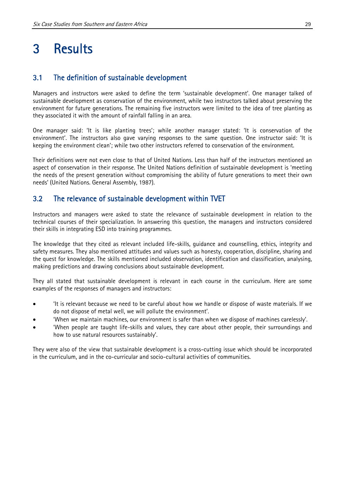### 3 Results

### 3.1 The definition of sustainable development

Managers and instructors were asked to define the term 'sustainable development'. One manager talked of sustainable development as conservation of the environment, while two instructors talked about preserving the environment for future generations. The remaining five instructors were limited to the idea of tree planting as they associated it with the amount of rainfall falling in an area.

One manager said: 'It is like planting trees'; while another manager stated: 'It is conservation of the environment'. The instructors also gave varying responses to the same question. One instructor said: 'It is keeping the environment clean'; while two other instructors referred to conservation of the environment.

Their definitions were not even close to that of United Nations. Less than half of the instructors mentioned an aspect of conservation in their response. The United Nations definition of sustainable development is 'meeting the needs of the present generation without compromising the ability of future generations to meet their own needs' (United Nations. General Assembly, 1987).

#### 3.2 The relevance of sustainable development within TVET

Instructors and managers were asked to state the relevance of sustainable development in relation to the technical courses of their specialization. In answering this question, the managers and instructors considered their skills in integrating ESD into training programmes.

The knowledge that they cited as relevant included life-skills, guidance and counselling, ethics, integrity and safety measures. They also mentioned attitudes and values such as honesty, cooperation, discipline, sharing and the quest for knowledge. The skills mentioned included observation, identification and classification, analysing, making predictions and drawing conclusions about sustainable development.

They all stated that sustainable development is relevant in each course in the curriculum. Here are some examples of the responses of managers and instructors:

- 'It is relevant because we need to be careful about how we handle or dispose of waste materials. If we do not dispose of metal well, we will pollute the environment'.
- 'When we maintain machines, our environment is safer than when we dispose of machines carelessly'.
- 'When people are taught life-skills and values, they care about other people, their surroundings and how to use natural resources sustainably'.

They were also of the view that sustainable development is a cross-cutting issue which should be incorporated in the curriculum, and in the co-curricular and socio-cultural activities of communities.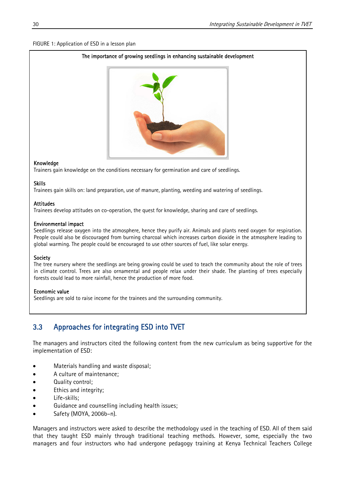#### FIGURE 1: Application of ESD in a lesson plan

#### The importance of growing seedlings in enhancing sustainable development



#### Knowledge

Trainers gain knowledge on the conditions necessary for germination and care of seedlings.

### Skills

Trainees gain skills on: land preparation, use of manure, planting, weeding and watering of seedlings.

#### Attitudes

Trainees develop attitudes on co-operation, the quest for knowledge, sharing and care of seedlings.

### Environmental impact

 Seedlings release oxygen into the atmosphere, hence they purify air. Animals and plants need oxygen for respiration. People could also be discouraged from burning charcoal which increases carbon dioxide in the atmosphere leading to global warming. The people could be encouraged to use other sources of fuel, like solar energy.

### Society

 The tree nursery where the seedlings are being growing could be used to teach the community about the role of trees in climate control. Trees are also ornamental and people relax under their shade. The planting of trees especially forests could lead to more rainfall, hence the production of more food.

#### Economic value

Seedlings are sold to raise income for the trainees and the surrounding community.

### 3.3 Approaches for integrating ESD into TVET

The managers and instructors cited the following content from the new curriculum as being supportive for the implementation of ESD:

- Materials handling and waste disposal;
- A culture of maintenance;
- Quality control;
- Ethics and integrity;
- Life-skills;
- Guidance and counselling including health issues;
- Safety (MOYA, 2006b–n).

Managers and instructors were asked to describe the methodology used in the teaching of ESD. All of them said that they taught ESD mainly through traditional teaching methods. However, some, especially the two managers and four instructors who had undergone pedagogy training at Kenya Technical Teachers College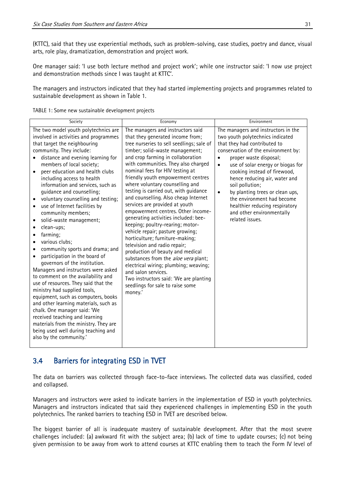(KTTC), said that they use experiential methods, such as problem-solving, case studies, poetry and dance, visual arts, role play, dramatization, demonstration and project work.

One manager said: 'I use both lecture method and project work'; while one instructor said: 'I now use project and demonstration methods since I was taught at KTTC'.

The managers and instructors indicated that they had started implementing projects and programmes related to sustainable development as shown in Table 1.

| TABLE 1: Some new sustainable development projects |
|----------------------------------------------------|
|----------------------------------------------------|

| Society                                                                                                                                                                                                                                                                                                                                                                                                                                                                                                                                                                                                                                                                                                                                                                                                                                                                                                                                                                                                                                                                                       | Economy                                                                                                                                                                                                                                                                                                                                                                                                                                                                                                                                                                                                                                                                                                                                                                                                                                                                                                                        | Environment                                                                                                                                                                                                                                                                                                                                                                                                                                                                    |
|-----------------------------------------------------------------------------------------------------------------------------------------------------------------------------------------------------------------------------------------------------------------------------------------------------------------------------------------------------------------------------------------------------------------------------------------------------------------------------------------------------------------------------------------------------------------------------------------------------------------------------------------------------------------------------------------------------------------------------------------------------------------------------------------------------------------------------------------------------------------------------------------------------------------------------------------------------------------------------------------------------------------------------------------------------------------------------------------------|--------------------------------------------------------------------------------------------------------------------------------------------------------------------------------------------------------------------------------------------------------------------------------------------------------------------------------------------------------------------------------------------------------------------------------------------------------------------------------------------------------------------------------------------------------------------------------------------------------------------------------------------------------------------------------------------------------------------------------------------------------------------------------------------------------------------------------------------------------------------------------------------------------------------------------|--------------------------------------------------------------------------------------------------------------------------------------------------------------------------------------------------------------------------------------------------------------------------------------------------------------------------------------------------------------------------------------------------------------------------------------------------------------------------------|
| The two model youth polytechnics are<br>involved in activities and programmes<br>that target the neighbouring<br>community. They include:<br>distance and evening learning for<br>members of local society;<br>peer education and health clubs<br>$\bullet$<br>including access to health<br>information and services, such as<br>guidance and counselling;<br>voluntary counselling and testing;<br>$\bullet$<br>use of Internet facilities by<br>$\bullet$<br>community members;<br>solid-waste management;<br>$\bullet$<br>clean-ups;<br>farming;<br>various clubs;<br>community sports and drama; and<br>participation in the board of<br>governors of the institution.<br>Managers and instructors were asked<br>to comment on the availability and<br>use of resources. They said that the<br>ministry had supplied tools,<br>equipment, such as computers, books<br>and other learning materials, such as<br>chalk. One manager said: 'We<br>received teaching and learning<br>materials from the ministry. They are<br>being used well during teaching and<br>also by the community.' | The managers and instructors said<br>that they generated income from;<br>tree nurseries to sell seedlings; sale of<br>timber; solid-waste management;<br>and crop farming in collaboration<br>with communities. They also charged<br>nominal fees for HIV testing at<br>friendly youth empowerment centres<br>where voluntary counselling and<br>testing is carried out, with guidance<br>and counselling. Also cheap Internet<br>services are provided at youth<br>empowerment centres. Other income-<br>generating activities included: bee-<br>keeping; poultry-rearing; motor-<br>vehicle repair; pasture growing;<br>horticulture; furniture-making;<br>television and radio repair;<br>production of beauty and medical<br>substances from the aloe vera plant;<br>electrical wiring; plumbing; weaving;<br>and salon services.<br>Two instructors said: 'We are planting<br>seedlings for sale to raise some<br>money.' | The managers and instructors in the<br>two youth polytechnics indicated<br>that they had contributed to<br>conservation of the environment by:<br>proper waste disposal;<br>use of solar energy or biogas for<br>$\bullet$<br>cooking instead of firewood,<br>hence reducing air, water and<br>soil pollution;<br>by planting trees or clean ups,<br>$\bullet$<br>the environment had become<br>healthier reducing respiratory<br>and other environmentally<br>related issues. |

### 3.4 Barriers for integrating ESD in TVET

The data on barriers was collected through face-to-face interviews. The collected data was classified, coded and collapsed.

Managers and instructors were asked to indicate barriers in the implementation of ESD in youth polytechnics. Managers and instructors indicated that said they experienced challenges in implementing ESD in the youth polytechnics. The ranked barriers to teaching ESD in TVET are described below.

The biggest barrier of all is inadequate mastery of sustainable development. After that the most severe challenges included: (a) awkward fit with the subject area; (b) lack of time to update courses; (c) not being given permission to be away from work to attend courses at KTTC enabling them to teach the Form IV level of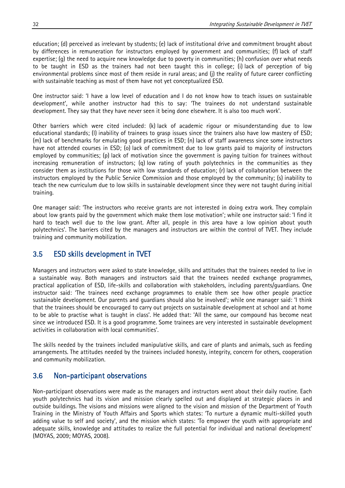education; (d) perceived as irrelevant by students; (e) lack of institutional drive and commitment brought about by differences in remuneration for instructors employed by government and communities; (f) lack of staff expertise; (g) the need to acquire new knowledge due to poverty in communities; (h) confusion over what needs to be taught in ESD as the trainers had not been taught this in college; (i) lack of perception of big environmental problems since most of them reside in rural areas; and (j) the reality of future career conflicting with sustainable teaching as most of them have not yet conceptualized ESD.

One instructor said: 'I have a low level of education and I do not know how to teach issues on sustainable development', while another instructor had this to say: 'The trainees do not understand sustainable development. They say that they have never seen it being done elsewhere. It is also too much work'.

Other barriers which were cited included: (k) lack of academic rigour or misunderstanding due to low educational standards; (l) inability of trainees to grasp issues since the trainers also have low mastery of ESD; (m) lack of benchmarks for emulating good practices in ESD; (n) lack of staff awareness since some instructors have not attended courses in ESD; (o) lack of commitment due to low grants paid to majority of instructors employed by communities; (p) lack of motivation since the government is paying tuition for trainees without increasing remuneration of instructors; (q) low rating of youth polytechnics in the communities as they consider them as institutions for those with low standards of education; (r) lack of collaboration between the instructors employed by the Public Service Commission and those employed by the community; (s) inability to teach the new curriculum due to low skills in sustainable development since they were not taught during initial training.

One manager said: 'The instructors who receive grants are not interested in doing extra work. They complain about low grants paid by the government which make them lose motivation'; while one instructor said: 'I find it hard to teach well due to the low grant. After all, people in this area have a low opinion about youth polytechnics'. The barriers cited by the managers and instructors are within the control of TVET. They include training and community mobilization.

#### 3.5 ESD skills development in TVET

Managers and instructors were asked to state knowledge, skills and attitudes that the trainees needed to live in a sustainable way. Both managers and instructors said that the trainees needed exchange programmes, practical application of ESD, life-skills and collaboration with stakeholders, including parents/guardians. One instructor said: 'The trainees need exchange programmes to enable them see how other people practice sustainable development. Our parents and guardians should also be involved'; while one manager said: 'I think that the trainees should be encouraged to carry out projects on sustainable development at school and at home to be able to practise what is taught in class'. He added that: 'All the same, our compound has become neat since we introduced ESD. It is a good programme. Some trainees are very interested in sustainable development activities in collaboration with local communities'.

The skills needed by the trainees included manipulative skills, and care of plants and animals, such as feeding arrangements. The attitudes needed by the trainees included honesty, integrity, concern for others, cooperation and community mobilization.

#### 3.6 Non-participant observations

Non-participant observations were made as the managers and instructors went about their daily routine. Each youth polytechnics had its vision and mission clearly spelled out and displayed at strategic places in and outside buildings. The visions and missions were aligned to the vision and mission of the Department of Youth Training in the Ministry of Youth Affairs and Sports which states: 'To nurture a dynamic multi-skilled youth adding value to self and society', and the mission which states: 'To empower the youth with appropriate and adequate skills, knowledge and attitudes to realize the full potential for individual and national development' (MOYAS, 2009; MOYAS, 2008).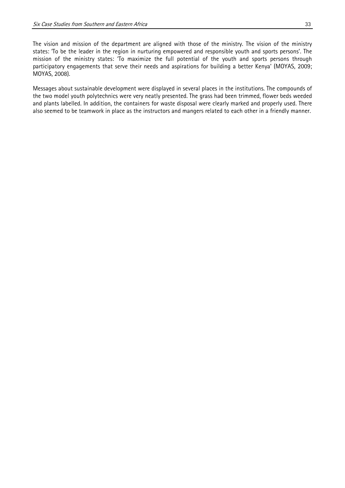The vision and mission of the department are aligned with those of the ministry. The vision of the ministry states: 'To be the leader in the region in nurturing empowered and responsible youth and sports persons'. The mission of the ministry states: 'To maximize the full potential of the youth and sports persons through participatory engagements that serve their needs and aspirations for building a better Kenya' (MOYAS, 2009; MOYAS, 2008).

Messages about sustainable development were displayed in several places in the institutions. The compounds of the two model youth polytechnics were very neatly presented. The grass had been trimmed, flower beds weeded and plants labelled. In addition, the containers for waste disposal were clearly marked and properly used. There also seemed to be teamwork in place as the instructors and mangers related to each other in a friendly manner.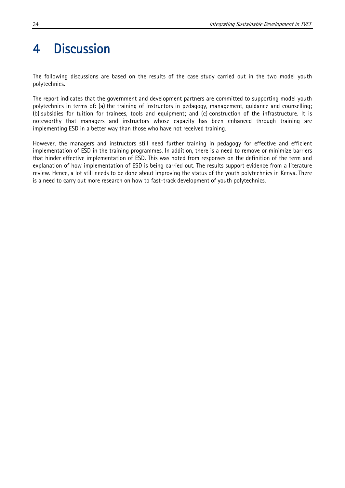### 4 Discussion

The following discussions are based on the results of the case study carried out in the two model youth polytechnics.

The report indicates that the government and development partners are committed to supporting model youth polytechnics in terms of: (a) the training of instructors in pedagogy, management, guidance and counselling; (b) subsidies for tuition for trainees, tools and equipment; and (c) construction of the infrastructure. It is noteworthy that managers and instructors whose capacity has been enhanced through training are implementing ESD in a better way than those who have not received training.

However, the managers and instructors still need further training in pedagogy for effective and efficient implementation of ESD in the training programmes. In addition, there is a need to remove or minimize barriers that hinder effective implementation of ESD. This was noted from responses on the definition of the term and explanation of how implementation of ESD is being carried out. The results support evidence from a literature review. Hence, a lot still needs to be done about improving the status of the youth polytechnics in Kenya. There is a need to carry out more research on how to fast-track development of youth polytechnics.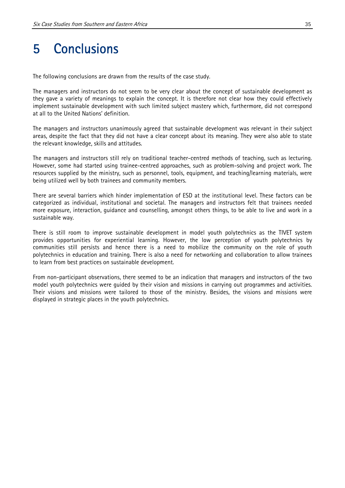### 5 Conclusions

The following conclusions are drawn from the results of the case study.

The managers and instructors do not seem to be very clear about the concept of sustainable development as they gave a variety of meanings to explain the concept. It is therefore not clear how they could effectively implement sustainable development with such limited subject mastery which, furthermore, did not correspond at all to the United Nations' definition.

The managers and instructors unanimously agreed that sustainable development was relevant in their subject areas, despite the fact that they did not have a clear concept about its meaning. They were also able to state the relevant knowledge, skills and attitudes.

The managers and instructors still rely on traditional teacher-centred methods of teaching, such as lecturing. However, some had started using trainee-centred approaches, such as problem-solving and project work. The resources supplied by the ministry, such as personnel, tools, equipment, and teaching/learning materials, were being utilized well by both trainees and community members.

There are several barriers which hinder implementation of ESD at the institutional level. These factors can be categorized as individual, institutional and societal. The managers and instructors felt that trainees needed more exposure, interaction, guidance and counselling, amongst others things, to be able to live and work in a sustainable way.

There is still room to improve sustainable development in model youth polytechnics as the TIVET system provides opportunities for experiential learning. However, the low perception of youth polytechnics by communities still persists and hence there is a need to mobilize the community on the role of youth polytechnics in education and training. There is also a need for networking and collaboration to allow trainees to learn from best practices on sustainable development.

From non-participant observations, there seemed to be an indication that managers and instructors of the two model youth polytechnics were guided by their vision and missions in carrying out programmes and activities. Their visions and missions were tailored to those of the ministry. Besides, the visions and missions were displayed in strategic places in the youth polytechnics.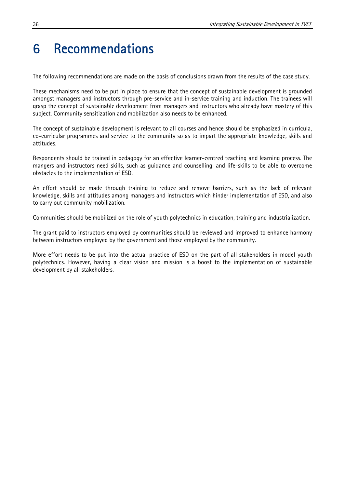### 6 Recommendations

The following recommendations are made on the basis of conclusions drawn from the results of the case study.

These mechanisms need to be put in place to ensure that the concept of sustainable development is grounded amongst managers and instructors through pre-service and in-service training and induction. The trainees will grasp the concept of sustainable development from managers and instructors who already have mastery of this subject. Community sensitization and mobilization also needs to be enhanced.

The concept of sustainable development is relevant to all courses and hence should be emphasized in curricula, co-curricular programmes and service to the community so as to impart the appropriate knowledge, skills and attitudes.

Respondents should be trained in pedagogy for an effective learner-centred teaching and learning process. The mangers and instructors need skills, such as guidance and counselling, and life-skills to be able to overcome obstacles to the implementation of ESD.

An effort should be made through training to reduce and remove barriers, such as the lack of relevant knowledge, skills and attitudes among managers and instructors which hinder implementation of ESD, and also to carry out community mobilization.

Communities should be mobilized on the role of youth polytechnics in education, training and industrialization.

The grant paid to instructors employed by communities should be reviewed and improved to enhance harmony between instructors employed by the government and those employed by the community.

More effort needs to be put into the actual practice of ESD on the part of all stakeholders in model youth polytechnics. However, having a clear vision and mission is a boost to the implementation of sustainable development by all stakeholders.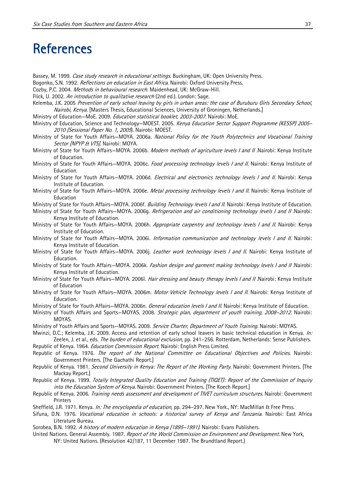### **References**

- Bassey, M. 1999. Case study research in educational settings. Buckingham, UK: Open University Press.
- Bogonko, S.N. 1992. Reflections on education in East Africa. Nairobi: Oxford University Press.
- Cozby, P.C. 2004. Methods in behavioural research. Maidenhead, UK: McGraw-Hill.
- Flick, U. 2002. An introduction to qualitative research (2nd ed.). London: Sage.
- Kelemba, J.K. 2005 Prevention of early school leaving by girls in urban areas: the case of Buruburu Girls Secondary School, Nairobi, Kenya. [Masters Thesis, Educational Sciences, University of Groningen, Netherlands.]
- Ministry of Education—MoE. 2009. Education statistical booklet, 2003-2007. Nairobi: MoE.
- Ministry of Education, Science and Technology–MOEST. 2005. Kenya Education Sector Support Programme (KESSP) 2005– 2010 (Sessional Paper No. 1, 2005). Nairobi: MOEST.
- Ministry of State for Youth Affairs-MOYA. 2006a. National Policy for the Youth Polytechnics and Vocational Training Sector [NPYP & VTS]. Nairobi: MOYA.
- Ministry of State for Youth Affairs-MOYA. 2006b. *Modern methods of agriculture levels I and II* .Nairobi: Kenya Institute of Education.
- Ministry of State for Youth Affairs–MOYA. 2006c. *Food processing technology levels I and II*. Nairobi: Kenya Institute of Education.
- Ministry of State for Youth Affairs-MOYA. 2006d. Electrical and electronics technology levels I and II. Nairobi: Kenya Institute of Education.
- Ministry of State for Youth Affairs-MOYA. 2006e. Metal processing technology levels I and II. Nairobi: Kenya Institute of Education
- Ministry of State for Youth Affairs—MOYA. 2006f. *Building Technology levels I and II*. Nairobi: Kenya Institute of Education.
- Ministry of State for Youth Affairs–MOYA. 2006g. Refrigeration and air conditioning technology levels I and II Nairobi: Kenya Institute of Education.
- Ministry of State for Youth Affairs-MOYA. 2006h. Appropriate carpentry and technology levels I and II. Nairobi: Kenya Institute of Education.
- Ministry of State for Youth Affairs-MOYA. 2006i. Information communication and technology levels I and II. Nairobi: Kenya Institute of Education.
- Ministry of State for Youth Affairs-MOYA. 2006j. Leather work technology levels I and II. Nairobi: Kenya Institute of Education.
- Ministry of State for Youth Affairs–MOYA. 2006k. Fashion design and garment making technology levels I and II Nairobi: Kenya Institute of Education.
- Ministry of State for Youth Affairs–MOYA. 2006l. Hair dressing and beauty therapy levels I and II .Nairobi: Kenya Institute of Education
- Ministry of State for Youth Affairs–MOYA. 2006m. Motor Vehicle Technology levels I and II. Nairobi: Kenya Institute of Education.
- Ministry of State for Youth Affairs–MOYA. 2006n. *General education levels I and II*. Nairobi: Kenya Institute of Education.
- Ministry of Youth Affairs and Sports-MOYAS. 2008. Strategic plan, department of youth training, 2008-2012. Nairobi: MOYAS.
- Ministry of Youth Affairs and Sports-MOYAS. 2009. Service Charter, Department of Youth Training. Nairobi: MOYAS.
- Mwinzi, D.C.; Kelemba, J.K. 2009. Access and retention of early school leavers in basic technical education in Kenya. In: Zeelen, J. et al., eds. *The burden of educational exclusion*, pp. 241–256. Rotterdam, Netherlands: Sense Publishers.
- Republic of Kenya. 1964. *Education Commission Report*. Nairobi: English Press Limited.
- Republic of Kenya. 1976. The report of the National Committee on Educational Objectives and Policies. Nairobi: Government Printers. [The Gachathi Report.]
- Republic of Kenya. 1981. Second University in Kenya: The Report of the Working Party. Nairobi: Government Printers. [The Mackay Report.]
- Republic of Kenya. 1999. Totally Integrated Quality Education and Training (TIQET): Report of the Commission of Inquiry into the Education System of Kenya. Nairobi: Government Printers. [The Koech Report.]
- Republic of Kenya. 2006. Training needs assessment and development of TIVET curriculum structures. Nairobi: Government **Printers**
- Sheffield, J.R. 1971. Kenya. In: The encyclopedia of education, pp. 294-297. New York., NY: MacMillan & Free Press.
- Sifuna, D.N. 1976. Vocational education in schools: a historical survey of Kenya and Tanzania. Nairobi: East Africa Literature Bureau.
- Sorobea, B.N. 1992. A history of modern education in Kenya (1895-1991). Nairobi: Evans Publishers.
- United Nations. General Assembly. 1987. Report of the World Commission on Environment and Development. New York, NY: United Nations. (Resolution 42/187, 11 December 1987. The Brundtland Report.)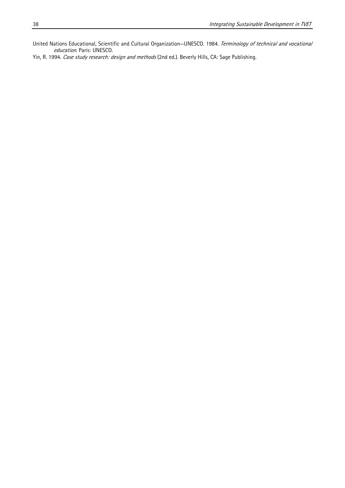United Nations Educational, Scientific and Cultural Organization—UNESCO. 1984. Terminology of technical and vocational education. Paris: UNESCO.

Yin, R. 1994. Case study research: design and methods (2nd ed.). Beverly Hills, CA: Sage Publishing.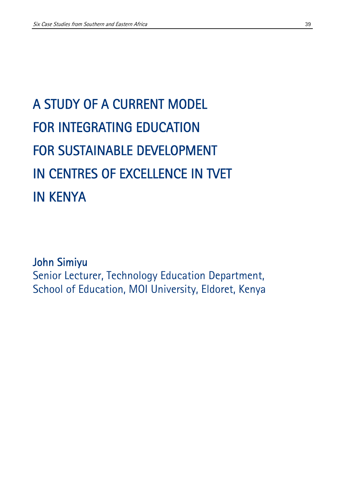# A STUDY OF A CURRENT MODEL FOR INTEGRATING EDUCATION FOR SUSTAINABLE DEVELOPMENT IN CENTRES OF EXCELLENCE IN TVET IN KENYA

### John Simiyu

Senior Lecturer, Technology Education Department, School of Education, MOI University, Eldoret, Kenya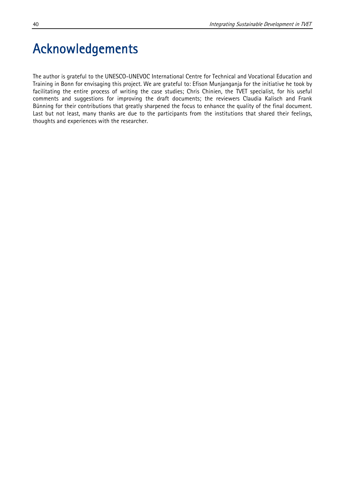# Acknowledgements

The author is grateful to the UNESCO-UNEVOC International Centre for Technical and Vocational Education and Training in Bonn for envisaging this project. We are grateful to: Efison Munjanganja for the initiative he took by facilitating the entire process of writing the case studies; Chris Chinien, the TVET specialist, for his useful comments and suggestions for improving the draft documents; the reviewers Claudia Kalisch and Frank Bünning for their contributions that greatly sharpened the focus to enhance the quality of the final document. Last but not least, many thanks are due to the participants from the institutions that shared their feelings, thoughts and experiences with the researcher.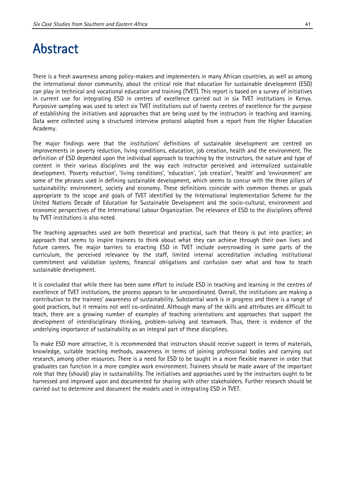### Abstract

There is a fresh awareness among policy-makers and implementers in many African countries, as well as among the international donor community, about the critical role that education for sustainable development (ESD) can play in technical and vocational education and training (TVET). This report is based on a survey of initiatives in current use for integrating ESD in centres of excellence carried out in six TVET institutions in Kenya. Purposive sampling was used to select six TVET institutions out of twenty centres of excellence for the purpose of establishing the initiatives and approaches that are being used by the instructors in teaching and learning. Data were collected using a structured interview protocol adapted from a report from the Higher Education Academy.

The major findings were that the institutions' definitions of sustainable development are centred on improvements in poverty reduction, living conditions, education, job creation, health and the environment. The definition of ESD depended upon the individual approach to teaching by the instructors, the nature and type of content in their various disciplines and the way each instructor perceived and internalized sustainable development. 'Poverty reduction', 'living conditions', 'education', 'job creation', 'health' and 'environment' are some of the phrases used in defining sustainable development, which seems to concur with the three pillars of sustainability: environment, society and economy. These definitions coincide with common themes or goals appropriate to the scope and goals of TVET identified by the International Implementation Scheme for the United Nations Decade of Education for Sustainable Development and the socio-cultural, environment and economic perspectives of the International Labour Organization. The relevance of ESD to the disciplines offered by TVET institutions is also noted.

The teaching approaches used are both theoretical and practical, such that theory is put into practice; an approach that seems to inspire trainees to think about what they can achieve through their own lives and future careers. The major barriers to enacting ESD in TVET include overcrowding in some parts of the curriculum, the perceived relevance by the staff, limited internal accreditation including institutional commitment and validation systems, financial obligations and confusion over what and how to teach sustainable development.

It is concluded that while there has been some effort to include ESD in teaching and learning in the centres of excellence of TVET institutions, the process appears to be uncoordinated. Overall, the institutions are making a contribution to the trainees' awareness of sustainability. Substantial work is in progress and there is a range of good practices, but it remains not well co-ordinated. Although many of the skills and attributes are difficult to teach, there are a growing number of examples of teaching orientations and approaches that support the development of interdisciplinary thinking, problem-solving and teamwork. Thus, there is evidence of the underlying importance of sustainability as an integral part of these disciplines.

To make ESD more attractive, it is recommended that instructors should receive support in terms of materials, knowledge, suitable teaching methods, awareness in terms of joining professional bodies and carrying out research, among other resources. There is a need for ESD to be taught in a more flexible manner in order that graduates can function in a more complex work environment. Trainees should be made aware of the important role that they (should) play in sustainability. The initiatives and approaches used by the instructors ought to be harnessed and improved upon and documented for sharing with other stakeholders. Further research should be carried out to determine and document the models used in integrating ESD in TVET.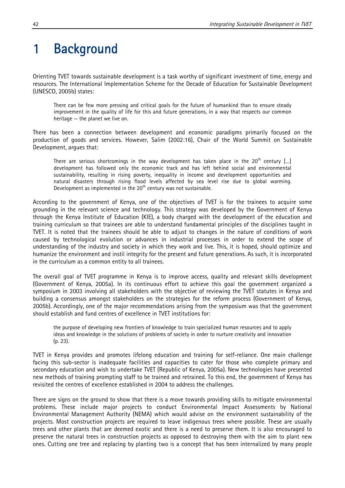# 1 Background

Orienting TVET towards sustainable development is a task worthy of significant investment of time, energy and resources. The International Implementation Scheme for the Decade of Education for Sustainable Development (UNESCO, 2005b) states:

There can be few more pressing and critical goals for the future of humankind than to ensure steady improvement in the quality of life for this and future generations, in a way that respects our common heritage — the planet we live on.

There has been a connection between development and economic paradigms primarily focused on the production of goods and services. However, Salim (2002:16), Chair of the World Summit on Sustainable Development, argues that:

There are serious shortcomings in the way development has taken place in the  $20<sup>th</sup>$  century [...] development has followed only the economic track and has left behind social and environmental sustainability, resulting in rising poverty, inequality in income and development opportunities and natural disasters through rising flood levels affected by sea level rise due to global warming. Development as implemented in the  $20<sup>th</sup>$  century was not sustainable.

According to the government of Kenya, one of the objectives of TVET is for the trainees to acquire some grounding in the relevant science and technology. This strategy was developed by the Government of Kenya through the Kenya Institute of Education (KIE), a body charged with the development of the education and training curriculum so that trainees are able to understand fundamental principles of the disciplines taught in TVET. It is noted that the trainees should be able to adjust to changes in the nature of conditions of work caused by technological evolution or advances in industrial processes in order to extend the scope of understanding of the industry and society in which they work and live. This, it is hoped, should optimize and humanize the environment and instil integrity for the present and future generations. As such, it is incorporated in the curriculum as a common entity to all trainees.

The overall goal of TVET programme in Kenya is to improve access, quality and relevant skills development (Government of Kenya, 2005a). In its continuous effort to achieve this goal the government organized a symposium in 2003 involving all stakeholders with the objective of reviewing the TVET statutes in Kenya and building a consensus amongst stakeholders on the strategies for the reform process (Government of Kenya, 2005b). Accordingly, one of the major recommendations arising from the symposium was that the government should establish and fund centres of excellence in TVET institutions for:

the purpose of developing new frontiers of knowledge to train specialized human resources and to apply ideas and knowledge in the solutions of problems of society in order to nurture creativity and innovation (p. 23).

TVET in Kenya provides and promotes lifelong education and training for self-reliance. One main challenge facing this sub-sector is inadequate facilities and capacities to cater for those who complete primary and secondary education and wish to undertake TVET (Republic of Kenya, 2005a). New technologies have presented new methods of training prompting staff to be trained and retrained. To this end, the government of Kenya has revisited the centres of excellence established in 2004 to address the challenges.

There are signs on the ground to show that there is a move towards providing skills to mitigate environmental problems. These include major projects to conduct Environmental Impact Assessments by National Environmental Management Authority (NEMA) which would advise on the environment sustainability of the projects. Most construction projects are required to leave indigenous trees where possible. These are usually trees and other plants that are deemed exotic and there is a need to preserve them. It is also encouraged to preserve the natural trees in construction projects as opposed to destroying them with the aim to plant new ones. Cutting one tree and replacing by planting two is a concept that has been internalized by many people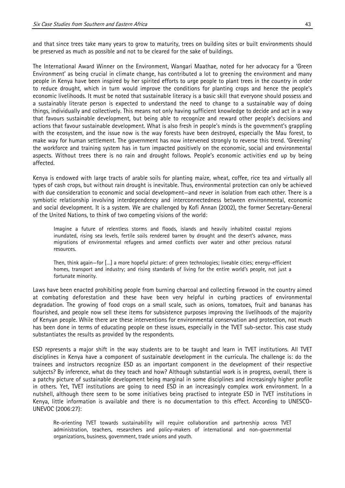and that since trees take many years to grow to maturity, trees on building sites or built environments should be preserved as much as possible and not to be cleared for the sake of buildings.

The International Award Winner on the Environment, Wangari Maathae, noted for her advocacy for a 'Green Environment' as being crucial in climate change, has contributed a lot to greening the environment and many people in Kenya have been inspired by her spirited efforts to urge people to plant trees in the country in order to reduce drought, which in turn would improve the conditions for planting crops and hence the people's economic livelihoods. It must be noted that sustainable literacy is a basic skill that everyone should possess and a sustainably literate person is expected to understand the need to change to a sustainable way of doing things, individually and collectively. This means not only having sufficient knowledge to decide and act in a way that favours sustainable development, but being able to recognize and reward other people's decisions and actions that favour sustainable development. What is also fresh in people's minds is the government's grappling with the ecosystem, and the issue now is the way forests have been destroyed, especially the Mau forest, to make way for human settlement. The government has now intervened strongly to reverse this trend. 'Greening' the workforce and training system has in turn impacted positively on the economic, social and environmental aspects. Without trees there is no rain and drought follows. People's economic activities end up by being affected.

Kenya is endowed with large tracts of arable soils for planting maize, wheat, coffee, rice tea and virtually all types of cash crops, but without rain drought is inevitable. Thus, environmental protection can only be achieved with due consideration to economic and social development—and never in isolation from each other. There is a symbiotic relationship involving interdependency and interconnectedness between environmental, economic and social development. It is a system. We are challenged by Kofi Annan (2002), the former Secretary-General of the United Nations, to think of two competing visions of the world:

Imagine a future of relentless storms and floods, islands and heavily inhabited coastal regions inundated, rising sea levels, fertile soils rendered barren by drought and the desert's advance, mass migrations of environmental refugees and armed conflicts over water and other precious natural resources.

Then, think again—for […] a more hopeful picture: of green technologies; liveable cities; energy-efficient homes, transport and industry; and rising standards of living for the entire world's people, not just a fortunate minority.

Laws have been enacted prohibiting people from burning charcoal and collecting firewood in the country aimed at combating deforestation and these have been very helpful in curbing practices of environmental degradation. The growing of food crops on a small scale, such as onions, tomatoes, fruit and bananas has flourished, and people now sell these items for subsistence purposes improving the livelihoods of the majority of Kenyan people. While there are these interventions for environmental conservation and protection, not much has been done in terms of educating people on these issues, especially in the TVET sub-sector. This case study substantiates the results as provided by the respondents.

ESD represents a major shift in the way students are to be taught and learn in TVET institutions. All TVET disciplines in Kenya have a component of sustainable development in the curricula. The challenge is: do the trainees and instructors recognize ESD as an important component in the development of their respective subjects? By inference, what do they teach and how? Although substantial work is in progress, overall, there is a patchy picture of sustainable development being marginal in some disciplines and increasingly higher profile in others. Yet, TVET institutions are going to need ESD in an increasingly complex work environment. In a nutshell, although there seem to be some initiatives being practised to integrate ESD in TVET institutions in Kenya, little information is available and there is no documentation to this effect. According to UNESCO-UNEVOC (2006:27):

Re-orienting TVET towards sustainability will require collaboration and partnership across TVET administration, teachers, researchers and policy-makers of international and non-governmental organizations, business, government, trade unions and youth.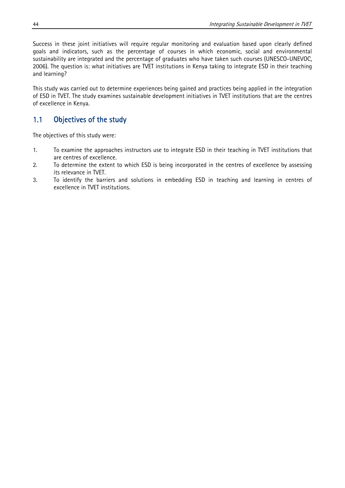Success in these joint initiatives will require regular monitoring and evaluation based upon clearly defined goals and indicators, such as the percentage of courses in which economic, social and environmental sustainability are integrated and the percentage of graduates who have taken such courses (UNESCO-UNEVOC, 2006). The question is: what initiatives are TVET institutions in Kenya taking to integrate ESD in their teaching and learning?

This study was carried out to determine experiences being gained and practices being applied in the integration of ESD in TVET. The study examines sustainable development initiatives in TVET institutions that are the centres of excellence in Kenya.

#### 1.1 Objectives of the study

The objectives of this study were:

- 1. To examine the approaches instructors use to integrate ESD in their teaching in TVET institutions that are centres of excellence.
- 2. To determine the extent to which ESD is being incorporated in the centres of excellence by assessing its relevance in TVET.
- 3. To identify the barriers and solutions in embedding ESD in teaching and learning in centres of excellence in TVET institutions.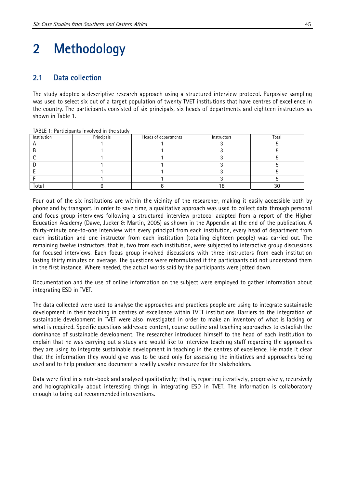# 2 Methodology

#### 2.1 Data collection

The study adopted a descriptive research approach using a structured interview protocol. Purposive sampling was used to select six out of a target population of twenty TVET institutions that have centres of excellence in the country. The participants consisted of six principals, six heads of departments and eighteen instructors as shown in Table 1.

| Institution | Principals | Heads of departments | Instructors | Total |
|-------------|------------|----------------------|-------------|-------|
|             |            |                      |             |       |
|             |            |                      |             |       |
|             |            |                      |             |       |
|             |            |                      |             |       |
|             |            |                      |             |       |
|             |            |                      |             |       |
| Total       |            |                      |             | JU    |

TABLE 1: Participants involved in the study

Four out of the six institutions are within the vicinity of the researcher, making it easily accessible both by phone and by transport. In order to save time, a qualitative approach was used to collect data through personal and focus-group interviews following a structured interview protocol adapted from a report of the Higher Education Academy (Dawe, Jucker & Martin, 2005) as shown in the Appendix at the end of the publication. A thirty-minute one-to-one interview with every principal from each institution, every head of department from each institution and one instructor from each institution (totalling eighteen people) was carried out. The remaining twelve instructors, that is, two from each institution, were subjected to interactive group discussions for focused interviews. Each focus group involved discussions with three instructors from each institution lasting thirty minutes on average. The questions were reformulated if the participants did not understand them in the first instance. Where needed, the actual words said by the participants were jotted down.

Documentation and the use of online information on the subject were employed to gather information about integrating ESD in TVET.

The data collected were used to analyse the approaches and practices people are using to integrate sustainable development in their teaching in centres of excellence within TVET institutions. Barriers to the integration of sustainable development in TVET were also investigated in order to make an inventory of what is lacking or what is required. Specific questions addressed content, course outline and teaching approaches to establish the dominance of sustainable development. The researcher introduced himself to the head of each institution to explain that he was carrying out a study and would like to interview teaching staff regarding the approaches they are using to integrate sustainable development in teaching in the centres of excellence. He made it clear that the information they would give was to be used only for assessing the initiatives and approaches being used and to help produce and document a readily useable resource for the stakeholders.

Data were filed in a note-book and analysed qualitatively; that is, reporting iteratively, progressively, recursively and holographically about interesting things in integrating ESD in TVET. The information is collaboratory enough to bring out recommended interventions.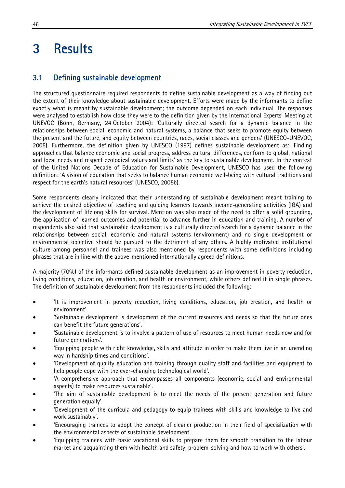# 3 Results

#### 3.1 Defining sustainable development

The structured questionnaire required respondents to define sustainable development as a way of finding out the extent of their knowledge about sustainable development. Efforts were made by the informants to define exactly what is meant by sustainable development; the outcome depended on each individual. The responses were analysed to establish how close they were to the definition given by the International Experts' Meeting at UNEVOC (Bonn, Germany, 24 October 2004): 'Culturally directed search for a dynamic balance in the relationships between social, economic and natural systems, a balance that seeks to promote equity between the present and the future, and equity between countries, races, social classes and genders' (UNESCO-UNEVOC, 2005). Furthermore, the definition given by UNESCO (1997) defines sustainable development as: 'Finding approaches that balance economic and social progress, address cultural differences, conform to global, national and local needs and respect ecological values and limits' as the key to sustainable development. In the context of the United Nations Decade of Education for Sustainable Development, UNESCO has used the following definition: 'A vision of education that seeks to balance human economic well-being with cultural traditions and respect for the earth's natural resources' (UNESCO, 2005b).

Some respondents clearly indicated that their understanding of sustainable development meant training to achieve the desired objective of teaching and guiding learners towards income-generating activities (IGA) and the development of lifelong skills for survival. Mention was also made of the need to offer a solid grounding, the application of learned outcomes and potential to advance further in education and training. A number of respondents also said that sustainable development is a culturally directed search for a dynamic balance in the relationships between social, economic and natural systems (environment) and no single development or environmental objective should be pursued to the detriment of any others. A highly motivated institutional culture among personnel and trainees was also mentioned by respondents with some definitions including phrases that are in line with the above-mentioned internationally agreed definitions.

A majority (70%) of the informants defined sustainable development as an improvement in poverty reduction, living conditions, education, job creation, and health or environment, while others defined it in single phrases. The definition of sustainable development from the respondents included the following:

- 'It is improvement in poverty reduction, living conditions, education, job creation, and health or environment'.
- 'Sustainable development is development of the current resources and needs so that the future ones can benefit the future generations'.
- 'Sustainable development is to involve a pattern of use of resources to meet human needs now and for future generations'.
- 'Equipping people with right knowledge, skills and attitude in order to make them live in an unending way in hardship times and conditions'.
- 'Development of quality education and training through quality staff and facilities and equipment to help people cope with the ever-changing technological world'.
- 'A comprehensive approach that encompasses all components (economic, social and environmental aspects) to make resources sustainable'.
- 'The aim of sustainable development is to meet the needs of the present generation and future generation equally'.
- 'Development of the curricula and pedagogy to equip trainees with skills and knowledge to live and work sustainably'.
- 'Encouraging trainees to adopt the concept of cleaner production in their field of specialization with the environmental aspects of sustainable development'.
- 'Equipping trainees with basic vocational skills to prepare them for smooth transition to the labour market and acquainting them with health and safety, problem-solving and how to work with others'.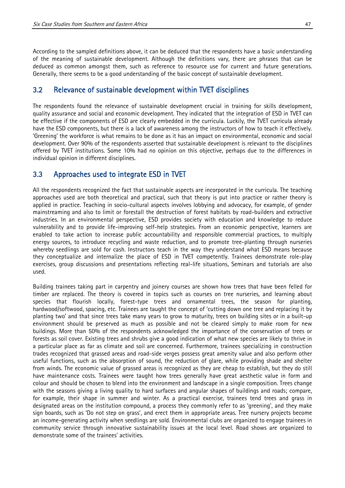According to the sampled definitions above, it can be deduced that the respondents have a basic understanding of the meaning of sustainable development. Although the definitions vary, there are phrases that can be deduced as common amongst them, such as reference to resource use for current and future generations. Generally, there seems to be a good understanding of the basic concept of sustainable development.

#### 3.2 Relevance of sustainable development within TVET disciplines

The respondents found the relevance of sustainable development crucial in training for skills development, quality assurance and social and economic development. They indicated that the integration of ESD in TVET can be effective if the components of ESD are clearly embedded in the curricula. Luckily, the TVET curricula already have the ESD components, but there is a lack of awareness among the instructors of how to teach it effectively. 'Greening' the workforce is what remains to be done as it has an impact on environmental, economic and social development. Over 90% of the respondents asserted that sustainable development is relevant to the disciplines offered by TVET institutions. Some 10% had no opinion on this objective, perhaps due to the differences in individual opinion in different disciplines.

#### 3.3 Approaches used to integrate ESD in TVET

All the respondents recognized the fact that sustainable aspects are incorporated in the curricula. The teaching approaches used are both theoretical and practical, such that theory is put into practice or rather theory is applied in practice. Teaching in socio-cultural aspects involves lobbying and advocacy, for example, of gender mainstreaming and also to limit or forestall the destruction of forest habitats by road-builders and extractive industries. In an environmental perspective, ESD provides society with education and knowledge to reduce vulnerability and to provide life-improving self-help strategies. From an economic perspective, learners are enabled to take action to increase public accountability and responsible commercial practices, to multiply energy sources, to introduce recycling and waste reduction, and to promote tree-planting through nurseries whereby seedlings are sold for cash. Instructors teach in the way they understand what ESD means because they conceptualize and internalize the place of ESD in TVET competently. Trainees demonstrate role-play exercises, group discussions and presentations reflecting real-life situations. Seminars and tutorials are also used.

Building trainees taking part in carpentry and joinery courses are shown how trees that have been felled for timber are replaced. The theory is covered in topics such as courses on tree nurseries, and learning about species that flourish locally, forest-type trees and ornamental trees, the season for planting, hardwood/softwood, spacing, etc. Trainees are taught the concept of 'cutting down one tree and replacing it by planting two' and that since trees take many years to grow to maturity, trees on building sites or in a built-up environment should be preserved as much as possible and not be cleared simply to make room for new buildings. More than 50% of the respondents acknowledged the importance of the conservation of trees or forests as soil cover. Existing trees and shrubs give a good indication of what new species are likely to thrive in a particular place as far as climate and soil are concerned. Furthermore, trainees specializing in construction trades recognized that grassed areas and road-side verges possess great amenity value and also perform other useful functions, such as the absorption of sound, the reduction of glare, while providing shade and shelter from winds. The economic value of grassed areas is recognized as they are cheap to establish, but they do still have maintenance costs. Trainees were taught how trees generally have great aesthetic value in form and colour and should be chosen to blend into the environment and landscape in a single composition. Trees change with the seasons giving a living quality to hard surfaces and angular shapes of buildings and roads; compare, for example, their shape in summer and winter. As a practical exercise, trainees tend trees and grass in designated areas on the institution compound, a process they commonly refer to as 'greening', and they make sign boards, such as 'Do not step on grass', and erect them in appropriate areas. Tree nursery projects become an income-generating activity when seedlings are sold. Environmental clubs are organized to engage trainees in community service through innovative sustainability issues at the local level. Road shows are organized to demonstrate some of the trainees' activities.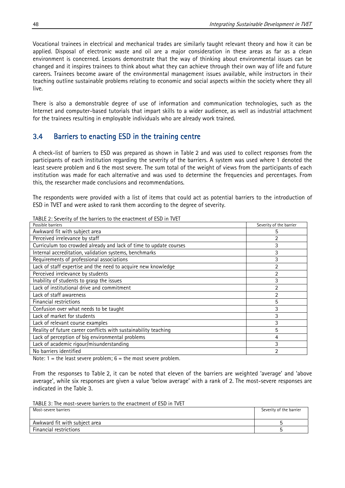Vocational trainees in electrical and mechanical trades are similarly taught relevant theory and how it can be applied. Disposal of electronic waste and oil are a major consideration in these areas as far as a clean environment is concerned. Lessons demonstrate that the way of thinking about environmental issues can be changed and it inspires trainees to think about what they can achieve through their own way of life and future careers. Trainees become aware of the environmental management issues available, while instructors in their teaching outline sustainable problems relating to economic and social aspects within the society where they all live.

There is also a demonstrable degree of use of information and communication technologies, such as the Internet and computer-based tutorials that impart skills to a wider audience, as well as industrial attachment for the trainees resulting in employable individuals who are already work trained.

#### 3.4 Barriers to enacting ESD in the training centre

A check-list of barriers to ESD was prepared as shown in Table 2 and was used to collect responses from the participants of each institution regarding the severity of the barriers. A system was used where 1 denoted the least severe problem and 6 the most severe. The sum total of the weight of views from the participants of each institution was made for each alternative and was used to determine the frequencies and percentages. From this, the researcher made conclusions and recommendations.

The respondents were provided with a list of items that could act as potential barriers to the introduction of ESD in TVET and were asked to rank them according to the degree of severity.

| Possible barriers                                                 | Severity of the barrier |
|-------------------------------------------------------------------|-------------------------|
| Awkward fit with subject area                                     | 5                       |
| Perceived irrelevance by staff                                    | 2                       |
| Curriculum too crowded already and lack of time to update courses | 3                       |
| Internal accreditation, validation systems, benchmarks            | 3                       |
| Requirements of professional associations                         | 3                       |
| Lack of staff expertise and the need to acquire new knowledge     | $\overline{2}$          |
| Perceived irrelevance by students                                 | $\overline{2}$          |
| Inability of students to grasp the issues                         | 3                       |
| Lack of institutional drive and commitment                        | 2                       |
| Lack of staff awareness                                           | $\overline{2}$          |
| Financial restrictions                                            | 5                       |
| Confusion over what needs to be taught                            | 3                       |
| Lack of market for students                                       | 3                       |
| Lack of relevant course examples                                  | 3                       |
| Reality of future career conflicts with sustainability teaching   | 5                       |
| Lack of perception of big environmental problems                  | 4                       |
| Lack of academic rigour/misunderstanding                          | 3                       |
| No barriers identified                                            | ว                       |

TABLE 2: Severity of the barriers to the enactment of ESD in TVET

Note:  $1 =$  the least severe problem;  $6 =$  the most severe problem.

From the responses to Table 2, it can be noted that eleven of the barriers are weighted 'average' and 'above average', while six responses are given a value 'below average' with a rank of 2. The most-severe responses are indicated in the Table 3.

TABLE 3: The most-severe barriers to the enactment of ESD in TVET

| Most-severe barriers          | Severity of the barrier |
|-------------------------------|-------------------------|
| Awkward fit with subject area |                         |
| <b>Financial restrictions</b> |                         |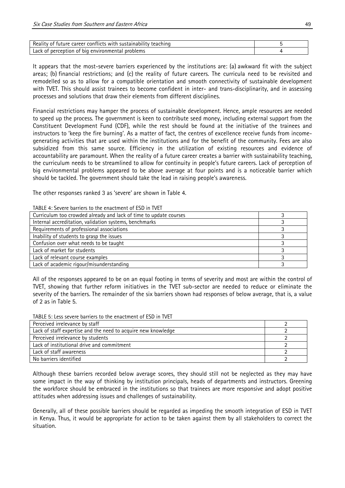| Rea<br>a career conflicts with a<br>sustainability<br>teaching<br>ruture<br>IT W<br>- 01 |  |
|------------------------------------------------------------------------------------------|--|
| Lack<br>problems<br>nercention<br>environmei<br>hın<br>ЮI<br>ΩT                          |  |

It appears that the most-severe barriers experienced by the institutions are: (a) awkward fit with the subject areas; (b) financial restrictions; and (c) the reality of future careers. The curricula need to be revisited and remodelled so as to allow for a compatible orientation and smooth connectivity of sustainable development with TVET. This should assist trainees to become confident in inter- and trans-disciplinarity, and in assessing processes and solutions that draw their elements from different disciplines.

Financial restrictions may hamper the process of sustainable development. Hence, ample resources are needed to speed up the process. The government is keen to contribute seed money, including external support from the Constituent Development Fund (CDF), while the rest should be found at the initiative of the trainees and instructors to 'keep the fire burning'. As a matter of fact, the centres of excellence receive funds from incomegenerating activities that are used within the institutions and for the benefit of the community. Fees are also subsidized from this same source. Efficiency in the utilization of existing resources and evidence of accountability are paramount. When the reality of a future career creates a barrier with sustainability teaching, the curriculum needs to be streamlined to allow for continuity in people's future careers. Lack of perception of big environmental problems appeared to be above average at four points and is a noticeable barrier which should be tackled. The government should take the lead in raising people's awareness.

The other responses ranked 3 as 'severe' are shown in Table 4.

| Curriculum too crowded already and lack of time to update courses |  |
|-------------------------------------------------------------------|--|
| Internal accreditation, validation systems, benchmarks            |  |
| Requirements of professional associations                         |  |
| Inability of students to grasp the issues                         |  |
| Confusion over what needs to be taught                            |  |
| Lack of market for students                                       |  |
| Lack of relevant course examples                                  |  |
| Lack of academic rigour/misunderstanding                          |  |

TABLE 4: Severe barriers to the enactment of ESD in TVET

All of the responses appeared to be on an equal footing in terms of severity and most are within the control of TVET, showing that further reform initiatives in the TVET sub-sector are needed to reduce or eliminate the severity of the barriers. The remainder of the six barriers shown had responses of below average, that is, a value of 2 as in Table 5.

TABLE 5: Less severe barriers to the enactment of ESD in TVET

| Perceived irrelevance by staff                                |  |
|---------------------------------------------------------------|--|
| Lack of staff expertise and the need to acquire new knowledge |  |
| Perceived irrelevance by students                             |  |
| Lack of institutional drive and commitment                    |  |
| Lack of staff awareness                                       |  |
| No barriers identified                                        |  |

Although these barriers recorded below average scores, they should still not be neglected as they may have some impact in the way of thinking by institution principals, heads of departments and instructors. Greening the workforce should be embraced in the institutions so that trainees are more responsive and adopt positive attitudes when addressing issues and challenges of sustainability.

Generally, all of these possible barriers should be regarded as impeding the smooth integration of ESD in TVET in Kenya. Thus, it would be appropriate for action to be taken against them by all stakeholders to correct the situation.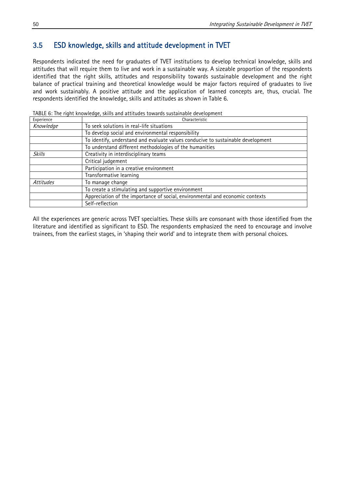#### 3.5 ESD knowledge, skills and attitude development in TVET

Respondents indicated the need for graduates of TVET institutions to develop technical knowledge, skills and attitudes that will require them to live and work in a sustainable way. A sizeable proportion of the respondents identified that the right skills, attitudes and responsibility towards sustainable development and the right balance of practical training and theoretical knowledge would be major factors required of graduates to live and work sustainably. A positive attitude and the application of learned concepts are, thus, crucial. The respondents identified the knowledge, skills and attitudes as shown in Table 6.

| Experience | Characteristic                                                                   |  |  |
|------------|----------------------------------------------------------------------------------|--|--|
| Knowledge  | To seek solutions in real-life situations                                        |  |  |
|            | To develop social and environmental responsibility                               |  |  |
|            | To identify, understand and evaluate values conducive to sustainable development |  |  |
|            | To understand different methodologies of the humanities                          |  |  |
| Skills     | Creativity in interdisciplinary teams                                            |  |  |
|            | Critical judgement                                                               |  |  |
|            | Participation in a creative environment                                          |  |  |
|            | Transformative learning                                                          |  |  |
| Attitudes  | To manage change                                                                 |  |  |
|            | To create a stimulating and supportive environment                               |  |  |
|            | Appreciation of the importance of social, environmental and economic contexts    |  |  |
|            | Self-reflection                                                                  |  |  |

TABLE 6: The right knowledge, skills and attitudes towards sustainable development

All the experiences are generic across TVET specialties. These skills are consonant with those identified from the literature and identified as significant to ESD. The respondents emphasized the need to encourage and involve trainees, from the earliest stages, in 'shaping their world' and to integrate them with personal choices.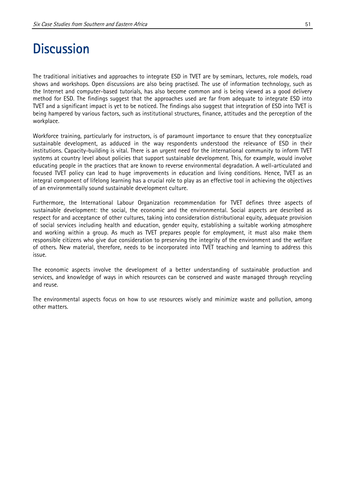### **Discussion**

The traditional initiatives and approaches to integrate ESD in TVET are by seminars, lectures, role models, road shows and workshops. Open discussions are also being practised. The use of information technology, such as the Internet and computer-based tutorials, has also become common and is being viewed as a good delivery method for ESD. The findings suggest that the approaches used are far from adequate to integrate ESD into TVET and a significant impact is yet to be noticed. The findings also suggest that integration of ESD into TVET is being hampered by various factors, such as institutional structures, finance, attitudes and the perception of the workplace.

Workforce training, particularly for instructors, is of paramount importance to ensure that they conceptualize sustainable development, as adduced in the way respondents understood the relevance of ESD in their institutions. Capacity-building is vital. There is an urgent need for the international community to inform TVET systems at country level about policies that support sustainable development. This, for example, would involve educating people in the practices that are known to reverse environmental degradation. A well-articulated and focused TVET policy can lead to huge improvements in education and living conditions. Hence, TVET as an integral component of lifelong learning has a crucial role to play as an effective tool in achieving the objectives of an environmentally sound sustainable development culture.

Furthermore, the International Labour Organization recommendation for TVET defines three aspects of sustainable development: the social, the economic and the environmental. Social aspects are described as respect for and acceptance of other cultures, taking into consideration distributional equity, adequate provision of social services including health and education, gender equity, establishing a suitable working atmosphere and working within a group. As much as TVET prepares people for employment, it must also make them responsible citizens who give due consideration to preserving the integrity of the environment and the welfare of others. New material, therefore, needs to be incorporated into TVET teaching and learning to address this issue.

The economic aspects involve the development of a better understanding of sustainable production and services, and knowledge of ways in which resources can be conserved and waste managed through recycling and reuse.

The environmental aspects focus on how to use resources wisely and minimize waste and pollution, among other matters.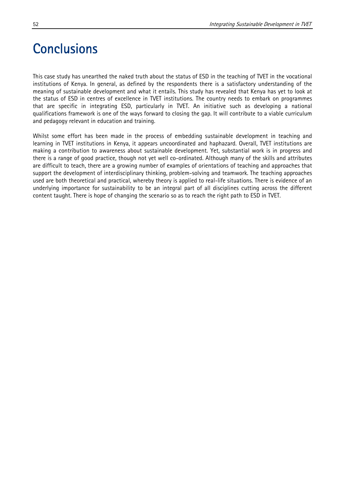# **Conclusions**

This case study has unearthed the naked truth about the status of ESD in the teaching of TVET in the vocational institutions of Kenya. In general, as defined by the respondents there is a satisfactory understanding of the meaning of sustainable development and what it entails. This study has revealed that Kenya has yet to look at the status of ESD in centres of excellence in TVET institutions. The country needs to embark on programmes that are specific in integrating ESD, particularly in TVET. An initiative such as developing a national qualifications framework is one of the ways forward to closing the gap. It will contribute to a viable curriculum and pedagogy relevant in education and training.

Whilst some effort has been made in the process of embedding sustainable development in teaching and learning in TVET institutions in Kenya, it appears uncoordinated and haphazard. Overall, TVET institutions are making a contribution to awareness about sustainable development. Yet, substantial work is in progress and there is a range of good practice, though not yet well co-ordinated. Although many of the skills and attributes are difficult to teach, there are a growing number of examples of orientations of teaching and approaches that support the development of interdisciplinary thinking, problem-solving and teamwork. The teaching approaches used are both theoretical and practical, whereby theory is applied to real-life situations. There is evidence of an underlying importance for sustainability to be an integral part of all disciplines cutting across the different content taught. There is hope of changing the scenario so as to reach the right path to ESD in TVET.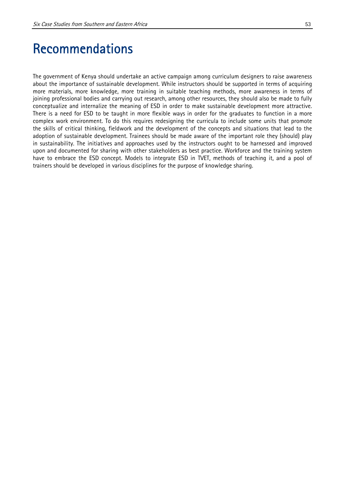### Recommendations

The government of Kenya should undertake an active campaign among curriculum designers to raise awareness about the importance of sustainable development. While instructors should be supported in terms of acquiring more materials, more knowledge, more training in suitable teaching methods, more awareness in terms of joining professional bodies and carrying out research, among other resources, they should also be made to fully conceptualize and internalize the meaning of ESD in order to make sustainable development more attractive. There is a need for ESD to be taught in more flexible ways in order for the graduates to function in a more complex work environment. To do this requires redesigning the curricula to include some units that promote the skills of critical thinking, fieldwork and the development of the concepts and situations that lead to the adoption of sustainable development. Trainees should be made aware of the important role they (should) play in sustainability. The initiatives and approaches used by the instructors ought to be harnessed and improved upon and documented for sharing with other stakeholders as best practice. Workforce and the training system have to embrace the ESD concept. Models to integrate ESD in TVET, methods of teaching it, and a pool of trainers should be developed in various disciplines for the purpose of knowledge sharing.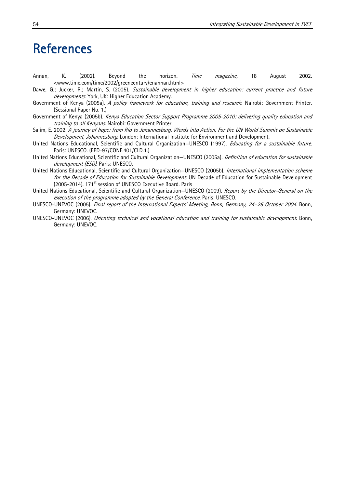### References

- Annan, K. (2002). Beyond the horizon. *Time magazine,* 18 August 2002. <www.time.com/time/2002/greencentury/enannan.html>
- Dawe, G.; Jucker, R.; Martin, S. (2005). Sustainable development in higher education: current practice and future developments. York, UK: Higher Education Academy.
- Government of Kenya (2005a). A policy framework for education, training and research. Nairobi: Government Printer. (Sessional Paper No. 1.)
- Government of Kenya (2005b). Kenya Education Sector Support Programme 2005-2010: delivering quality education and training to all Kenyans. Nairobi: Government Printer.
- Salim, E. 2002. A journey of hope: from Rio to Johannesburg. Words into Action. For the UN World Summit on Sustainable Development, Johannesburg. London: International Institute for Environment and Development.
- United Nations Educational, Scientific and Cultural Organization-UNESCO (1997). Educating for a sustainable future. Paris: UNESCO. (EPD-97/CONF.401/CLD.1.)
- United Nations Educational, Scientific and Cultural Organization-UNESCO (2005a). Definition of education for sustainable development (ESD). Paris: UNESCO.
- United Nations Educational, Scientific and Cultural Organization–UNESCO (2005b). International implementation scheme for the Decade of Education for Sustainable Development. UN Decade of Education for Sustainable Development (2005-2014). 171<sup>st</sup> session of UNESCO Executive Board. Paris
- United Nations Educational, Scientific and Cultural Organization-UNESCO (2009). Report by the Director-General on the execution of the programme adopted by the General Conference. Paris: UNESCO.
- UNESCO-UNEVOC (2005). Final report of the International Experts' Meeting, Bonn, Germany, 24–25 October 2004. Bonn, Germany: UNEVOC.
- UNESCO-UNEVOC (2006). Orienting technical and vocational education and training for sustainable development. Bonn, Germany: UNEVOC.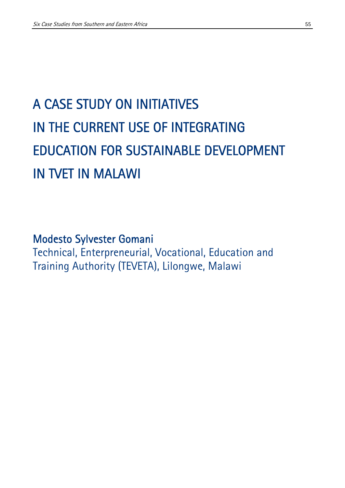# A CASE STUDY ON INITIATIVES IN THE CURRENT USE OF INTEGRATING EDUCATION FOR SUSTAINABLE DEVELOPMENT IN TVET IN MALAWI

Modesto Sylvester Gomani Technical, Enterpreneurial, Vocational, Education and Training Authority (TEVETA), Lilongwe, Malawi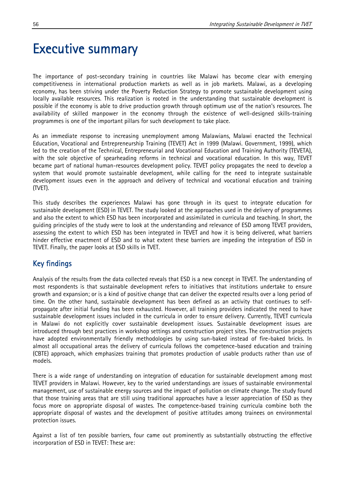### Executive summary

The importance of post-secondary training in countries like Malawi has become clear with emerging competitiveness in international production markets as well as in job markets. Malawi, as a developing economy, has been striving under the Poverty Reduction Strategy to promote sustainable development using locally available resources. This realization is rooted in the understanding that sustainable development is possible if the economy is able to drive production growth through optimum use of the nation's resources. The availability of skilled manpower in the economy through the existence of well-designed skills-training programmes is one of the important pillars for such development to take place.

As an immediate response to increasing unemployment among Malawians, Malawi enacted the Technical Education, Vocational and Entrepreneurship Training (TEVET) Act in 1999 (Malawi. Government, 1999), which led to the creation of the Technical, Entrepreneurial and Vocational Education and Training Authority (TEVETA), with the sole objective of spearheading reforms in technical and vocational education. In this way, TEVET became part of national human-resources development policy. TEVET policy propagates the need to develop a system that would promote sustainable development, while calling for the need to integrate sustainable development issues even in the approach and delivery of technical and vocational education and training (TVET).

This study describes the experiences Malawi has gone through in its quest to integrate education for sustainable development (ESD) in TEVET. The study looked at the approaches used in the delivery of programmes and also the extent to which ESD has been incorporated and assimilated in curricula and teaching. In short, the guiding principles of the study were to look at the understanding and relevance of ESD among TEVET providers, assessing the extent to which ESD has been integrated in TEVET and how it is being delivered, what barriers hinder effective enactment of ESD and to what extent these barriers are impeding the integration of ESD in TEVET. Finally, the paper looks at ESD skills in TVET.

#### Key findings

Analysis of the results from the data collected reveals that ESD is a new concept in TEVET. The understanding of most respondents is that sustainable development refers to initiatives that institutions undertake to ensure growth and expansion; or is a kind of positive change that can deliver the expected results over a long period of time. On the other hand, sustainable development has been defined as an activity that continues to selfpropagate after initial funding has been exhausted. However, all training providers indicated the need to have sustainable development issues included in the curricula in order to ensure delivery. Currently, TEVET curricula in Malawi do not explicitly cover sustainable development issues. Sustainable development issues are introduced through best practices in workshop settings and construction project sites. The construction projects have adopted environmentally friendly methodologies by using sun-baked instead of fire-baked bricks. In almost all occupational areas the delivery of curricula follows the competence-based education and training (CBTE) approach, which emphasizes training that promotes production of usable products rather than use of models.

There is a wide range of understanding on integration of education for sustainable development among most TEVET providers in Malawi. However, key to the varied understandings are issues of sustainable environmental management, use of sustainable energy sources and the impact of pollution on climate change. The study found that those training areas that are still using traditional approaches have a lesser appreciation of ESD as they focus more on appropriate disposal of wastes. The competence-based training curricula combine both the appropriate disposal of wastes and the development of positive attitudes among trainees on environmental protection issues.

Against a list of ten possible barriers, four came out prominently as substantially obstructing the effective incorporation of ESD in TEVET: These are: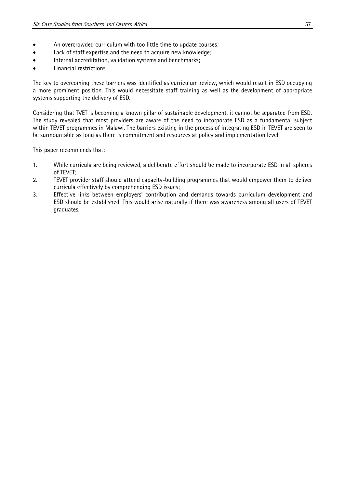- An overcrowded curriculum with too little time to update courses;
- Lack of staff expertise and the need to acquire new knowledge;
- Internal accreditation, validation systems and benchmarks;
- Financial restrictions.

The key to overcoming these barriers was identified as curriculum review, which would result in ESD occupying a more prominent position. This would necessitate staff training as well as the development of appropriate systems supporting the delivery of ESD.

Considering that TVET is becoming a known pillar of sustainable development, it cannot be separated from ESD. The study revealed that most providers are aware of the need to incorporate ESD as a fundamental subject within TEVET programmes in Malawi. The barriers existing in the process of integrating ESD in TEVET are seen to be surmountable as long as there is commitment and resources at policy and implementation level.

This paper recommends that:

- 1. While curricula are being reviewed, a deliberate effort should be made to incorporate ESD in all spheres of TEVET;
- 2. TEVET provider staff should attend capacity-building programmes that would empower them to deliver curricula effectively by comprehending ESD issues;
- 3. Effective links between employers' contribution and demands towards curriculum development and ESD should be established. This would arise naturally if there was awareness among all users of TEVET graduates.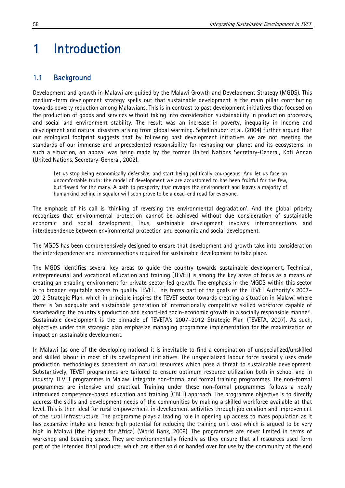# 1 Introduction

#### 1.1 Background

Development and growth in Malawi are guided by the Malawi Growth and Development Strategy (MGDS). This medium-term development strategy spells out that sustainable development is the main pillar contributing towards poverty reduction among Malawians. This is in contrast to past development initiatives that focused on the production of goods and services without taking into consideration sustainability in production processes, and social and environment stability. The result was an increase in poverty, inequality in income and development and natural disasters arising from global warming. Schellnhuber et al. (2004) further argued that our ecological footprint suggests that by following past development initiatives we are not meeting the standards of our immense and unprecedented responsibility for reshaping our planet and its ecosystems. In such a situation, an appeal was being made by the former United Nations Secretary-General, Kofi Annan (United Nations. Secretary-General, 2002).

Let us stop being economically defensive, and start being politically courageous. And let us face an uncomfortable truth: the model of development we are accustomed to has been fruitful for the few, but flawed for the many. A path to prosperity that ravages the environment and leaves a majority of humankind behind in squalor will soon prove to be a dead-end road for everyone.

The emphasis of his call is 'thinking of reversing the environmental degradation'. And the global priority recognizes that environmental protection cannot be achieved without due consideration of sustainable economic and social development. Thus, sustainable development involves interconnections and interdependence between environmental protection and economic and social development.

The MGDS has been comprehensively designed to ensure that development and growth take into consideration the interdependence and interconnections required for sustainable development to take place.

The MGDS identifies several key areas to guide the country towards sustainable development. Technical, entrepreneurial and vocational education and training (TEVET) is among the key areas of focus as a means of creating an enabling environment for private-sector-led growth. The emphasis in the MGDS within this sector is to broaden equitable access to quality TEVET. This forms part of the goals of the TEVET Authority's 2007– 2012 Strategic Plan, which in principle inspires the TEVET sector towards creating a situation in Malawi where there is 'an adequate and sustainable generation of internationally competitive skilled workforce capable of spearheading the country's production and export-led socio-economic growth in a socially responsible manner'. Sustainable development is the pinnacle of TEVETA's 2007–2012 Strategic Plan (TEVETA, 2007). As such, objectives under this strategic plan emphasize managing programme implementation for the maximization of impact on sustainable development.

In Malawi (as one of the developing nations) it is inevitable to find a combination of unspecialized/unskilled and skilled labour in most of its development initiatives. The unspecialized labour force basically uses crude production methodologies dependent on natural resources which pose a threat to sustainable development. Substantively, TEVET programmes are tailored to ensure optimum resource utilization both in school and in industry. TEVET programmes in Malawi integrate non-formal and formal training programmes. The non-formal programmes are intensive and practical. Training under these non-formal programmes follows a newly introduced competence-based education and training (CBET) approach. The programme objective is to directly address the skills and development needs of the communities by making a skilled workforce available at that level. This is then ideal for rural empowerment in development activities through job creation and improvement of the rural infrastructure. The programme plays a leading role in opening up access to mass population as it has expansive intake and hence high potential for reducing the training unit cost which is argued to be very high in Malawi (the highest for Africa) (World Bank, 2009). The programmes are never limited in terms of workshop and boarding space. They are environmentally friendly as they ensure that all resources used form part of the intended final products, which are either sold or handed over for use by the community at the end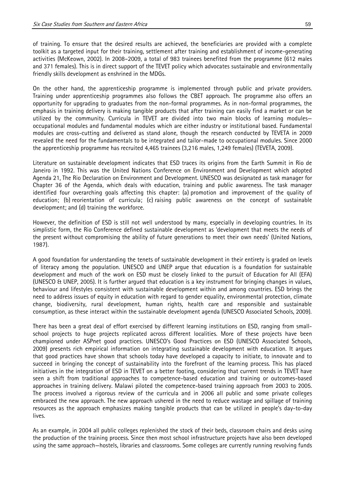of training. To ensure that the desired results are achieved, the beneficiaries are provided with a complete toolkit as a targeted input for their training, settlement after training and establishment of income-generating activities (McKeown, 2002). In 2008–2009, a total of 983 trainees benefited from the programme (612 males and 371 females). This is in direct support of the TEVET policy which advocates sustainable and environmentally friendly skills development as enshrined in the MDGs.

On the other hand, the apprenticeship programme is implemented through public and private providers. Training under apprenticeship programmes also follows the CBET approach. The programme also offers an opportunity for upgrading to graduates from the non-formal programmes. As in non-formal programmes, the emphasis in training delivery is making tangible products that after training can easily find a market or can be utilized by the community. Curricula in TEVET are divided into two main blocks of learning modules occupational modules and fundamental modules which are either industry or institutional based. Fundamental modules are cross-cutting and delivered as stand alone, though the research conducted by TEVETA in 2009 revealed the need for the fundamentals to be integrated and tailor-made to occupational modules. Since 2000 the apprenticeship programme has recruited 4,465 trainees (3,216 males, 1,249 females) (TEVETA, 2009).

Literature on sustainable development indicates that ESD traces its origins from the Earth Summit in Rio de Janeiro in 1992. This was the United Nations Conference on Environment and Development which adopted Agenda 21, The Rio Declaration on Environment and Development. UNESCO was designated as task manager for Chapter 36 of the Agenda, which deals with education, training and public awareness. The task manager identified four overarching goals affecting this chapter: (a) promotion and improvement of the quality of education; (b) reorientation of curricula; (c) raising public awareness on the concept of sustainable development; and (d) training the workforce.

However, the definition of ESD is still not well understood by many, especially in developing countries. In its simplistic form, the Rio Conference defined sustainable development as 'development that meets the needs of the present without compromising the ability of future generations to meet their own needs' (United Nations, 1987).

A good foundation for understanding the tenets of sustainable development in their entirety is graded on levels of literacy among the population. UNESCO and UNEP argue that education is a foundation for sustainable development and much of the work on ESD must be closely linked to the pursuit of Education for All (EFA) (UNESCO & UNEP, 2005). It is further argued that education is a key instrument for bringing changes in values, behaviour and lifestyles consistent with sustainable development within and among countries. ESD brings the need to address issues of equity in education with regard to gender equality, environmental protection, climate change, biodiversity, rural development, human rights, health care and responsible and sustainable consumption, as these interact within the sustainable development agenda (UNESCO Associated Schools, 2009).

There has been a great deal of effort exercised by different learning institutions on ESD, ranging from smallschool projects to huge projects replicated across different localities. More of these projects have been championed under ASPnet good practices. UNESCO's Good Practices on ESD (UNESCO Associated Schools, 2009) presents rich empirical information on integrating sustainable development with education. It argues that good practices have shown that schools today have developed a capacity to initiate, to innovate and to succeed in bringing the concept of sustainability into the forefront of the learning process. This has placed initiatives in the integration of ESD in TEVET on a better footing, considering that current trends in TEVET have seen a shift from traditional approaches to competence-based education and training or outcomes-based approaches in training delivery. Malawi piloted the competence-based training approach from 2003 to 2005. The process involved a rigorous review of the curricula and in 2006 all public and some private colleges embraced the new approach. The new approach ushered in the need to reduce wastage and spillage of training resources as the approach emphasizes making tangible products that can be utilized in people's day-to-day lives.

As an example, in 2004 all public colleges replenished the stock of their beds, classroom chairs and desks using the production of the training process. Since then most school infrastructure projects have also been developed using the same approach—hostels, libraries and classrooms. Some colleges are currently running revolving funds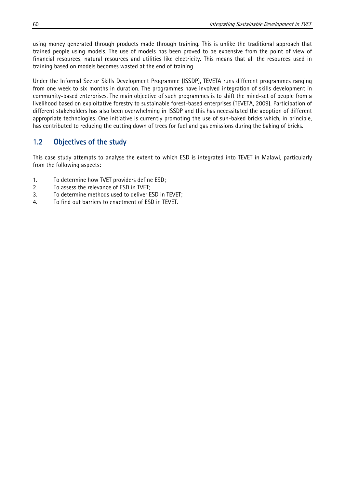using money generated through products made through training. This is unlike the traditional approach that trained people using models. The use of models has been proved to be expensive from the point of view of financial resources, natural resources and utilities like electricity. This means that all the resources used in training based on models becomes wasted at the end of training.

Under the Informal Sector Skills Development Programme (ISSDP), TEVETA runs different programmes ranging from one week to six months in duration. The programmes have involved integration of skills development in community-based enterprises. The main objective of such programmes is to shift the mind-set of people from a livelihood based on exploitative forestry to sustainable forest-based enterprises (TEVETA, 2009). Participation of different stakeholders has also been overwhelming in ISSDP and this has necessitated the adoption of different appropriate technologies. One initiative is currently promoting the use of sun-baked bricks which, in principle, has contributed to reducing the cutting down of trees for fuel and gas emissions during the baking of bricks.

#### 1.2 Objectives of the study

This case study attempts to analyse the extent to which ESD is integrated into TEVET in Malawi, particularly from the following aspects:

- 1. To determine how TVET providers define ESD;
- 2. To assess the relevance of ESD in TVET;
- 3. To determine methods used to deliver ESD in TEVET;
- 4. To find out barriers to enactment of ESD in TEVET.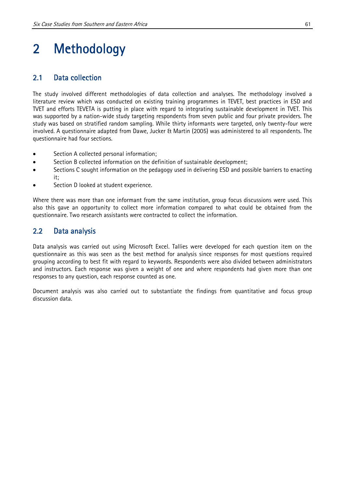# 2 Methodology

#### 2.1 Data collection

The study involved different methodologies of data collection and analyses. The methodology involved a literature review which was conducted on existing training programmes in TEVET, best practices in ESD and TVET and efforts TEVETA is putting in place with regard to integrating sustainable development in TVET. This was supported by a nation-wide study targeting respondents from seven public and four private providers. The study was based on stratified random sampling. While thirty informants were targeted, only twenty-four were involved. A questionnaire adapted from Dawe, Jucker & Martin (2005) was administered to all respondents. The questionnaire had four sections.

- Section A collected personal information;
- Section B collected information on the definition of sustainable development;
- Sections C sought information on the pedagogy used in delivering ESD and possible barriers to enacting it;
- Section D looked at student experience.

Where there was more than one informant from the same institution, group focus discussions were used. This also this gave an opportunity to collect more information compared to what could be obtained from the questionnaire. Two research assistants were contracted to collect the information.

#### 2.2 Data analysis

Data analysis was carried out using Microsoft Excel. Tallies were developed for each question item on the questionnaire as this was seen as the best method for analysis since responses for most questions required grouping according to best fit with regard to keywords. Respondents were also divided between administrators and instructors. Each response was given a weight of one and where respondents had given more than one responses to any question, each response counted as one.

Document analysis was also carried out to substantiate the findings from quantitative and focus group discussion data.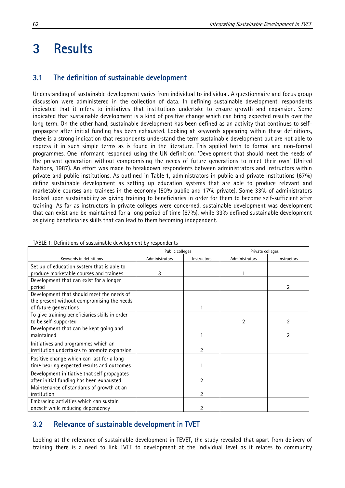### 3 Results

#### 3.1 The definition of sustainable development

Understanding of sustainable development varies from individual to individual. A questionnaire and focus group discussion were administered in the collection of data. In defining sustainable development, respondents indicated that it refers to initiatives that institutions undertake to ensure growth and expansion. Some indicated that sustainable development is a kind of positive change which can bring expected results over the long term. On the other hand, sustainable development has been defined as an activity that continues to selfpropagate after initial funding has been exhausted. Looking at keywords appearing within these definitions, there is a strong indication that respondents understand the term sustainable development but are not able to express it in such simple terms as is found in the literature. This applied both to formal and non-formal programmes. One informant responded using the UN definition: 'Development that should meet the needs of the present generation without compromising the needs of future generations to meet their own' (United Nations, 1987). An effort was made to breakdown respondents between administrators and instructors within private and public institutions. As outlined in Table 1, administrators in public and private institutions (67%) define sustainable development as setting up education systems that are able to produce relevant and marketable courses and trainees in the economy (50% public and 17% private). Some 33% of administrators looked upon sustainability as giving training to beneficiaries in order for them to become self-sufficient after training. As far as instructors in private colleges were concerned, sustainable development was development that can exist and be maintained for a long period of time (67%), while 33% defined sustainable development as giving beneficiaries skills that can lead to them becoming independent.

|                                                | Public colleges |             | Private colleges |             |
|------------------------------------------------|-----------------|-------------|------------------|-------------|
| Keywords in definitions                        | Administrators  | Instructors | Administrators   | Instructors |
| Set up of education system that is able to     |                 |             |                  |             |
| produce marketable courses and trainees        | 3               |             |                  |             |
| Development that can exist for a longer        |                 |             |                  |             |
| period                                         |                 |             |                  | 2           |
| Development that should meet the needs of      |                 |             |                  |             |
| the present without compromising the needs     |                 |             |                  |             |
| of future generations                          |                 |             |                  |             |
| To give training beneficiaries skills in order |                 |             |                  |             |
| to be self-supported                           |                 |             | 2                |             |
| Development that can be kept going and         |                 |             |                  |             |
| maintained                                     |                 |             |                  |             |
| Initiatives and programmes which an            |                 |             |                  |             |
| institution undertakes to promote expansion    |                 | 2           |                  |             |
| Positive change which can last for a long      |                 |             |                  |             |
| time bearing expected results and outcomes     |                 |             |                  |             |
| Development initiative that self propagates    |                 |             |                  |             |
| after initial funding has been exhausted       |                 | 2           |                  |             |
| Maintenance of standards of growth at an       |                 |             |                  |             |
| institution                                    |                 | 2           |                  |             |
| Embracing activities which can sustain         |                 |             |                  |             |
| oneself while reducing dependency              |                 | 2           |                  |             |

TABLE 1: Definitions of sustainable development by respondents

#### 3.2 Relevance of sustainable development in TVET

Looking at the relevance of sustainable development in TEVET, the study revealed that apart from delivery of training there is a need to link TVET to development at the individual level as it relates to community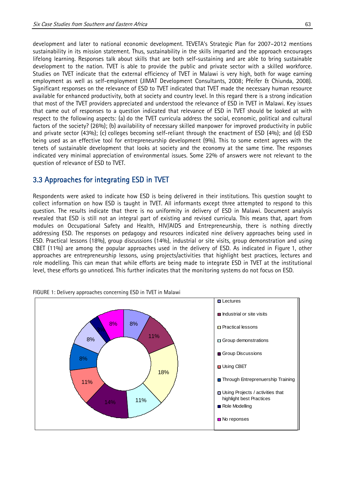development and later to national economic development. TEVETA's Strategic Plan for 2007–2012 mentions sustainability in its mission statement. Thus, sustainability in the skills imparted and the approach encourages lifelong learning. Responses talk about skills that are both self-sustaining and are able to bring sustainable development to the nation. TVET is able to provide the public and private sector with a skilled workforce. Studies on TVET indicate that the external efficiency of TVET in Malawi is very high, both for wage earning employment as well as self-employment (JIMAT Development Consultants, 2008; Pfeifer & Chiunda, 2008). Significant responses on the relevance of ESD to TVET indicated that TVET made the necessary human resource available for enhanced productivity, both at society and country level. In this regard there is a strong indication that most of the TVET providers appreciated and understood the relevance of ESD in TVET in Malawi. Key issues that came out of responses to a question indicated that relevance of ESD in TVET should be looked at with respect to the following aspects: (a) do the TVET curricula address the social, economic, political and cultural factors of the society? (26%); (b) availability of necessary skilled manpower for improved productivity in public and private sector (43%); (c) colleges becoming self-reliant through the enactment of ESD (4%); and (d) ESD being used as an effective tool for entrepreneurship development (9%). This to some extent agrees with the tenets of sustainable development that looks at society and the economy at the same time. The responses indicated very minimal appreciation of environmental issues. Some 22% of answers were not relevant to the question of relevance of ESD to TVET.

#### 3.3 Approaches for integrating ESD in TVET

Respondents were asked to indicate how ESD is being delivered in their institutions. This question sought to collect information on how ESD is taught in TVET. All informants except three attempted to respond to this question. The results indicate that there is no uniformity in delivery of ESD in Malawi. Document analysis revealed that ESD is still not an integral part of existing and revised curricula. This means that, apart from modules on Occupational Safety and Health, HIV/AIDS and Entrepreneurship, there is nothing directly addressing ESD. The responses on pedagogy and resources indicated nine delivery approaches being used in ESD. Practical lessons (18%), group discussions (14%), industrial or site visits, group demonstration and using CBET (11%) are among the popular approaches used in the delivery of ESD. As indicated in Figure 1, other approaches are entrepreneurship lessons, using projects/activities that highlight best practices, lectures and role modelling. This can mean that while efforts are being made to integrate ESD in TVET at the institutional level, these efforts go unnoticed. This further indicates that the monitoring systems do not focus on ESD.



FIGURE 1: Delivery approaches concerning ESD in TVET in Malawi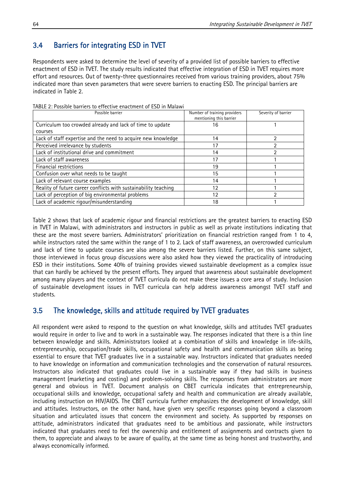#### 3.4 Barriers for integrating ESD in TVET

Respondents were asked to determine the level of severity of a provided list of possible barriers to effective enactment of ESD in TVET. The study results indicated that effective integration of ESD in TVET requires more effort and resources. Out of twenty-three questionnaires received from various training providers, about 75% indicated more than seven parameters that were severe barriers to enacting ESD. The principal barriers are indicated in Table 2.

| Possible barrier                                                | Number of training providers<br>mentioning this barrier | Severity of barrier |
|-----------------------------------------------------------------|---------------------------------------------------------|---------------------|
| Curriculum too crowded already and lack of time to update       | 16                                                      |                     |
| courses                                                         |                                                         |                     |
| Lack of staff expertise and the need to acquire new knowledge   | 14                                                      |                     |
| Perceived irrelevance by students                               | 17                                                      |                     |
| Lack of institutional drive and commitment                      | 14                                                      |                     |
| Lack of staff awareness                                         | 17                                                      |                     |
| Financial restrictions                                          | 19                                                      |                     |
| Confusion over what needs to be taught                          | 15                                                      |                     |
| Lack of relevant course examples                                | 14                                                      |                     |
| Reality of future career conflicts with sustainability teaching | 12                                                      |                     |
| Lack of perception of big environmental problems                | 12                                                      | າ                   |
| Lack of academic rigour/misunderstanding                        | 18                                                      |                     |

TABLE 2: Possible barriers to effective enactment of ESD in Malawi

Table 2 shows that lack of academic rigour and financial restrictions are the greatest barriers to enacting ESD in TVET in Malawi, with administrators and instructors in public as well as private institutions indicating that these are the most severe barriers. Administrators' prioritization on financial restriction ranged from 1 to 4, while instructors rated the same within the range of 1 to 2. Lack of staff awareness, an overcrowded curriculum and lack of time to update courses are also among the severe barriers listed. Further, on this same subject, those interviewed in focus group discussions were also asked how they viewed the practicality of introducing ESD in their institutions. Some 40% of training provides viewed sustainable development as a complex issue that can hardly be achieved by the present efforts. They argued that awareness about sustainable development among many players and the context of TVET curricula do not make these issues a core area of study. Inclusion of sustainable development issues in TVET curricula can help address awareness amongst TVET staff and students.

#### 3.5 The knowledge, skills and attitude required by TVET graduates

All respondent were asked to respond to the question on what knowledge, skills and attitudes TVET graduates would require in order to live and to work in a sustainable way. The responses indicated that there is a thin line between knowledge and skills. Administrators looked at a combination of skills and knowledge in life-skills, entrepreneurship, occupation/trade skills, occupational safety and health and communication skills as being essential to ensure that TVET graduates live in a sustainable way. Instructors indicated that graduates needed to have knowledge on information and communication technologies and the conservation of natural resources. Instructors also indicated that graduates could live in a sustainable way if they had skills in business management (marketing and costing) and problem-solving skills. The responses from administrators are more general and obvious in TVET. Document analysis on CBET curricula indicates that entrepreneurship, occupational skills and knowledge, occupational safety and health and communication are already available, including instruction on HIV/AIDS. The CBET curricula further emphasizes the development of knowledge, skill and attitudes. Instructors, on the other hand, have given very specific responses going beyond a classroom situation and articulated issues that concern the environment and society. As supported by responses on attitude, administrators indicated that graduates need to be ambitious and passionate, while instructors indicated that graduates need to feel the ownership and entitlement of assignments and contracts given to them, to appreciate and always to be aware of quality, at the same time as being honest and trustworthy, and always economically informed.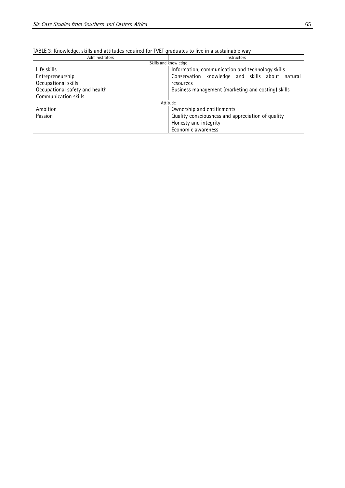| TABLE 3: Knowledge, skills and attitudes required for TVET graduates to live in a sustainable way |  |  |  |
|---------------------------------------------------------------------------------------------------|--|--|--|
|---------------------------------------------------------------------------------------------------|--|--|--|

| TADLE 3. KNOWICUJE, SKIIIS ANU ALLILUUCS TCYUNCU TOT TVET YHAUUALCS LO HVC IN A SUSLAMAOIC WAY |                                                    |  |  |  |
|------------------------------------------------------------------------------------------------|----------------------------------------------------|--|--|--|
| Administrators                                                                                 | <b>Instructors</b>                                 |  |  |  |
| Skills and knowledge                                                                           |                                                    |  |  |  |
| Life skills                                                                                    | Information, communication and technology skills   |  |  |  |
| Entrepreneurship                                                                               | Conservation knowledge and skills about natural    |  |  |  |
| Occupational skills                                                                            | resources                                          |  |  |  |
| Occupational safety and health                                                                 | Business management (marketing and costing) skills |  |  |  |
| Communication skills                                                                           |                                                    |  |  |  |
| Attitude                                                                                       |                                                    |  |  |  |
| Ambition                                                                                       | Ownership and entitlements                         |  |  |  |
| Passion                                                                                        | Quality consciousness and appreciation of quality  |  |  |  |
|                                                                                                | Honesty and integrity                              |  |  |  |
|                                                                                                | Economic awareness                                 |  |  |  |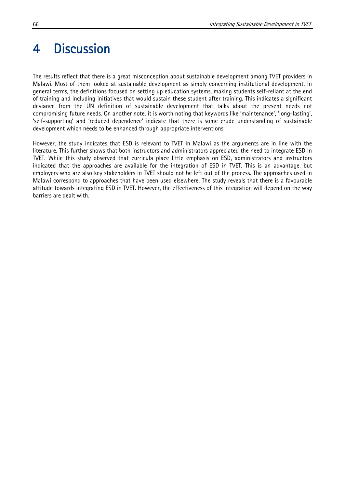## 4 Discussion

The results reflect that there is a great misconception about sustainable development among TVET providers in Malawi. Most of them looked at sustainable development as simply concerning institutional development. In general terms, the definitions focused on setting up education systems, making students self-reliant at the end of training and including initiatives that would sustain these student after training. This indicates a significant deviance from the UN definition of sustainable development that talks about the present needs not compromising future needs. On another note, it is worth noting that keywords like 'maintenance', 'long-lasting', 'self-supporting' and 'reduced dependence' indicate that there is some crude understanding of sustainable development which needs to be enhanced through appropriate interventions.

However, the study indicates that ESD is relevant to TVET in Malawi as the arguments are in line with the literature. This further shows that both instructors and administrators appreciated the need to integrate ESD in TVET. While this study observed that curricula place little emphasis on ESD, administrators and instructors indicated that the approaches are available for the integration of ESD in TVET. This is an advantage, but employers who are also key stakeholders in TVET should not be left out of the process. The approaches used in Malawi correspond to approaches that have been used elsewhere. The study reveals that there is a favourable attitude towards integrating ESD in TVET. However, the effectiveness of this integration will depend on the way barriers are dealt with.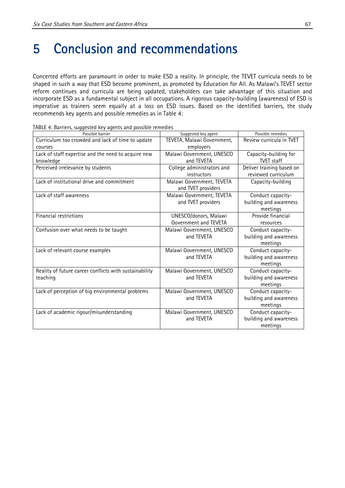# 5 Conclusion and recommendations

Concerted efforts are paramount in order to make ESD a reality. In principle, the TEVET curricula needs to be shaped in such a way that ESD become prominent, as promoted by Education for All. As Malawi's TEVET sector reform continues and curricula are being updated, stakeholders can take advantage of this situation and incorporate ESD as a fundamental subject in all occupations. A rigorous capacity-building (awareness) of ESD is imperative as trainers seem equally at a loss on ESD issues. Based on the identified barriers, the study recommends key agents and possible remedies as in Table 4:

| Possible barrier                                       | Suggested key agent        | Possible remedies         |
|--------------------------------------------------------|----------------------------|---------------------------|
| Curriculum too crowded and lack of time to update      | TEVETA, Malawi Government, | Review curricula in TVET  |
| courses                                                | employers                  |                           |
| Lack of staff expertise and the need to acquire new    | Malawi Government, UNESCO  | Capacity-building for     |
| knowledge                                              | and TEVETA                 | <b>TVET</b> staff         |
| Perceived irrelevance by students                      | College administrators and | Deliver training based on |
|                                                        | instructors                | reviewed curriculum       |
| Lack of institutional drive and commitment             | Malawi Government, TEVETA  | Capacity-building         |
|                                                        | and TVET providers         |                           |
| Lack of staff awareness                                | Malawi Government, TEVETA  | Conduct capacity-         |
|                                                        | and TVET providers         | building and awareness    |
|                                                        |                            | meetings                  |
| Financial restrictions                                 | UNESCO/donors, Malawi      | Provide financial         |
|                                                        | Government and TEVETA      | resources                 |
| Confusion over what needs to be taught                 | Malawi Government, UNESCO  | Conduct capacity-         |
|                                                        | and TEVETA                 | building and awareness    |
|                                                        |                            | meetings                  |
| Lack of relevant course examples                       | Malawi Government, UNESCO  | Conduct capacity-         |
|                                                        | and TEVETA                 | building and awareness    |
|                                                        |                            | meetings                  |
| Reality of future career conflicts with sustainability | Malawi Government, UNESCO  | Conduct capacity-         |
| teaching                                               | and TEVETA                 | building and awareness    |
|                                                        |                            | meetings                  |
| Lack of perception of big environmental problems       | Malawi Government, UNESCO  | Conduct capacity-         |
|                                                        | and TEVETA                 | building and awareness    |
|                                                        |                            | meetings                  |
| Lack of academic rigour/misunderstanding               | Malawi Government, UNESCO  | Conduct capacity-         |
|                                                        | and TEVETA                 | building and awareness    |
|                                                        |                            | meetings                  |

TABLE 4: Barriers, suggested key agents and possible remedies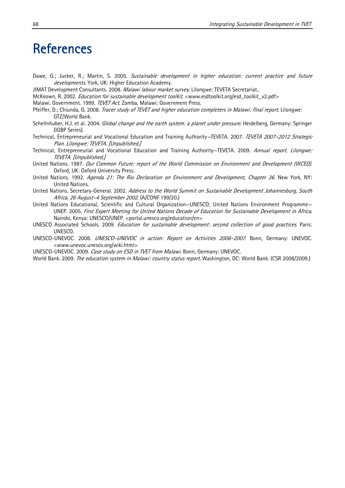### References

- Dawe, G.; Jucker, R.; Martin, S. 2005. Sustainable development in higher education: current practice and future developments. York, UK: Higher Education Academy.
- JIMAT Development Consultants. 2008. Malawi labour market survey. Lilongwe: TEVETA Secretariat..
- McKeown, R. 2002. Education for sustainable development toolkit. <www.esdtoolkit.org/esd\_toolkit\_v2.pdf>
- Malawi. Government. 1999. TEVET Act. Zomba, Malawi: Government Press.
- Pfeiffer, D.; Chiunda, G. 2008. Tracer study of TEVET and higher education completers in Malawi: final report. Lilongwe: GTZ/World Bank.
- Schellnhuber, H.J. et al. 2004. Global change and the earth system: a planet under pressure. Heidelberg, Germany: Springer (IGBP Series).
- Technical, Entrepreneurial and Vocational Education and Training Authority–TEVETA. 2007. TEVETA 2007-2012 Strategic Plan. Lilongwe: TEVETA. [Unpublished.]
- Technical, Entrepreneurial and Vocational Education and Training Authority-TEVETA. 2009. Annual report. Lilongwe: TEVETA. [Unpublished.]
- United Nations. 1987. Our Common Future: report of the World Commission on Environment and Development (WCED). Oxford, UK: Oxford University Press.
- United Nations. 1992. Agenda 21: The Rio Declaration on Environment and Development, Chapter 36. New York, NY: United Nations.
- United Nations. Secretary-General. 2002. Address to the World Summit on Sustainable Development Johannesburg, South Africa, 26 August–4 September 2002. (A/CONF.199/20.)
- United Nations Educational, Scientific and Cultural Organization—UNESCO; United Nations Environment Programme— UNEP. 2005. First Expert Meeting for United Nations Decade of Education for Sustainable Development in Africa. Nairobi, Kenya: UNESCO/UNEP. <portal.unesco.org/education/en>
- UNESCO Associated Schools. 2009. Education for sustainable development: second collection of good practices. Paris: UNESCO.
- UNESCO-UNEVOC. 2008. UNESCO–UNEVOC in action: Report on Activities 2006–2007. Bonn, Germany: UNEVOC. <www.unevoc.unesco.org/wiki.html>
- UNESCO-UNEVOC. 2009. Case study on ESD in TVET from Malawi. Bonn, Germany: UNEVOC.
- World Bank. 2009. The education system in Malawi: country status report. Washington, DC: World Bank. (CSR 2008/2009.)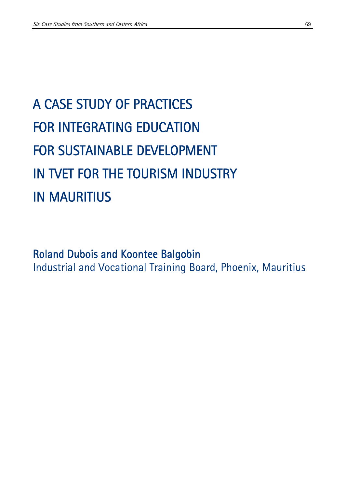# A CASE STUDY OF PRACTICES FOR INTEGRATING EDUCATION FOR SUSTAINABLE DEVELOPMENT IN TVET FOR THE TOURISM INDUSTRY IN MAURITIUS

### Roland Dubois and Koontee Balgobin Industrial and Vocational Training Board, Phoenix, Mauritius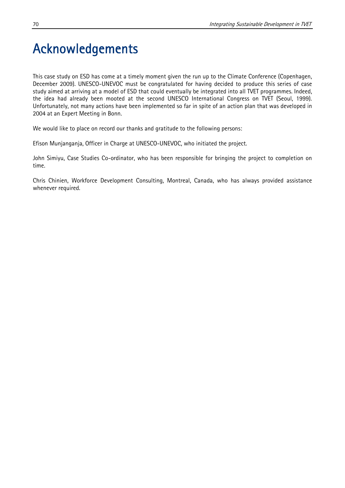# Acknowledgements

This case study on ESD has come at a timely moment given the run up to the Climate Conference (Copenhagen, December 2009). UNESCO-UNEVOC must be congratulated for having decided to produce this series of case study aimed at arriving at a model of ESD that could eventually be integrated into all TVET programmes. Indeed, the idea had already been mooted at the second UNESCO International Congress on TVET (Seoul, 1999). Unfortunately, not many actions have been implemented so far in spite of an action plan that was developed in 2004 at an Expert Meeting in Bonn.

We would like to place on record our thanks and gratitude to the following persons:

Efison Munjanganja, Officer in Charge at UNESCO-UNEVOC, who initiated the project.

John Simiyu, Case Studies Co-ordinator, who has been responsible for bringing the project to completion on time.

Chris Chinien, Workforce Development Consulting, Montreal, Canada, who has always provided assistance whenever required.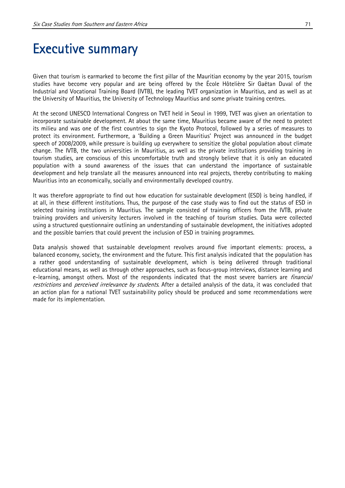### Executive summary

Given that tourism is earmarked to become the first pillar of the Mauritian economy by the year 2015, tourism studies have become very popular and are being offered by the École Hôtelière Sir Gaëtan Duval of the Industrial and Vocational Training Board (IVTB), the leading TVET organization in Mauritius, and as well as at the University of Mauritius, the University of Technology Mauritius and some private training centres.

At the second UNESCO International Congress on TVET held in Seoul in 1999, TVET was given an orientation to incorporate sustainable development. At about the same time, Mauritius became aware of the need to protect its milieu and was one of the first countries to sign the Kyoto Protocol, followed by a series of measures to protect its environment. Furthermore, a 'Building a Green Mauritius' Project was announced in the budget speech of 2008/2009, while pressure is building up everywhere to sensitize the global population about climate change. The IVTB, the two universities in Mauritius, as well as the private institutions providing training in tourism studies, are conscious of this uncomfortable truth and strongly believe that it is only an educated population with a sound awareness of the issues that can understand the importance of sustainable development and help translate all the measures announced into real projects, thereby contributing to making Mauritius into an economically, socially and environmentally developed country.

It was therefore appropriate to find out how education for sustainable development (ESD) is being handled, if at all, in these different institutions. Thus, the purpose of the case study was to find out the status of ESD in selected training institutions in Mauritius. The sample consisted of training officers from the IVTB, private training providers and university lecturers involved in the teaching of tourism studies. Data were collected using a structured questionnaire outlining an understanding of sustainable development, the initiatives adopted and the possible barriers that could prevent the inclusion of ESD in training programmes.

Data analysis showed that sustainable development revolves around five important elements: process, a balanced economy, society, the environment and the future. This first analysis indicated that the population has a rather good understanding of sustainable development, which is being delivered through traditional educational means, as well as through other approaches, such as focus-group interviews, distance learning and e-learning, amongst others. Most of the respondents indicated that the most severe barriers are *financial* restrictions and perceived irrelevance by students. After a detailed analysis of the data, it was concluded that an action plan for a national TVET sustainability policy should be produced and some recommendations were made for its implementation.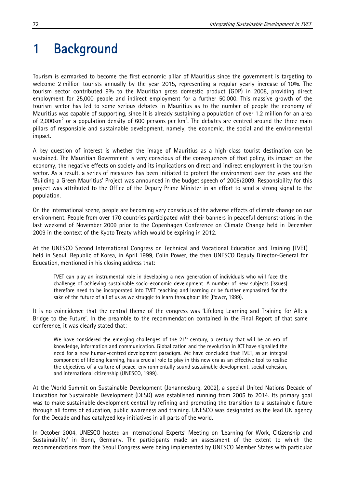## 1 Background

Tourism is earmarked to become the first economic pillar of Mauritius since the government is targeting to welcome 2 million tourists annually by the year 2015, representing a regular yearly increase of 10%. The tourism sector contributed 9% to the Mauritian gross domestic product (GDP) in 2008, providing direct employment for 25,000 people and indirect employment for a further 50,000. This massive growth of the tourism sector has led to some serious debates in Mauritius as to the number of people the economy of Mauritius was capable of supporting, since it is already sustaining a population of over 1.2 million for an area of 2,000km<sup>2</sup> or a population density of 600 persons per km<sup>2</sup>. The debates are centred around the three main pillars of responsible and sustainable development, namely, the economic, the social and the environmental impact.

A key question of interest is whether the image of Mauritius as a high-class tourist destination can be sustained. The Mauritian Government is very conscious of the consequences of that policy, its impact on the economy, the negative effects on society and its implications on direct and indirect employment in the tourism sector. As a result, a series of measures has been initiated to protect the environment over the years and the 'Building a Green Mauritius' Project was announced in the budget speech of 2008/2009. Responsibility for this project was attributed to the Office of the Deputy Prime Minister in an effort to send a strong signal to the population.

On the international scene, people are becoming very conscious of the adverse effects of climate change on our environment. People from over 170 countries participated with their banners in peaceful demonstrations in the last weekend of November 2009 prior to the Copenhagen Conference on Climate Change held in December 2009 in the context of the Kyoto Treaty which would be expiring in 2012.

At the UNESCO Second International Congress on Technical and Vocational Education and Training (TVET) held in Seoul, Republic of Korea, in April 1999, Colin Power, the then UNESCO Deputy Director-General for Education, mentioned in his closing address that:

TVET can play an instrumental role in developing a new generation of individuals who will face the challenge of achieving sustainable socio-economic development. A number of new subjects (issues) therefore need to be incorporated into TVET teaching and learning or be further emphasized for the sake of the future of all of us as we struggle to learn throughout life (Power, 1999).

It is no coincidence that the central theme of the congress was 'Lifelong Learning and Training for All: a Bridge to the Future'. In the preamble to the recommendation contained in the Final Report of that same conference, it was clearly stated that:

We have considered the emerging challenges of the  $21<sup>st</sup>$  century, a century that will be an era of knowledge, information and communication. Globalization and the revolution in ICT have signalled the need for a new human-centred development paradigm. We have concluded that TVET, as an integral component of lifelong learning, has a crucial role to play in this new era as an effective tool to realise the objectives of a culture of peace, environmentally sound sustainable development, social cohesion, and international citizenship (UNESCO, 1999).

At the World Summit on Sustainable Development (Johannesburg, 2002), a special United Nations Decade of Education for Sustainable Development (DESD) was established running from 2005 to 2014. Its primary goal was to make sustainable development central by refining and promoting the transition to a sustainable future through all forms of education, public awareness and training. UNESCO was designated as the lead UN agency for the Decade and has catalyzed key initiatives in all parts of the world.

In October 2004, UNESCO hosted an International Experts' Meeting on 'Learning for Work, Citizenship and Sustainability' in Bonn, Germany. The participants made an assessment of the extent to which the recommendations from the Seoul Congress were being implemented by UNESCO Member States with particular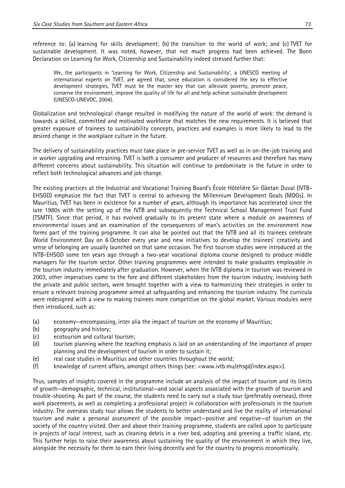reference to: (a) learning for skills development; (b) the transition to the world of work; and (c) TVET for sustainable development. It was noted, however, that not much progress had been achieved. The Bonn Declaration on Learning for Work, Citizenship and Sustainability indeed stressed further that:

We, the participants in 'Learning for Work, Citizenship and Sustainability', a UNESCO meeting of international experts on TVET, are agreed that, since education is considered the key to effective development strategies, TVET must be the master key that can alleviate poverty, promote peace, conserve the environment, improve the quality of life for all and help achieve sustainable development (UNESCO-UNEVOC, 2004).

Globalization and technological change resulted in modifying the nature of the world of work: the demand is towards a skilled, committed and motivated workforce that matches the new requirements. It is believed that greater exposure of trainees to sustainability concepts, practices and examples is more likely to lead to the desired change in the workplace culture in the future.

The delivery of sustainability practices must take place in pre-service TVET as well as in on-the-job training and in worker upgrading and retraining. TVET is both a consumer and producer of resources and therefore has many different concerns about sustainability. This situation will continue to predominate in the future in order to reflect both technological advances and job change.

The existing practices at the Industrial and Vocational Training Board's École Hôtelière Sir Gäetan Duval (IVTB-EHSGD) emphasize the fact that TVET is central to achieving the Millennium Development Goals (MDGs). In Mauritius, TVET has been in existence for a number of years, although its importance has accelerated since the late 1980s with the setting up of the IVTB and subsequently the Technical School Management Trust Fund (TSMTF). Since that period, it has evolved gradually to its present state where a module on awareness of environmental issues and an examination of the consequences of man's activities on the environment now forms part of the training programme. It can also be pointed out that the IVTB and all its trainees celebrate World Environment Day on 6 October every year and new initiatives to develop the trainees' creativity and sense of belonging are usually launched on that same occasion. The first tourism studies were introduced at the IVTB-EHSGD some ten years ago through a two-year vocational diploma course designed to produce middle managers for the tourism sector. Other training programmes were intended to make graduates employable in the tourism industry immediately after graduation. However, when the IVTB diploma in tourism was reviewed in 2003, other imperatives came to the fore and different stakeholders from the tourism industry, involving both the private and public sectors, were brought together with a view to harmonizing their strategies in order to ensure a relevant training programme aimed at safeguarding and enhancing the tourism industry. The curricula were redesigned with a view to making trainees more competitive on the global market. Various modules were then introduced, such as:

- (a) economy—encompassing, inter alia the impact of tourism on the economy of Mauritius;
- (b) geography and history;
- (c) ecotourism and cultural tourism;
- (d) tourism planning where the teaching emphasis is laid on an understanding of the importance of proper planning and the development of tourism in order to sustain it;
- (e) real case studies in Mauritius and other countries throughout the world;
- (f) knowledge of current affairs, amongst others things (see: <www.ivtb.mu/ehsgd/index.aspx>).

Thus, samples of insights covered in the programme include an analysis of the impact of tourism and its limits of growth—demographic, technical, institutional—and social aspects associated with the growth of tourism and trouble-shooting. As part of the course, the students need to carry out a study tour (preferably overseas), three work placements, as well as completing a professional project in collaboration with professionals in the tourism industry. The overseas study tour allows the students to better understand and live the reality of international tourism and make a personal assessment of the possible impact—positive and negative—of tourism on the society of the country visited. Over and above their training programme, students are called upon to participate in projects of local interest, such as cleaning debris in a river bed, adopting and greening a traffic island, etc. This further helps to raise their awareness about sustaining the quality of the environment in which they live, alongside the necessity for them to earn their living decently and for the country to progress economically.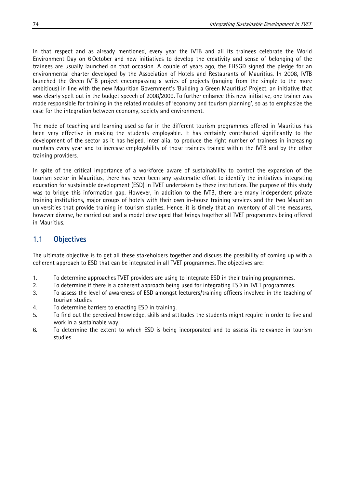In that respect and as already mentioned, every year the IVTB and all its trainees celebrate the World Environment Day on 6 October and new initiatives to develop the creativity and sense of belonging of the trainees are usually launched on that occasion. A couple of years ago, the EHSGD signed the pledge for an environmental charter developed by the Association of Hotels and Restaurants of Mauritius. In 2008, IVTB launched the Green IVTB project encompassing a series of projects (ranging from the simple to the more ambitious) in line with the new Mauritian Government's 'Building a Green Mauritius' Project, an initiative that was clearly spelt out in the budget speech of 2008/2009. To further enhance this new initiative, one trainer was made responsible for training in the related modules of 'economy and tourism planning', so as to emphasize the case for the integration between economy, society and environment.

The mode of teaching and learning used so far in the different tourism programmes offered in Mauritius has been very effective in making the students employable. It has certainly contributed significantly to the development of the sector as it has helped, inter alia, to produce the right number of trainees in increasing numbers every year and to increase employability of those trainees trained within the IVTB and by the other training providers.

In spite of the critical importance of a workforce aware of sustainability to control the expansion of the tourism sector in Mauritius, there has never been any systematic effort to identify the initiatives integrating education for sustainable development (ESD) in TVET undertaken by these institutions. The purpose of this study was to bridge this information gap. However, in addition to the IVTB, there are many independent private training institutions, major groups of hotels with their own in-house training services and the two Mauritian universities that provide training in tourism studies. Hence, it is timely that an inventory of all the measures, however diverse, be carried out and a model developed that brings together all TVET programmes being offered in Mauritius.

## 1.1 Objectives

The ultimate objective is to get all these stakeholders together and discuss the possibility of coming up with a coherent approach to ESD that can be integrated in all TVET programmes. The objectives are:

- 1. To determine approaches TVET providers are using to integrate ESD in their training programmes.
- 2. To determine if there is a coherent approach being used for integrating ESD in TVET programmes.
- 3. To assess the level of awareness of ESD amongst lecturers/training officers involved in the teaching of tourism studies
- 4. To determine barriers to enacting ESD in training.
- 5. To find out the perceived knowledge, skills and attitudes the students might require in order to live and work in a sustainable way.
- 6. To determine the extent to which ESD is being incorporated and to assess its relevance in tourism studies.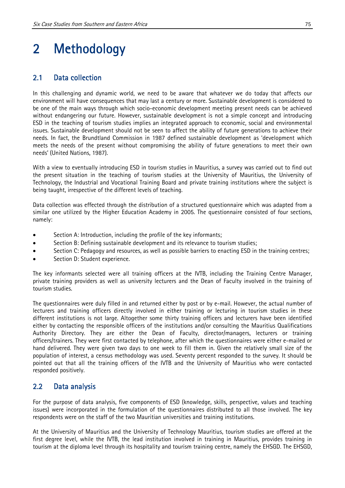# 2 Methodology

## 2.1 Data collection

In this challenging and dynamic world, we need to be aware that whatever we do today that affects our environment will have consequences that may last a century or more. Sustainable development is considered to be one of the main ways through which socio-economic development meeting present needs can be achieved without endangering our future. However, sustainable development is not a simple concept and introducing ESD in the teaching of tourism studies implies an integrated approach to economic, social and environmental issues. Sustainable development should not be seen to affect the ability of future generations to achieve their needs. In fact, the Brundtland Commission in 1987 defined sustainable development as 'development which meets the needs of the present without compromising the ability of future generations to meet their own needs' (United Nations, 1987).

With a view to eventually introducing ESD in tourism studies in Mauritius, a survey was carried out to find out the present situation in the teaching of tourism studies at the University of Mauritius, the University of Technology, the Industrial and Vocational Training Board and private training institutions where the subject is being taught, irrespective of the different levels of teaching.

Data collection was effected through the distribution of a structured questionnaire which was adapted from a similar one utilized by the Higher Education Academy in 2005. The questionnaire consisted of four sections, namely:

- Section A: Introduction, including the profile of the key informants;
- Section B: Defining sustainable development and its relevance to tourism studies;
- Section C: Pedagogy and resources, as well as possible barriers to enacting ESD in the training centres;
- Section D: Student experience.

The key informants selected were all training officers at the IVTB, including the Training Centre Manager, private training providers as well as university lecturers and the Dean of Faculty involved in the training of tourism studies.

The questionnaires were duly filled in and returned either by post or by e-mail. However, the actual number of lecturers and training officers directly involved in either training or lecturing in tourism studies in these different institutions is not large. Altogether some thirty training officers and lecturers have been identified either by contacting the responsible officers of the institutions and/or consulting the Mauritius Qualifications Authority Directory. They are either the Dean of Faculty, director/managers, lecturers or training officers/trainers. They were first contacted by telephone, after which the questionnaires were either e-mailed or hand delivered. They were given two days to one week to fill them in. Given the relatively small size of the population of interest, a census methodology was used. Seventy percent responded to the survey. It should be pointed out that all the training officers of the IVTB and the University of Mauritius who were contacted responded positively.

### 2.2 Data analysis

For the purpose of data analysis, five components of ESD (knowledge, skills, perspective, values and teaching issues) were incorporated in the formulation of the questionnaires distributed to all those involved. The key respondents were on the staff of the two Mauritian universities and training institutions.

At the University of Mauritius and the University of Technology Mauritius, tourism studies are offered at the first degree level, while the IVTB, the lead institution involved in training in Mauritius, provides training in tourism at the diploma level through its hospitality and tourism training centre, namely the EHSGD. The EHSGD,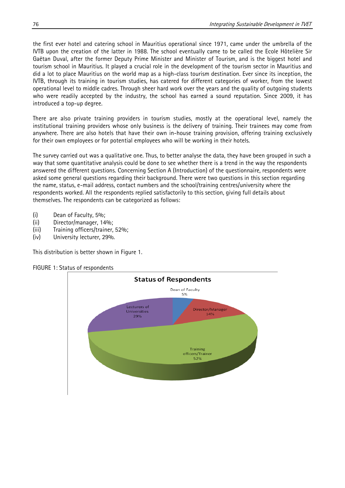the first ever hotel and catering school in Mauritius operational since 1971, came under the umbrella of the IVTB upon the creation of the latter in 1988. The school eventually came to be called the Ecole Hôtelière Sir Gaëtan Duval, after the former Deputy Prime Minister and Minister of Tourism, and is the biggest hotel and tourism school in Mauritius. It played a crucial role in the development of the tourism sector in Mauritius and did a lot to place Mauritius on the world map as a high-class tourism destination. Ever since its inception, the IVTB, through its training in tourism studies, has catered for different categories of worker, from the lowest operational level to middle cadres. Through sheer hard work over the years and the quality of outgoing students who were readily accepted by the industry, the school has earned a sound reputation. Since 2009, it has introduced a top-up degree.

There are also private training providers in tourism studies, mostly at the operational level, namely the institutional training providers whose only business is the delivery of training. Their trainees may come from anywhere. There are also hotels that have their own in-house training provision, offering training exclusively for their own employees or for potential employees who will be working in their hotels.

The survey carried out was a qualitative one. Thus, to better analyse the data, they have been grouped in such a way that some quantitative analysis could be done to see whether there is a trend in the way the respondents answered the different questions. Concerning Section A (Introduction) of the questionnaire, respondents were asked some general questions regarding their background. There were two questions in this section regarding the name, status, e-mail address, contact numbers and the school/training centres/university where the respondents worked. All the respondents replied satisfactorily to this section, giving full details about themselves. The respondents can be categorized as follows:

- (i) Dean of Faculty, 5%;
- (ii) Director/manager, 14%;
- (iii) Training officers/trainer, 52%;
- (iv) University lecturer, 29%.

This distribution is better shown in Figure 1.



#### FIGURE 1: Status of respondents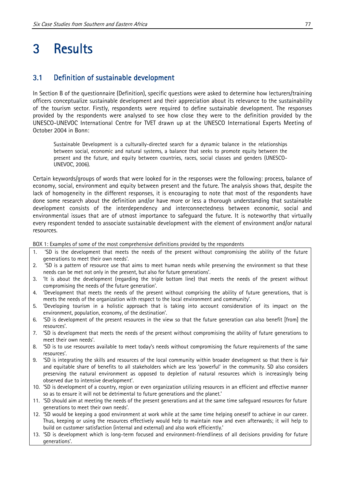## 3 Results

#### 3.1 Definition of sustainable development

In Section B of the questionnaire (Definition), specific questions were asked to determine how lecturers/training officers conceptualize sustainable development and their appreciation about its relevance to the sustainability of the tourism sector. Firstly, respondents were required to define sustainable development. The responses provided by the respondents were analysed to see how close they were to the definition provided by the UNESCO-UNEVOC International Centre for TVET drawn up at the UNESCO International Experts Meeting of October 2004 in Bonn:

Sustainable Development is a culturally-directed search for a dynamic balance in the relationships between social, economic and natural systems, a balance that seeks to promote equity between the present and the future, and equity between countries, races, social classes and genders (UNESCO-UNEVOC, 2006).

Certain keywords/groups of words that were looked for in the responses were the following: process, balance of economy, social, environment and equity between present and the future. The analysis shows that, despite the lack of homogeneity in the different responses, it is encouraging to note that most of the respondents have done some research about the definition and/or have more or less a thorough understanding that sustainable development consists of the interdependency and interconnectedness between economic, social and environmental issues that are of utmost importance to safeguard the future. It is noteworthy that virtually every respondent tended to associate sustainable development with the element of environment and/or natural resources.

BOX 1: Examples of some of the most comprehensive definitions provided by the respondents

- 1. 'SD is the development that meets the needs of the present without compromising the ability of the future generations to meet their own needs'.
- 2. 'SD is a pattern of resource use that aims to meet human needs while preserving the environment so that these needs can be met not only in the present, but also for future generations'.
- 3. 'It is about the development (regarding the triple bottom line) that meets the needs of the present without compromising the needs of the future generation'.
- 4. 'Development that meets the needs of the present without comprising the ability of future generations, that is meets the needs of the organization with respect to the local environment and community'.
- 5. 'Developing tourism in a holistic approach that is taking into account consideration of its impact on the environment, population, economy, of the destination'.
- 6. 'SD is development of the present resources in the view so that the future generation can also benefit [from] the resources'.
- 7. 'SD is development that meets the needs of the present without compromising the ability of future generations to meet their own needs'.
- 8. 'SD is to use resources available to meet today's needs without compromising the future requirements of the same resources'.
- 9. 'SD is integrating the skills and resources of the local community within broader development so that there is fair and equitable share of benefits to all stakeholders which are less 'powerful' in the community. SD also considers preserving the natural environment as opposed to depletion of natural resources which is increasingly being observed due to intensive development'.
- 10. 'SD is development of a country, region or even organization utilizing resources in an efficient and effective manner so as to ensure it will not be detrimental to future generations and the planet.'
- 11. 'SD should aim at meeting the needs of the present generations and at the same time safeguard resources for future generations to meet their own needs'.
- 12. 'SD would be keeping a good environment at work while at the same time helping oneself to achieve in our career. Thus, keeping or using the resources effectively would help to maintain now and even afterwards; it will help to build on customer satisfaction (internal and external) and also work efficiently.'
- 13. 'SD is development which is long-term focused and environment-friendliness of all decisions providing for future generations'.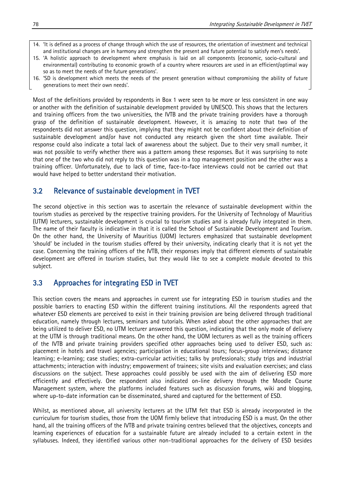- 14. 'It is defined as a process of change through which the use of resources, the orientation of investment and technical and institutional changes are in harmony and strengthen the present and future potential to satisfy men's needs'.
- 15. 'A holistic approach to development where emphasis is laid on all components (economic, socio-cultural and environmental) contributing to economic growth of a country where resources are used in an efficient/optimal way so as to meet the needs of the future generations'.
- 16. 'SD is development which meets the needs of the present generation without compromising the ability of future generations to meet their own needs'.

Most of the definitions provided by respondents in Box 1 were seen to be more or less consistent in one way or another with the definition of sustainable development provided by UNESCO. This shows that the lecturers and training officers from the two universities, the IVTB and the private training providers have a thorough grasp of the definition of sustainable development. However, it is amazing to note that two of the respondents did not answer this question, implying that they might not be confident about their definition of sustainable development and/or have not conducted any research given the short time available. Their response could also indicate a total lack of awareness about the subject. Due to their very small number, it was not possible to verify whether there was a pattern among these responses. But it was surprising to note that one of the two who did not reply to this question was in a top management position and the other was a training officer. Unfortunately, due to lack of time, face-to-face interviews could not be carried out that would have helped to better understand their motivation.

#### 3.2 Relevance of sustainable development in TVET

The second objective in this section was to ascertain the relevance of sustainable development within the tourism studies as perceived by the respective training providers. For the University of Technology of Mauritius (UTM) lecturers, sustainable development is crucial to tourism studies and is already fully integrated in them. The name of their faculty is indicative in that it is called the School of Sustainable Development and Tourism. On the other hand, the University of Mauritius (UOM) lecturers emphasized that sustainable development 'should' be included in the tourism studies offered by their university, indicating clearly that it is not yet the case. Concerning the training officers of the IVTB, their responses imply that different elements of sustainable development are offered in tourism studies, but they would like to see a complete module devoted to this subject.

#### 3.3 Approaches for integrating ESD in TVET

This section covers the means and approaches in current use for integrating ESD in tourism studies and the possible barriers to enacting ESD within the different training institutions. All the respondents agreed that whatever ESD elements are perceived to exist in their training provision are being delivered through traditional education, namely through lectures, seminars and tutorials. When asked about the other approaches that are being utilized to deliver ESD, no UTM lecturer answered this question, indicating that the only mode of delivery at the UTM is through traditional means. On the other hand, the UOM lecturers as well as the training officers of the IVTB and private training providers specified other approaches being used to deliver ESD, such as: placement in hotels and travel agencies; participation in educational tours; focus-group interviews; distance learning; e-learning; case studies; extra-curricular activities; talks by professionals; study trips and industrial attachments; interaction with industry; empowerment of trainees; site visits and evaluation exercises; and class discussions on the subject. These approaches could possibly be used with the aim of delivering ESD more efficiently and effectively. One respondent also indicated on-line delivery through the Moodle Course Management system, where the platforms included features such as discussion forums, wiki and blogging, where up-to-date information can be disseminated, shared and captured for the betterment of ESD.

Whilst, as mentioned above, all university lecturers at the UTM felt that ESD is already incorporated in the curriculum for tourism studies, those from the UOM firmly believe that introducing ESD is a must. On the other hand, all the training officers of the IVTB and private training centres believed that the objectives, concepts and learning experiences of education for a sustainable future are already included to a certain extent in the syllabuses. Indeed, they identified various other non-traditional approaches for the delivery of ESD besides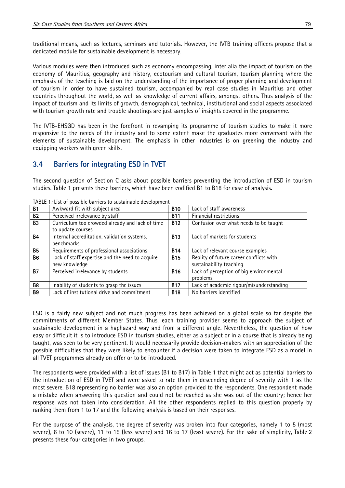traditional means, such as lectures, seminars and tutorials. However, the IVTB training officers propose that a dedicated module for sustainable development is necessary.

Various modules were then introduced such as economy encompassing, inter alia the impact of tourism on the economy of Mauritius, geography and history, ecotourism and cultural tourism, tourism planning where the emphasis of the teaching is laid on the understanding of the importance of proper planning and development of tourism in order to have sustained tourism, accompanied by real case studies in Mauritius and other countries throughout the world, as well as knowledge of current affairs, amongst others. Thus analysis of the impact of tourism and its limits of growth, demographical, technical, institutional and social aspects associated with tourism growth rate and trouble shootings are just samples of insights covered in the programme.

The IVTB-EHSGD has been in the forefront in revamping its programme of tourism studies to make it more responsive to the needs of the industry and to some extent make the graduates more conversant with the elements of sustainable development. The emphasis in other industries is on greening the industry and equipping workers with green skills.

### 3.4 Barriers for integrating ESD in TVET

The second question of Section C asks about possible barriers preventing the introduction of ESD in tourism studies. Table 1 presents these barriers, which have been codified B1 to B18 for ease of analysis.

| <b>B1</b>      | Awkward fit with subject area                   | <b>B10</b> | Lack of staff awareness                  |
|----------------|-------------------------------------------------|------------|------------------------------------------|
| <b>B2</b>      | Perceived irrelevance by staff                  | <b>B11</b> | Financial restrictions                   |
| <b>B3</b>      | Curriculum too crowded already and lack of time | <b>B12</b> | Confusion over what needs to be taught   |
|                | to update courses                               |            |                                          |
| <b>B4</b>      | Internal accreditation, validation systems,     | <b>B13</b> | Lack of markets for students             |
|                | benchmarks                                      |            |                                          |
| <b>B5</b>      | Requirements of professional associations       | <b>B14</b> | Lack of relevant course examples         |
| <b>B6</b>      | Lack of staff expertise and the need to acquire | <b>B15</b> | Reality of future career conflicts with  |
|                | new knowledge                                   |            | sustainability teaching                  |
| <b>B7</b>      | Perceived irrelevance by students               | <b>B16</b> | Lack of perception of big environmental  |
|                |                                                 |            | problems                                 |
| B <sub>8</sub> | Inability of students to grasp the issues       | <b>B17</b> | Lack of academic rigour/misunderstanding |
| <b>B</b> 9     | Lack of institutional drive and commitment      | <b>B18</b> | No barriers identified                   |

TABLE 1: List of possible barriers to sustainable development

ESD is a fairly new subject and not much progress has been achieved on a global scale so far despite the commitments of different Member States. Thus, each training provider seems to approach the subject of sustainable development in a haphazard way and from a different angle. Nevertheless, the question of how easy or difficult it is to introduce ESD in tourism studies, either as a subject or in a course that is already being taught, was seen to be very pertinent. It would necessarily provide decision-makers with an appreciation of the possible difficulties that they were likely to encounter if a decision were taken to integrate ESD as a model in all TVET programmes already on offer or to be introduced.

The respondents were provided with a list of issues (B1 to B17) in Table 1 that might act as potential barriers to the introduction of ESD in TVET and were asked to rate them in descending degree of severity with 1 as the most severe. B18 representing no barrier was also an option provided to the respondents. One respondent made a mistake when answering this question and could not be reached as she was out of the country; hence her response was not taken into consideration. All the other respondents replied to this question properly by ranking them from 1 to 17 and the following analysis is based on their responses.

For the purpose of the analysis, the degree of severity was broken into four categories, namely 1 to 5 (most severe), 6 to 10 (severe), 11 to 15 (less severe) and 16 to 17 (least severe). For the sake of simplicity, Table 2 presents these four categories in two groups.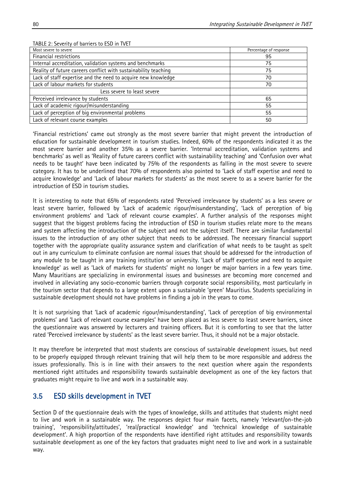| $\alpha$ the $\alpha$ . Sevently, or cannels to the million $\alpha$ |                        |  |  |  |
|----------------------------------------------------------------------|------------------------|--|--|--|
| Most severe to severe                                                | Percentage of response |  |  |  |
| Financial restrictions                                               | 95                     |  |  |  |
| Internal accreditation, validation systems and benchmarks            | 75                     |  |  |  |
| Reality of future careers conflict with sustainability teaching      | 75                     |  |  |  |
| Lack of staff expertise and the need to acquire new knowledge        | 70                     |  |  |  |
| Lack of labour markets for students                                  | 70                     |  |  |  |
| Less severe to least severe                                          |                        |  |  |  |
| Perceived irrelevance by students                                    | 65                     |  |  |  |
| Lack of academic rigour/misunderstanding                             | 55                     |  |  |  |
| Lack of perception of big environmental problems                     | 55                     |  |  |  |
| Lack of relevant course examples                                     | 50                     |  |  |  |
|                                                                      |                        |  |  |  |

#### TABLE 2: Severity of barriers to ESD in TVET

'Financial restrictions' came out strongly as the most severe barrier that might prevent the introduction of education for sustainable development in tourism studies. Indeed, 60% of the respondents indicated it as the most severe barrier and another 35% as a severe barrier. 'Internal accreditation, validation systems and benchmarks' as well as 'Reality of future careers conflict with sustainability teaching' and 'Confusion over what needs to be taught' have been indicated by 75% of the respondents as falling in the most severe to severe category. It has to be underlined that 70% of respondents also pointed to 'Lack of staff expertise and need to acquire knowledge' and 'Lack of labour markets for students' as the most severe to as a severe barrier for the introduction of ESD in tourism studies.

It is interesting to note that 65% of respondents rated 'Perceived irrelevance by students' as a less severe or least severe barrier, followed by 'Lack of academic rigour/misunderstanding', 'Lack of perception of big environment problems' and 'Lack of relevant course examples'. A further analysis of the responses might suggest that the biggest problems facing the introduction of ESD in tourism studies relate more to the means and system affecting the introduction of the subject and not the subject itself. There are similar fundamental issues to the introduction of any other subject that needs to be addressed. The necessary financial support together with the appropriate quality assurance system and clarification of what needs to be taught as spelt out in any curriculum to eliminate confusion are normal issues that should be addressed for the introduction of any module to be taught in any training institution or university. 'Lack of staff expertise and need to acquire knowledge' as well as 'Lack of markets for students' might no longer be major barriers in a few years time. Many Mauritians are specializing in environmental issues and businesses are becoming more concerned and involved in alleviating any socio-economic barriers through corporate social responsibility, most particularly in the tourism sector that depends to a large extent upon a sustainable 'green' Mauritius. Students specializing in sustainable development should not have problems in finding a job in the years to come.

It is not surprising that 'Lack of academic rigour/misunderstanding', 'Lack of perception of big environmental problems' and 'Lack of relevant course examples' have been placed as less severe to least severe barriers, since the questionnaire was answered by lecturers and training officers. But it is comforting to see that the latter rated 'Perceived irrelevance by students' as the least severe barrier. Thus, it should not be a major obstacle.

It may therefore be interpreted that most students are conscious of sustainable development issues, but need to be properly equipped through relevant training that will help them to be more responsible and address the issues professionally. This is in line with their answers to the next question where again the respondents mentioned right attitudes and responsibility towards sustainable development as one of the key factors that graduates might require to live and work in a sustainable way.

### 3.5 ESD skills development in TVET

Section D of the questionnaire deals with the types of knowledge, skills and attitudes that students might need to live and work in a sustainable way. The responses depict four main facets, namely 'relevant/on-the-job training', 'responsibility/attitudes', 'real/practical knowledge' and 'technical knowledge of sustainable development'. A high proportion of the respondents have identified right attitudes and responsibility towards sustainable development as one of the key factors that graduates might need to live and work in a sustainable way.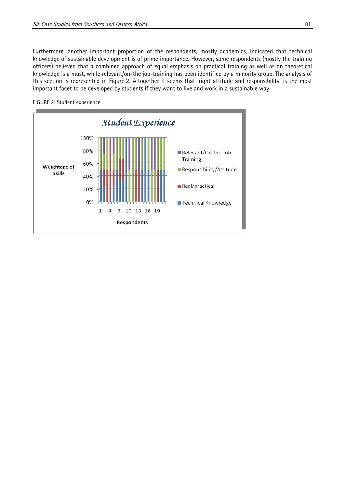Furthermore, another important proportion of the respondents, mostly academics, indicated that technical knowledge of sustainable development is of prime importance. However, some respondents (mostly the training officers) believed that a combined approach of equal emphasis on practical training as well as on theoretical knowledge is a must, while relevant/on-the job-training has been identified by a minority group. The analysis of this section is represented in Figure 2. Altogether it seems that 'right attitude and responsibility' is the most important facet to be developed by students if they want to live and work in a sustainable way.



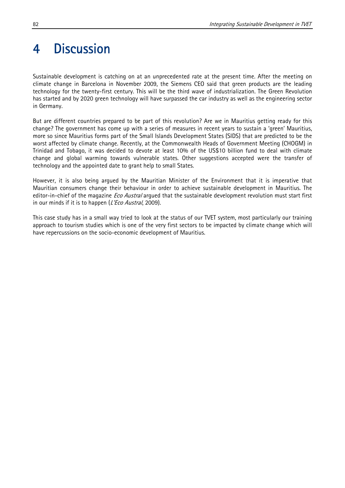## 4 Discussion

Sustainable development is catching on at an unprecedented rate at the present time. After the meeting on climate change in Barcelona in November 2009, the Siemens CEO said that green products are the leading technology for the twenty-first century. This will be the third wave of industrialization. The Green Revolution has started and by 2020 green technology will have surpassed the car industry as well as the engineering sector in Germany.

But are different countries prepared to be part of this revolution? Are we in Mauritius getting ready for this change? The government has come up with a series of measures in recent years to sustain a 'green' Mauritius, more so since Mauritius forms part of the Small Islands Development States (SIDS) that are predicted to be the worst affected by climate change. Recently, at the Commonwealth Heads of Government Meeting (CHOGM) in Trinidad and Tobago, it was decided to devote at least 10% of the US\$10 billion fund to deal with climate change and global warming towards vulnerable states. Other suggestions accepted were the transfer of technology and the appointed date to grant help to small States.

However, it is also being argued by the Mauritian Minister of the Environment that it is imperative that Mauritian consumers change their behaviour in order to achieve sustainable development in Mauritius. The editor-in-chief of the magazine *Eco Austral* argued that the sustainable development revolution must start first in our minds if it is to happen  $(L'Eco$  Austral, 2009).

This case study has in a small way tried to look at the status of our TVET system, most particularly our training approach to tourism studies which is one of the very first sectors to be impacted by climate change which will have repercussions on the socio-economic development of Mauritius.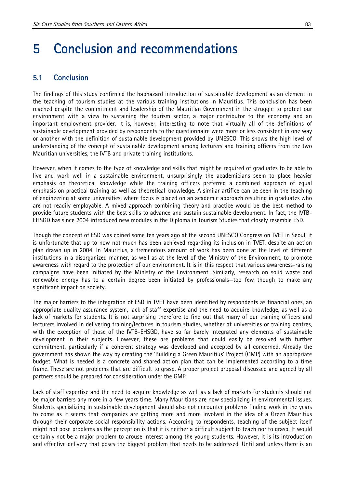## 5 Conclusion and recommendations

#### 5.1 Conclusion

The findings of this study confirmed the haphazard introduction of sustainable development as an element in the teaching of tourism studies at the various training institutions in Mauritius. This conclusion has been reached despite the commitment and leadership of the Mauritian Government in the struggle to protect our environment with a view to sustaining the tourism sector, a major contributor to the economy and an important employment provider. It is, however, interesting to note that virtually all of the definitions of sustainable development provided by respondents to the questionnaire were more or less consistent in one way or another with the definition of sustainable development provided by UNESCO. This shows the high level of understanding of the concept of sustainable development among lecturers and training officers from the two Mauritian universities, the IVTB and private training institutions.

However, when it comes to the type of knowledge and skills that might be required of graduates to be able to live and work well in a sustainable environment, unsurprisingly the academicians seem to place heavier emphasis on theoretical knowledge while the training officers preferred a combined approach of equal emphasis on practical training as well as theoretical knowledge. A similar artifice can be seen in the teaching of engineering at some universities, where focus is placed on an academic approach resulting in graduates who are not readily employable. A mixed approach combining theory and practice would be the best method to provide future students with the best skills to advance and sustain sustainable development. In fact, the IVTB-EHSGD has since 2004 introduced new modules in the Diploma in Tourism Studies that closely resemble ESD.

Though the concept of ESD was coined some ten years ago at the second UNESCO Congress on TVET in Seoul, it is unfortunate that up to now not much has been achieved regarding its inclusion in TVET, despite an action plan drawn up in 2004. In Mauritius, a tremendous amount of work has been done at the level of different institutions in a disorganized manner, as well as at the level of the Ministry of the Environment, to promote awareness with regard to the protection of our environment. It is in this respect that various awareness-raising campaigns have been initiated by the Ministry of the Environment. Similarly, research on solid waste and renewable energy has to a certain degree been initiated by professionals—too few though to make any significant impact on society.

The major barriers to the integration of ESD in TVET have been identified by respondents as financial ones, an appropriate quality assurance system, lack of staff expertise and the need to acquire knowledge, as well as a lack of markets for students. It is not surprising therefore to find out that many of our training officers and lecturers involved in delivering training/lectures in tourism studies, whether at universities or training centres, with the exception of those of the IVTB-EHSGD, have so far barely integrated any elements of sustainable development in their subjects. However, these are problems that could easily be resolved with further commitment, particularly if a coherent strategy was developed and accepted by all concerned. Already the government has shown the way by creating the 'Building a Green Mauritius' Project (GMP) with an appropriate budget. What is needed is a concrete and shared action plan that can be implemented according to a time frame. These are not problems that are difficult to grasp. A proper project proposal discussed and agreed by all partners should be prepared for consideration under the GMP.

Lack of staff expertise and the need to acquire knowledge as well as a lack of markets for students should not be major barriers any more in a few years time. Many Mauritians are now specializing in environmental issues. Students specializing in sustainable development should also not encounter problems finding work in the years to come as it seems that companies are getting more and more involved in the idea of a Green Mauritius through their corporate social responsibility actions. According to respondents, teaching of the subject itself might not pose problems as the perception is that it is neither a difficult subject to teach nor to grasp. It would certainly not be a major problem to arouse interest among the young students. However, it is its introduction and effective delivery that poses the biggest problem that needs to be addressed. Until and unless there is an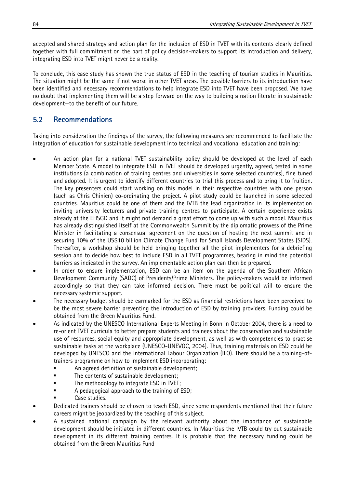accepted and shared strategy and action plan for the inclusion of ESD in TVET with its contents clearly defined together with full commitment on the part of policy decision-makers to support its introduction and delivery, integrating ESD into TVET might never be a reality.

To conclude, this case study has shown the true status of ESD in the teaching of tourism studies in Mauritius. The situation might be the same if not worse in other TVET areas. The possible barriers to its introduction have been identified and necessary recommendations to help integrate ESD into TVET have been proposed. We have no doubt that implementing them will be a step forward on the way to building a nation literate in sustainable development—to the benefit of our future.

## 5.2 Recommendations

Taking into consideration the findings of the survey, the following measures are recommended to facilitate the integration of education for sustainable development into technical and vocational education and training:

- An action plan for a national TVET sustainability policy should be developed at the level of each Member State. A model to integrate ESD in TVET should be developed urgently, agreed, tested in some institutions (a combination of training centres and universities in some selected countries), fine tuned and adopted. It is urgent to identify different countries to trial this process and to bring it to fruition. The key presenters could start working on this model in their respective countries with one person (such as Chris Chinien) co-ordinating the project. A pilot study could be launched in some selected countries. Mauritius could be one of them and the IVTB the lead organization in its implementation inviting university lecturers and private training centres to participate. A certain experience exists already at the EHSGD and it might not demand a great effort to come up with such a model. Mauritius has already distinguished itself at the Commonwealth Summit by the diplomatic prowess of the Prime Minister in facilitating a consensual agreement on the question of hosting the next summit and in securing 10% of the US\$10 billion Climate Change Fund for Small Islands Development States (SIDS). Thereafter, a workshop should be held bringing together all the pilot implementers for a debriefing session and to decide how best to include ESD in all TVET programmes, bearing in mind the potential barriers as indicated in the survey. An implementable action plan can then be prepared.
- In order to ensure implementation, ESD can be an item on the agenda of the Southern African Development Community (SADC) of Presidents/Prime Ministers. The policy-makers would be informed accordingly so that they can take informed decision. There must be political will to ensure the necessary systemic support.
- The necessary budget should be earmarked for the ESD as financial restrictions have been perceived to be the most severe barrier preventing the introduction of ESD by training providers. Funding could be obtained from the Green Mauritius Fund.
- As indicated by the UNESCO International Experts Meeting in Bonn in October 2004, there is a need to re-orient TVET curricula to better prepare students and trainees about the conservation and sustainable use of resources, social equity and appropriate development, as well as with competencies to practise sustainable tasks at the workplace (UNESCO-UNEVOC, 2004). Thus, training materials on ESD could be developed by UNESCO and the International Labour Organization (ILO). There should be a training-oftrainers programme on how to implement ESD incorporating:
	- An agreed definition of sustainable development;
	- The contents of sustainable development;
	- The methodology to integrate ESD in TVET;
	- A pedagogical approach to the training of ESD;
	- Case studies.
- Dedicated trainers should be chosen to teach ESD, since some respondents mentioned that their future careers might be jeopardized by the teaching of this subject.
- A sustained national campaign by the relevant authority about the importance of sustainable development should be initiated in different countries. In Mauritius the IVTB could try out sustainable development in its different training centres. It is probable that the necessary funding could be obtained from the Green Mauritius Fund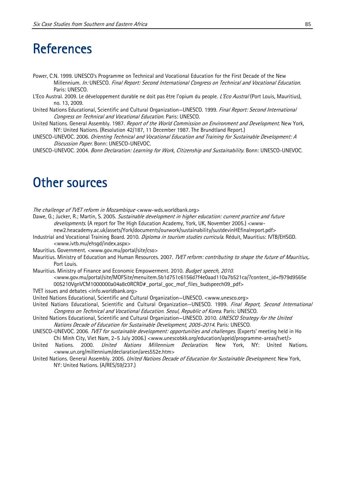## **References**

- Power, C.N. 1999. UNESCO's Programme on Technical and Vocational Education for the First Decade of the New Millennium. In: UNESCO. Final Report: Second International Congress on Technical and Vocational Education. Paris: UNESCO.
- L'Eco Austral. 2009. Le développement durable ne doit pas être l'opium du people. L'Eco Austral (Port Louis, Mauritius), no. 13, 2009.
- United Nations Educational, Scientific and Cultural Organization-UNESCO. 1999. Final Report: Second International Congress on Technical and Vocational Education. Paris: UNESCO.
- United Nations. General Assembly. 1987. Report of the World Commission on Environment and Development. New York, NY: United Nations. (Resolution 42/187, 11 December 1987. The Brundtland Report.)
- UNESCO-UNEVOC. 2006. Orienting Technical and Vocational Education and Training for Sustainable Development: A Discussion Paper. Bonn: UNESCO-UNEVOC.
- UNESCO-UNEVOC. 2004. Bonn Declaration: Learning for Work, Citizenship and Sustainability. Bonn: UNESCO-UNEVOC.

## Other sources

The challenge of TVET reform in Mozambique <www-wds.worldbank.org>

- Dawe, G.; Jucker, R.; Martin, S. 2005. Sustainable development in higher education: current practice and future developments. (A report for The High Education Academy, York, UK, November 2005.) <www
	- new2.heacademy.ac.uk/assets/York/documents/ourwork/sustainability/sustdevinHEfinalreport.pdf>
- Industrial and Vocational Training Board. 2010. *Diploma in tourism studies curricula*. Réduit, Mauritius: IVTB/EHSGD. <www.ivtb.mu/ehsgd/index.aspx>
- Mauritius. Government. <www.gov.mu/portal/site/cso>
- Mauritius. Ministry of Education and Human Resources. 2007. *TVET reform: contributing to shape the future of Mauritius*,. Port Louis.
- Mauritius. Ministry of Finance and Economic Empowerment. 2010. Budget speech, 2010.
	- <www.gov.mu/portal/site/MOFSite/menuitem.5b1d751c6156d7f4e0aad110a7b521ca/?content\_id=f979d9565e 005210VgnVCM1000000a04a8c0RCRD#\_portal\_goc\_mof\_files\_budspeech09\_pdf>
- TVET issues and debates <info.worldbank.org>
- United Nations Educational, Scientific and Cultural Organization—UNESCO. <www.unesco.org>
- United Nations Educational, Scientific and Cultural Organization-UNESCO. 1999. Final Report, Second International Congress on Technical and Vocational Education. Seoul, Republic of Korea. Paris: UNESCO.
- United Nations Educational, Scientific and Cultural Organization—UNESCO. 2010. UNESCO Strategy for the United Nations Decade of Education for Sustainable Development, 2005-2014. Paris: UNESCO.
- UNESCO-UNEVOC. 2006. *TVET for sustainable development: opportunities and challenges*. (Experts' meeting held in Ho Chi Minh City, Viet Nam, 2–5 July 2006.) <www.unescobkk.org/education/apeid/programme-areas/tvet/>
- United Nations. 2000. *United Nations Millennium Declaration*. New York, NY: United Nations. <www.un.org/millennium/declaration/ares552e.htm>
- United Nations. General Assembly. 2005. United Nations Decade of Education for Sustainable Development. New York, NY: United Nations. (A/RES/59/237.)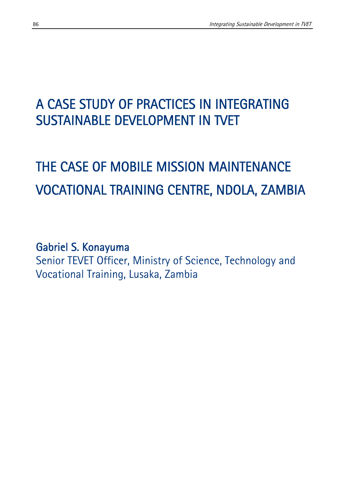## A CASE STUDY OF PRACTICES IN INTEGRATING SUSTAINABLE DEVELOPMENT IN TVET

# THE CASE OF MOBILE MISSION MAINTENANCE VOCATIONAL TRAINING CENTRE, NDOLA, ZAMBIA

Gabriel S. Konayuma Senior TEVET Officer, Ministry of Science, Technology and Vocational Training, Lusaka, Zambia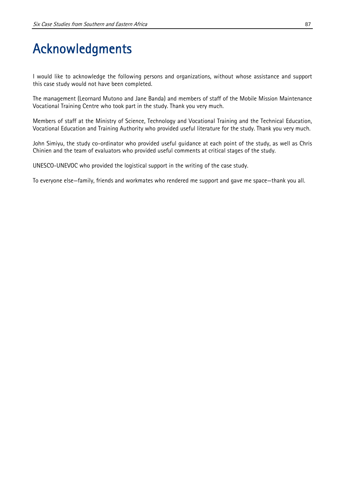## Acknowledgments

I would like to acknowledge the following persons and organizations, without whose assistance and support this case study would not have been completed.

The management (Leornard Mutono and Jane Banda) and members of staff of the Mobile Mission Maintenance Vocational Training Centre who took part in the study. Thank you very much.

Members of staff at the Ministry of Science, Technology and Vocational Training and the Technical Education, Vocational Education and Training Authority who provided useful literature for the study. Thank you very much.

John Simiyu, the study co-ordinator who provided useful guidance at each point of the study, as well as Chris Chinien and the team of evaluators who provided useful comments at critical stages of the study.

UNESCO-UNEVOC who provided the logistical support in the writing of the case study.

To everyone else—family, friends and workmates who rendered me support and gave me space—thank you all.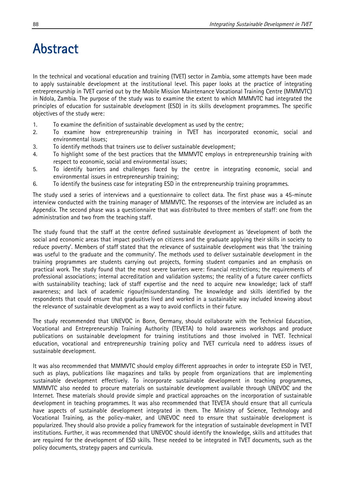## Abstract

In the technical and vocational education and training (TVET) sector in Zambia, some attempts have been made to apply sustainable development at the institutional level. This paper looks at the practice of integrating entrepreneurship in TVET carried out by the Mobile Mission Maintenance Vocational Training Centre (MMMVTC) in Ndola, Zambia. The purpose of the study was to examine the extent to which MMMVTC had integrated the principles of education for sustainable development (ESD) in its skills development programmes. The specific objectives of the study were:

- 1. To examine the definition of sustainable development as used by the centre;
- 2. To examine how entrepreneurship training in TVET has incorporated economic, social and environmental issues;
- 3. To identify methods that trainers use to deliver sustainable development;
- 4. To highlight some of the best practices that the MMMVTC employs in entrepreneurship training with respect to economic, social and environmental issues;
- 5. To identify barriers and challenges faced by the centre in integrating economic, social and environmental issues in entrepreneurship training;
- 6. To identify the business case for integrating ESD in the entrepreneurship training programmes.

The study used a series of interviews and a questionnaire to collect data. The first phase was a 45-minute interview conducted with the training manager of MMMVTC. The responses of the interview are included as an Appendix. The second phase was a questionnaire that was distributed to three members of staff: one from the administration and two from the teaching staff.

The study found that the staff at the centre defined sustainable development as 'development of both the social and economic areas that impact positively on citizens and the graduate applying their skills in society to reduce poverty'. Members of staff stated that the relevance of sustainable development was that 'the training was useful to the graduate and the community'. The methods used to deliver sustainable development in the training programmes are students carrying out projects, forming student companies and an emphasis on practical work. The study found that the most severe barriers were: financial restrictions; the requirements of professional associations; internal accreditation and validation systems; the reality of a future career conflicts with sustainability teaching; lack of staff expertise and the need to acquire new knowledge; lack of staff awareness; and lack of academic rigour/misunderstanding. The knowledge and skills identified by the respondents that could ensure that graduates lived and worked in a sustainable way included knowing about the relevance of sustainable development as a way to avoid conflicts in their future.

The study recommended that UNEVOC in Bonn, Germany, should collaborate with the Technical Education, Vocational and Entrepreneurship Training Authority (TEVETA) to hold awareness workshops and produce publications on sustainable development for training institutions and those involved in TVET. Technical education, vocational and entrepreneurship training policy and TVET curricula need to address issues of sustainable development.

It was also recommended that MMMVTC should employ different approaches in order to integrate ESD in TVET, such as plays, publications like magazines and talks by people from organizations that are implementing sustainable development effectively. To incorporate sustainable development in teaching programmes, MMMVTC also needed to procure materials on sustainable development available through UNEVOC and the Internet. These materials should provide simple and practical approaches on the incorporation of sustainable development in teaching programmes. It was also recommended that TEVETA should ensure that all curricula have aspects of sustainable development integrated in them. The Ministry of Science, Technology and Vocational Training, as the policy-maker, and UNEVOC need to ensure that sustainable development is popularized. They should also provide a policy framework for the integration of sustainable development in TVET institutions. Further, it was recommended that UNEVOC should identify the knowledge, skills and attitudes that are required for the development of ESD skills. These needed to be integrated in TVET documents, such as the policy documents, strategy papers and curricula.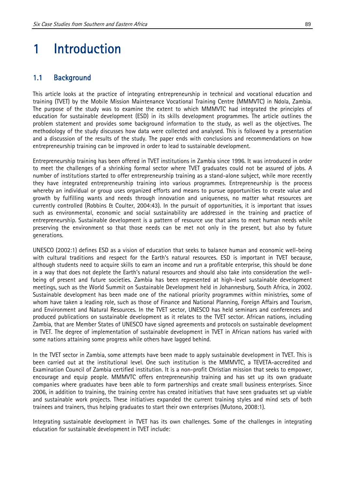## 1 Introduction

#### 1.1 Background

This article looks at the practice of integrating entrepreneurship in technical and vocational education and training (TVET) by the Mobile Mission Maintenance Vocational Training Centre (MMMVTC) in Ndola, Zambia. The purpose of the study was to examine the extent to which MMMVTC had integrated the principles of education for sustainable development (ESD) in its skills development programmes. The article outlines the problem statement and provides some background information to the study, as well as the objectives. The methodology of the study discusses how data were collected and analysed. This is followed by a presentation and a discussion of the results of the study. The paper ends with conclusions and recommendations on how entrepreneurship training can be improved in order to lead to sustainable development.

Entrepreneurship training has been offered in TVET institutions in Zambia since 1996. It was introduced in order to meet the challenges of a shrinking formal sector where TVET graduates could not be assured of jobs. A number of institutions started to offer entrepreneurship training as a stand-alone subject, while more recently they have integrated entrepreneurship training into various programmes. Entrepreneurship is the process whereby an individual or group uses organized efforts and means to pursue opportunities to create value and growth by fulfilling wants and needs through innovation and uniqueness, no matter what resources are currently controlled (Robbins & Coulter, 2004:43). In the pursuit of opportunities, it is important that issues such as environmental, economic and social sustainability are addressed in the training and practice of entrepreneurship. Sustainable development is a pattern of resource use that aims to meet human needs while preserving the environment so that those needs can be met not only in the present, but also by future generations.

UNESCO (2002:1) defines ESD as a vision of education that seeks to balance human and economic well-being with cultural traditions and respect for the Earth's natural resources. ESD is important in TVET because, although students need to acquire skills to earn an income and run a profitable enterprise, this should be done in a way that does not deplete the Earth's natural resources and should also take into consideration the wellbeing of present and future societies. Zambia has been represented at high-level sustainable development meetings, such as the World Summit on Sustainable Development held in Johannesburg, South Africa, in 2002. Sustainable development has been made one of the national priority programmes within ministries, some of whom have taken a leading role, such as those of Finance and National Planning, Foreign Affairs and Tourism, and Environment and Natural Resources. In the TVET sector, UNESCO has held seminars and conferences and produced publications on sustainable development as it relates to the TVET sector. African nations, including Zambia, that are Member States of UNESCO have signed agreements and protocols on sustainable development in TVET. The degree of implementation of sustainable development in TVET in African nations has varied with some nations attaining some progress while others have lagged behind.

In the TVET sector in Zambia, some attempts have been made to apply sustainable development in TVET. This is been carried out at the institutional level. One such institution is the MMMVTC, a TEVETA-accredited and Examination Council of Zambia certified institution. It is a non-profit Christian mission that seeks to empower, encourage and equip people. MMMVTC offers entrepreneurship training and has set up its own graduate companies where graduates have been able to form partnerships and create small business enterprises. Since 2006, in addition to training, the training centre has created initiatives that have seen graduates set up viable and sustainable work projects. These initiatives expanded the current training styles and mind sets of both trainees and trainers, thus helping graduates to start their own enterprises (Mutono, 2008:1).

Integrating sustainable development in TVET has its own challenges. Some of the challenges in integrating education for sustainable development in TVET include: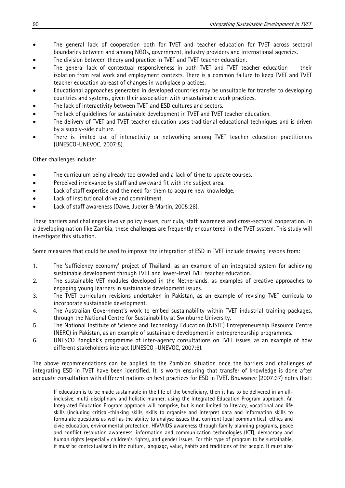- The general lack of cooperation both for TVET and teacher education for TVET across sectoral boundaries between and among NGOs, government, industry providers and international agencies.
- The division between theory and practice in TVET and TVET teacher education.
- The general lack of contextual responsiveness in both TVET and TVET teacher education –– their isolation from real work and employment contexts. There is a common failure to keep TVET and TVET teacher education abreast of changes in workplace practices.
- Educational approaches generated in developed countries may be unsuitable for transfer to developing countries and systems, given their association with unsustainable work practices.
- The lack of interactivity between TVET and ESD cultures and sectors.
- The lack of guidelines for sustainable development in TVET and TVET teacher education.
- The delivery of TVET and TVET teacher education uses traditional educational techniques and is driven by a supply-side culture.
- There is limited use of interactivity or networking among TVET teacher education practitioners (UNESCO-UNEVOC, 2007:5).

Other challenges include:

- The curriculum being already too crowded and a lack of time to update courses.
- Perceived irrelevance by staff and awkward fit with the subject area.
- Lack of staff expertise and the need for them to acquire new knowledge.
- Lack of institutional drive and commitment.
- Lack of staff awareness (Dawe, Jucker & Martin, 2005:28).

These barriers and challenges involve policy issues, curricula, staff awareness and cross-sectoral cooperation. In a developing nation like Zambia, these challenges are frequently encountered in the TVET system. This study will investigate this situation.

Some measures that could be used to improve the integration of ESD in TVET include drawing lessons from:

- 1. The 'sufficiency economy' project of Thailand, as an example of an integrated system for achieving sustainable development through TVET and lower-level TVET teacher education.
- 2. The sustainable VET modules developed in the Netherlands, as examples of creative approaches to engaging young learners in sustainable development issues.
- 3. The TVET curriculum revisions undertaken in Pakistan, as an example of revising TVET curricula to incorporate sustainable development.
- 4. The Australian Government's work to embed sustainability within TVET industrial training packages, through the National Centre for Sustainability at Swinburne University.
- 5. The National Institute of Science and Technology Education (NISTE) Entrepreneurship Resource Centre (NERC) in Pakistan, as an example of sustainable development in entrepreneurship programmes.
- 6. UNESCO Bangkok's programme of inter-agency consultations on TVET issues, as an example of how different stakeholders interact (UNESCO -UNEVOC, 2007:6).

The above recommendations can be applied to the Zambian situation once the barriers and challenges of integrating ESD in TVET have been identified. It is worth ensuring that transfer of knowledge is done after adequate consultation with different nations on best practices for ESD in TVET. Bhuwanee (2007:37) notes that:

If education is to be made sustainable in the life of the beneficiary, then it has to be delivered in an allinclusive, multi-disciplinary and holistic manner, using the Integrated Education Program approach. An Integrated Education Program approach will comprise, but is not limited to literacy, vocational and life skills (including critical-thinking skills, skills to organise and interpret data and information skills to formulate questions as well as the ability to analyse issues that confront local communities), ethics and civic education, environmental protection, HIV/AIDS awareness through family planning programs, peace and conflict resolution awareness, information and communication technologies (ICT), democracy and human rights (especially children's rights), and gender issues. For this type of program to be sustainable, it must be contextualised in the culture, language, value, habits and traditions of the people. It must also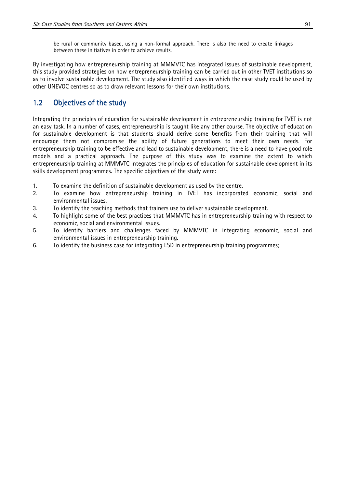be rural or community based, using a non-formal approach. There is also the need to create linkages between these initiatives in order to achieve results.

By investigating how entrepreneurship training at MMMVTC has integrated issues of sustainable development, this study provided strategies on how entrepreneurship training can be carried out in other TVET institutions so as to involve sustainable development. The study also identified ways in which the case study could be used by other UNEVOC centres so as to draw relevant lessons for their own institutions.

### 1.2 Objectives of the study

Integrating the principles of education for sustainable development in entrepreneurship training for TVET is not an easy task. In a number of cases, entrepreneurship is taught like any other course. The objective of education for sustainable development is that students should derive some benefits from their training that will encourage them not compromise the ability of future generations to meet their own needs. For entrepreneurship training to be effective and lead to sustainable development, there is a need to have good role models and a practical approach. The purpose of this study was to examine the extent to which entrepreneurship training at MMMVTC integrates the principles of education for sustainable development in its skills development programmes. The specific objectives of the study were:

- 1. To examine the definition of sustainable development as used by the centre.
- 2. To examine how entrepreneurship training in TVET has incorporated economic, social and environmental issues.
- 3. To identify the teaching methods that trainers use to deliver sustainable development.
- 4. To highlight some of the best practices that MMMVTC has in entrepreneurship training with respect to economic, social and environmental issues.
- 5. To identify barriers and challenges faced by MMMVTC in integrating economic, social and environmental issues in entrepreneurship training.
- 6. To identify the business case for integrating ESD in entrepreneurship training programmes;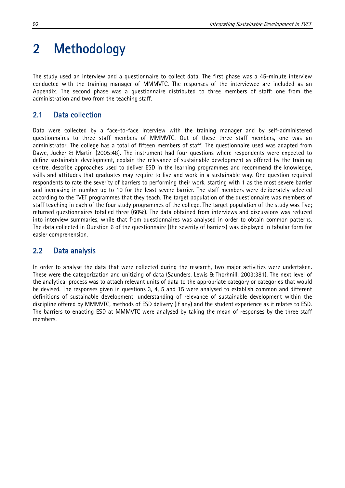## 2 Methodology

The study used an interview and a questionnaire to collect data. The first phase was a 45-minute interview conducted with the training manager of MMMVTC. The responses of the interviewee are included as an Appendix. The second phase was a questionnaire distributed to three members of staff: one from the administration and two from the teaching staff.

## 2.1 Data collection

Data were collected by a face-to-face interview with the training manager and by self-administered questionnaires to three staff members of MMMVTC. Out of these three staff members, one was an administrator. The college has a total of fifteen members of staff. The questionnaire used was adapted from Dawe, Jucker & Martin (2005:48). The instrument had four questions where respondents were expected to define sustainable development, explain the relevance of sustainable development as offered by the training centre, describe approaches used to deliver ESD in the learning programmes and recommend the knowledge, skills and attitudes that graduates may require to live and work in a sustainable way. One question required respondents to rate the severity of barriers to performing their work, starting with 1 as the most severe barrier and increasing in number up to 10 for the least severe barrier. The staff members were deliberately selected according to the TVET programmes that they teach. The target population of the questionnaire was members of staff teaching in each of the four study programmes of the college. The target population of the study was five; returned questionnaires totalled three (60%). The data obtained from interviews and discussions was reduced into interview summaries, while that from questionnaires was analysed in order to obtain common patterns. The data collected in Question 6 of the questionnaire (the severity of barriers) was displayed in tabular form for easier comprehension.

## 2.2 Data analysis

In order to analyse the data that were collected during the research, two major activities were undertaken. These were the categorization and unitizing of data (Saunders, Lewis & Thorhnill, 2003:381). The next level of the analytical process was to attach relevant units of data to the appropriate category or categories that would be devised. The responses given in questions 3, 4, 5 and 15 were analysed to establish common and different definitions of sustainable development, understanding of relevance of sustainable development within the discipline offered by MMMVTC, methods of ESD delivery (if any) and the student experience as it relates to ESD. The barriers to enacting ESD at MMMVTC were analysed by taking the mean of responses by the three staff members.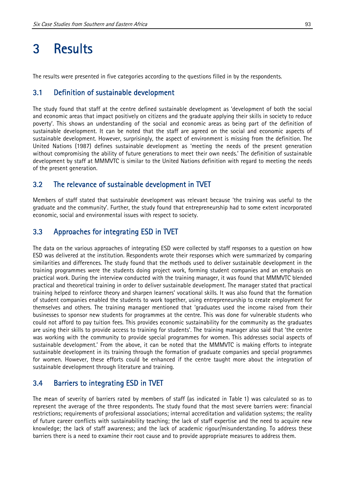## 3 Results

The results were presented in five categories according to the questions filled in by the respondents.

#### 3.1 Definition of sustainable development

The study found that staff at the centre defined sustainable development as 'development of both the social and economic areas that impact positively on citizens and the graduate applying their skills in society to reduce poverty'. This shows an understanding of the social and economic areas as being part of the definition of sustainable development. It can be noted that the staff are agreed on the social and economic aspects of sustainable development. However, surprisingly, the aspect of environment is missing from the definition. The United Nations (1987) defines sustainable development as 'meeting the needs of the present generation without compromising the ability of future generations to meet their own needs.' The definition of sustainable development by staff at MMMVTC is similar to the United Nations definition with regard to meeting the needs of the present generation.

#### 3.2 The relevance of sustainable development in TVET

Members of staff stated that sustainable development was relevant because 'the training was useful to the graduate and the community'. Further, the study found that entrepreneurship had to some extent incorporated economic, social and environmental issues with respect to society.

#### 3.3 Approaches for integrating ESD in TVET

The data on the various approaches of integrating ESD were collected by staff responses to a question on how ESD was delivered at the institution. Respondents wrote their responses which were summarized by comparing similarities and differences. The study found that the methods used to deliver sustainable development in the training programmes were the students doing project work, forming student companies and an emphasis on practical work. During the interview conducted with the training manager, it was found that MMMVTC blended practical and theoretical training in order to deliver sustainable development. The manager stated that practical training helped to reinforce theory and sharpen learners' vocational skills. It was also found that the formation of student companies enabled the students to work together, using entrepreneurship to create employment for themselves and others. The training manager mentioned that 'graduates used the income raised from their businesses to sponsor new students for programmes at the centre. This was done for vulnerable students who could not afford to pay tuition fees. This provides economic sustainability for the community as the graduates are using their skills to provide access to training for students'. The training manager also said that 'the centre was working with the community to provide special programmes for women. This addresses social aspects of sustainable development.' From the above, it can be noted that the MMMVTC is making efforts to integrate sustainable development in its training through the formation of graduate companies and special programmes for women. However, these efforts could be enhanced if the centre taught more about the integration of sustainable development through literature and training.

#### 3.4 Barriers to integrating ESD in TVET

The mean of severity of barriers rated by members of staff (as indicated in Table 1) was calculated so as to represent the average of the three respondents. The study found that the most severe barriers were: financial restrictions; requirements of professional associations; internal accreditation and validation systems; the reality of future career conflicts with sustainability teaching; the lack of staff expertise and the need to acquire new knowledge; the lack of staff awareness; and the lack of academic rigour/misunderstanding. To address these barriers there is a need to examine their root cause and to provide appropriate measures to address them.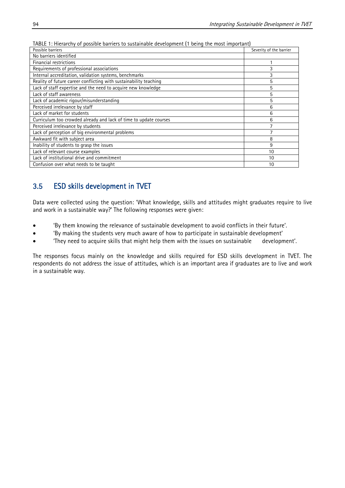| Possible barriers                                                 | Severity of the barrier |
|-------------------------------------------------------------------|-------------------------|
| No barriers identified                                            |                         |
| Financial restrictions                                            |                         |
| Requirements of professional associations                         | 3                       |
| Internal accreditation, validation systems, benchmarks            | 3                       |
| Reality of future career conflicting with sustainability teaching | 5                       |
| Lack of staff expertise and the need to acquire new knowledge     | 5                       |
| Lack of staff awareness                                           | 5                       |
| Lack of academic rigour/misunderstanding                          | 5                       |
| Perceived irrelevance by staff                                    | 6                       |
| Lack of market for students                                       | 6                       |
| Curriculum too crowded already and lack of time to update courses | 6                       |
| Perceived irrelevance by students                                 |                         |
| Lack of perception of big environmental problems                  |                         |
| Awkward fit with subject area                                     | 8                       |
| Inability of students to grasp the issues                         | 9                       |
| Lack of relevant course examples                                  | 10                      |
| Lack of institutional drive and commitment                        | 10                      |
| Confusion over what needs to be taught                            | 10                      |

TABLE 1: Hierarchy of possible barriers to sustainable development (1 being the most important)

## 3.5 ESD skills development in TVET

Data were collected using the question: 'What knowledge, skills and attitudes might graduates require to live and work in a sustainable way?' The following responses were given:

- 'By them knowing the relevance of sustainable development to avoid conflicts in their future'.
- 'By making the students very much aware of how to participate in sustainable development'
- 'They need to acquire skills that might help them with the issues on sustainable development'.

The responses focus mainly on the knowledge and skills required for ESD skills development in TVET. The respondents do not address the issue of attitudes, which is an important area if graduates are to live and work in a sustainable way.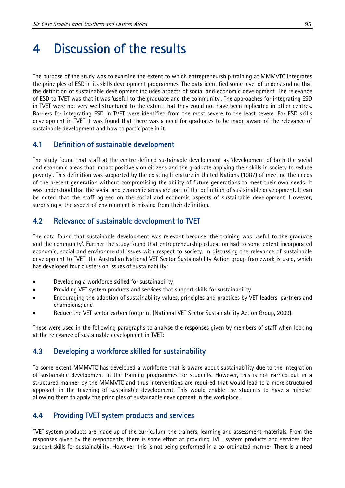## 4 Discussion of the results

The purpose of the study was to examine the extent to which entrepreneurship training at MMMVTC integrates the principles of ESD in its skills development programmes. The data identified some level of understanding that the definition of sustainable development includes aspects of social and economic development. The relevance of ESD to TVET was that it was 'useful to the graduate and the community'. The approaches for integrating ESD in TVET were not very well structured to the extent that they could not have been replicated in other centres. Barriers for integrating ESD in TVET were identified from the most severe to the least severe. For ESD skills development in TVET it was found that there was a need for graduates to be made aware of the relevance of sustainable development and how to participate in it.

### 4.1 Definition of sustainable development

The study found that staff at the centre defined sustainable development as 'development of both the social and economic areas that impact positively on citizens and the graduate applying their skills in society to reduce poverty'. This definition was supported by the existing literature in United Nations (1987) of meeting the needs of the present generation without compromising the ability of future generations to meet their own needs. It was understood that the social and economic areas are part of the definition of sustainable development. It can be noted that the staff agreed on the social and economic aspects of sustainable development. However, surprisingly, the aspect of environment is missing from their definition.

## 4.2 Relevance of sustainable development to TVET

The data found that sustainable development was relevant because 'the training was useful to the graduate and the community'. Further the study found that entrepreneurship education had to some extent incorporated economic, social and environmental issues with respect to society. In discussing the relevance of sustainable development to TVET, the Australian National VET Sector Sustainability Action group framework is used, which has developed four clusters on issues of sustainability:

- Developing a workforce skilled for sustainability;
- Providing VET system products and services that support skills for sustainability;
- Encouraging the adoption of sustainability values, principles and practices by VET leaders, partners and champions; and
- Reduce the VET sector carbon footprint (National VET Sector Sustainability Action Group, 2009).

These were used in the following paragraphs to analyse the responses given by members of staff when looking at the relevance of sustainable development in TVET:

### 4.3 Developing a workforce skilled for sustainability

To some extent MMMVTC has developed a workforce that is aware about sustainability due to the integration of sustainable development in the training programmes for students. However, this is not carried out in a structured manner by the MMMVTC and thus interventions are required that would lead to a more structured approach in the teaching of sustainable development. This would enable the students to have a mindset allowing them to apply the principles of sustainable development in the workplace.

## 4.4 Providing TVET system products and services

TVET system products are made up of the curriculum, the trainers, learning and assessment materials. From the responses given by the respondents, there is some effort at providing TVET system products and services that support skills for sustainability. However, this is not being performed in a co-ordinated manner. There is a need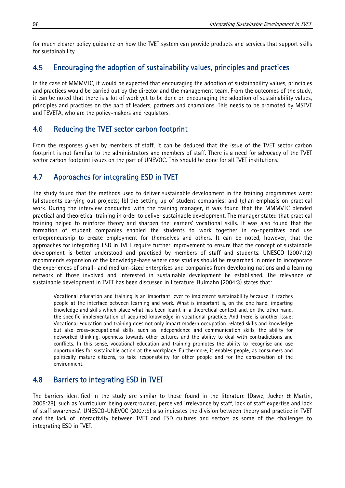for much clearer policy guidance on how the TVET system can provide products and services that support skills for sustainability.

### 4.5 Encouraging the adoption of sustainability values, principles and practices

In the case of MMMVTC, it would be expected that encouraging the adoption of sustainability values, principles and practices would be carried out by the director and the management team. From the outcomes of the study, it can be noted that there is a lot of work yet to be done on encouraging the adoption of sustainability values, principles and practices on the part of leaders, partners and champions. This needs to be promoted by MSTVT and TEVETA, who are the policy-makers and regulators.

### 4.6 Reducing the TVET sector carbon footprint

From the responses given by members of staff, it can be deduced that the issue of the TVET sector carbon footprint is not familiar to the administrators and members of staff. There is a need for advocacy of the TVET sector carbon footprint issues on the part of UNEVOC. This should be done for all TVET institutions.

### 4.7 Approaches for integrating ESD in TVET

The study found that the methods used to deliver sustainable development in the training programmes were: (a) students carrying out projects; (b) the setting up of student companies; and (c) an emphasis on practical work. During the interview conducted with the training manager, it was found that the MMMVTC blended practical and theoretical training in order to deliver sustainable development. The manager stated that practical training helped to reinforce theory and sharpen the learners' vocational skills. It was also found that the formation of student companies enabled the students to work together in co-operatives and use entrepreneurship to create employment for themselves and others. It can be noted, however, that the approaches for integrating ESD in TVET require further improvement to ensure that the concept of sustainable development is better understood and practised by members of staff and students. UNESCO (2007:12) recommends expansion of the knowledge-base where case studies should be researched in order to incorporate the experiences of small- and medium-sized enterprises and companies from developing nations and a learning network of those involved and interested in sustainable development be established. The relevance of sustainable development in TVET has been discussed in literature. Bulmahn (2004:3) states that:

Vocational education and training is an important lever to implement sustainability because it reaches people at the interface between learning and work. What is important is, on the one hand, imparting knowledge and skills which place what has been learnt in a theoretical context and, on the other hand, the specific implementation of acquired knowledge in vocational practice. And there is another issue: Vocational education and training does not only impart modern occupation-related skills and knowledge but also cross-occupational skills, such as independence and communication skills, the ability for networked thinking, openness towards other cultures and the ability to deal with contradictions and conflicts. In this sense, vocational education and training promotes the ability to recognise and use opportunities for sustainable action at the workplace. Furthermore, it enables people, as consumers and politically mature citizens, to take responsibility for other people and for the conservation of the environment.

### 4.8 Barriers to integrating ESD in TVET

The barriers identified in the study are similar to those found in the literature (Dawe, Jucker & Martin, 2005:28), such as 'curriculum being overcrowded, perceived irrelevance by staff, lack of staff expertise and lack of staff awareness'. UNESCO-UNEVOC (2007:5) also indicates the division between theory and practice in TVET and the lack of interactivity between TVET and ESD cultures and sectors as some of the challenges to integrating ESD in TVET.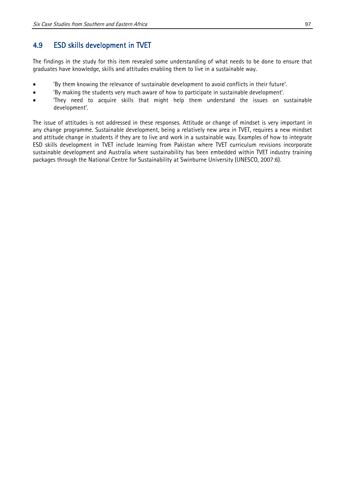### 4.9 ESD skills development in TVET

The findings in the study for this item revealed some understanding of what needs to be done to ensure that graduates have knowledge, skills and attitudes enabling them to live in a sustainable way.

- 'By them knowing the relevance of sustainable development to avoid conflicts in their future'.
- 'By making the students very much aware of how to participate in sustainable development'.
- 'They need to acquire skills that might help them understand the issues on sustainable development'.

The issue of attitudes is not addressed in these responses. Attitude or change of mindset is very important in any change programme. Sustainable development, being a relatively new area in TVET, requires a new mindset and attitude change in students if they are to live and work in a sustainable way. Examples of how to integrate ESD skills development in TVET include learning from Pakistan where TVET curriculum revisions incorporate sustainable development and Australia where sustainability has been embedded within TVET industry training packages through the National Centre for Sustainability at Swinburne University (UNESCO, 2007:6).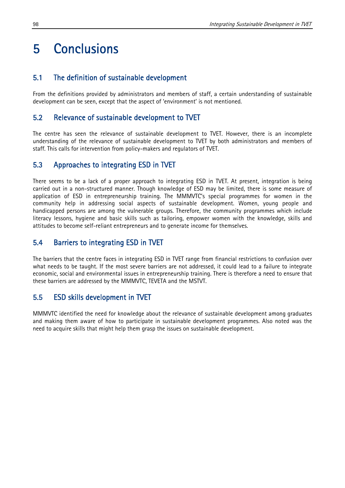## 5 Conclusions

### 5.1 The definition of sustainable development

From the definitions provided by administrators and members of staff, a certain understanding of sustainable development can be seen, except that the aspect of 'environment' is not mentioned.

#### 5.2 Relevance of sustainable development to TVET

The centre has seen the relevance of sustainable development to TVET. However, there is an incomplete understanding of the relevance of sustainable development to TVET by both administrators and members of staff. This calls for intervention from policy-makers and regulators of TVET.

#### 5.3 Approaches to integrating ESD in TVET

There seems to be a lack of a proper approach to integrating ESD in TVET. At present, integration is being carried out in a non-structured manner. Though knowledge of ESD may be limited, there is some measure of application of ESD in entrepreneurship training. The MMMVTC's special programmes for women in the community help in addressing social aspects of sustainable development. Women, young people and handicapped persons are among the vulnerable groups. Therefore, the community programmes which include literacy lessons, hygiene and basic skills such as tailoring, empower women with the knowledge, skills and attitudes to become self-reliant entrepreneurs and to generate income for themselves.

#### 5.4 Barriers to integrating ESD in TVET

The barriers that the centre faces in integrating ESD in TVET range from financial restrictions to confusion over what needs to be taught. If the most severe barriers are not addressed, it could lead to a failure to integrate economic, social and environmental issues in entrepreneurship training. There is therefore a need to ensure that these barriers are addressed by the MMMVTC, TEVETA and the MSTVT.

### 5.5 ESD skills development in TVET

MMMVTC identified the need for knowledge about the relevance of sustainable development among graduates and making them aware of how to participate in sustainable development programmes. Also noted was the need to acquire skills that might help them grasp the issues on sustainable development.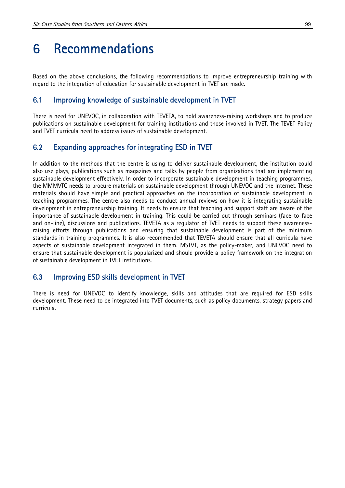## 6 Recommendations

Based on the above conclusions, the following recommendations to improve entrepreneurship training with regard to the integration of education for sustainable development in TVET are made.

### 6.1 Improving knowledge of sustainable development in TVET

There is need for UNEVOC, in collaboration with TEVETA, to hold awareness-raising workshops and to produce publications on sustainable development for training institutions and those involved in TVET. The TEVET Policy and TVET curricula need to address issues of sustainable development.

### 6.2 Expanding approaches for integrating ESD in TVET

In addition to the methods that the centre is using to deliver sustainable development, the institution could also use plays, publications such as magazines and talks by people from organizations that are implementing sustainable development effectively. In order to incorporate sustainable development in teaching programmes, the MMMVTC needs to procure materials on sustainable development through UNEVOC and the Internet. These materials should have simple and practical approaches on the incorporation of sustainable development in teaching programmes. The centre also needs to conduct annual reviews on how it is integrating sustainable development in entrepreneurship training. It needs to ensure that teaching and support staff are aware of the importance of sustainable development in training. This could be carried out through seminars (face-to-face and on-line), discussions and publications. TEVETA as a regulator of TVET needs to support these awarenessraising efforts through publications and ensuring that sustainable development is part of the minimum standards in training programmes. It is also recommended that TEVETA should ensure that all curricula have aspects of sustainable development integrated in them. MSTVT, as the policy-maker, and UNEVOC need to ensure that sustainable development is popularized and should provide a policy framework on the integration of sustainable development in TVET institutions.

### 6.3 Improving ESD skills development in TVET

There is need for UNEVOC to identify knowledge, skills and attitudes that are required for ESD skills development. These need to be integrated into TVET documents, such as policy documents, strategy papers and curricula.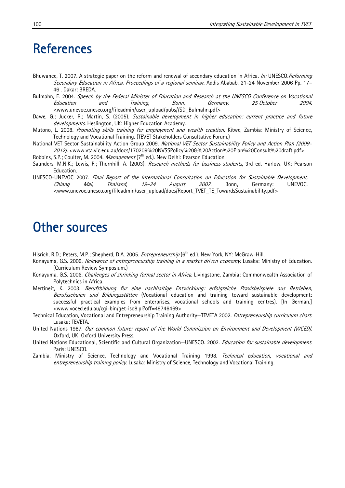- Bhuwanee, T. 2007. A strategic paper on the reform and renewal of secondary education in Africa. In: UNESCO.Reforming Secondary Education in Africa. Proceedings of a regional seminar. Addis Ababab, 21-24 November 2006 Pp. 17– 46 . Dakar: BREDA.
- Bulmahn, E. 2004. Speech by the Federal Minister of Education and Research at the UNESCO Conference on Vocational Education and Training, Bonn, Germany, 25 October 2004. <www.unevoc.unesco.org/fileadmin/user\_upload/pubs//SD\_Bulmahn.pdf>
- Dawe, G.; Jucker, R.; Martin, S. (2005). Sustainable development in higher education: current practice and future developments. Heslington, UK: Higher Education Academy.
- Mutono, L. 2008. Promoting skills training for employment and wealth creation. Kitwe, Zambia: Ministry of Science, Technology and Vocational Training. (TEVET Stakeholders Consultative Forum.)
- National VET Sector Sustainability Action Group 2009. National VET Sector Sustainability Policy and Action Plan (2009-2012). <www.vta.vic.edu.au/docs/170209%20NVSSPolicy%20&%20Action%20Plan%20Consult%20draft.pdf>
- Robbins, S.P.; Coulter, M. 2004. Management (7<sup>th</sup> ed.). New Delhi: Pearson Education.
- Saunders, M.N.K.; Lewis, P.; Thornhill, A. (2003). Research methods for business students, 3rd ed. Harlow, UK: Pearson Education.
- UNESCO-UNEVOC 2007. Final Report of the International Consultation on Education for Sustainable Development, Chiang Mai, Thailand, 19–24 August 2007. Bonn, Germany: UNEVOC. <www.unevoc.unesco.org/fileadmin/user\_upload/docs/Report\_TVET\_TE\_TowardsSustainability.pdf>

## Other sources

Hisrich, R.D.; Peters, M.P.; Shepherd, D.A. 2005. *Entrepreneurship* (6<sup>th</sup> ed.). New York, NY: McGraw-Hill.

- Konayuma, G.S. 2009. Relevance of entrepreneurship training in a market driven economy. Lusaka: Ministry of Education. (Curriculum Review Symposium.)
- Konayuma, G.S. 2006. *Challenges of shrinking formal sector in Africa.* Livingstone, Zambia: Commonwealth Association of Polytechnics in Africa.
- Mertineit, K. 2003. Berufsbildung fur eine nachhaltige Entwicklung: erfolgreiche Praxisbeispiele aus Betrieben, Berufsschulen und Bildungsstätten (Vocational education and training toward sustainable development: successful practical examples from enterprises, vocational schools and training centres). [In German.] <www.voced.edu.au/cgi-bin/get-iso8.pl?off=49746469>
- Technical Education, Vocational and Entrepreneurship Training Authority—TEVETA 2002. *Entrepreneurship curriculum chart.* Lusaka: TEVETA.
- United Nations 1987. Our common future: report of the World Commission on Environment and Development (WCED). Oxford, UK: Oxford University Press.
- United Nations Educational, Scientific and Cultural Organization–UNESCO. 2002. *Education for sustainable development*. Paris: UNESCO.
- Zambia. Ministry of Science, Technology and Vocational Training 1998. Technical education, vocational and entrepreneurship training policy. Lusaka: Ministry of Science, Technology and Vocational Training.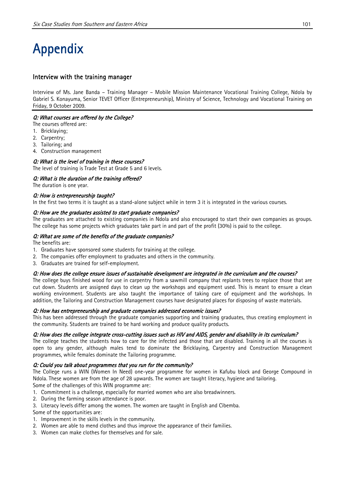# Appendix

#### Interview with the training manager

Interview of Ms. Jane Banda – Training Manager – Mobile Mission Maintenance Vocational Training College, Ndola by Gabriel S. Konayuma, Senior TEVET Officer (Entrepreneurship), Ministry of Science, Technology and Vocational Training on Friday, 9 October 2009.

#### Q: What courses are offered by the College?

The courses offered are:

- 1. Bricklaying;
- 2. Carpentry;
- 3. Tailoring; and
- 4. Construction management

#### Q: What is the level of training in these courses?

The level of training is Trade Test at Grade 5 and 6 levels.

#### Q: What is the duration of the training offered?

The duration is one year.

#### Q: How is entrepreneurship taught?

In the first two terms it is taught as a stand-alone subject while in term 3 it is integrated in the various courses.

#### Q: How are the graduates assisted to start graduate companies?

The graduates are attached to existing companies in Ndola and also encouraged to start their own companies as groups. The college has some projects which graduates take part in and part of the profit (30%) is paid to the college.

#### Q: What are some of the benefits of the graduate companies?

The benefits are:

- 1. Graduates have sponsored some students for training at the college.
- 2. The companies offer employment to graduates and others in the community.
- 3. Graduates are trained for self-employment.

#### Q: How does the college ensure issues of sustainable development are integrated in the curriculum and the courses?

The college buys finished wood for use in carpentry from a sawmill company that replants trees to replace those that are cut down. Students are assigned days to clean up the workshops and equipment used. This is meant to ensure a clean working environment. Students are also taught the importance of taking care of equipment and the workshops. In addition, the Tailoring and Construction Management courses have designated places for disposing of waste materials.

#### Q: How has entrepreneurship and graduate companies addressed economic issues?

This has been addressed through the graduate companies supporting and training graduates, thus creating employment in the community. Students are trained to be hard working and produce quality products.

#### Q: How does the college integrate cross-cutting issues such as HIV and AIDS, gender and disability in its curriculum?

The college teaches the students how to care for the infected and those that are disabled. Training in all the courses is open to any gender, although males tend to dominate the Bricklaying, Carpentry and Construction Management programmes, while females dominate the Tailoring programme.

#### Q: Could you talk about programmes that you run for the community?

The College runs a WIN (Women In Need) one-year programme for women in Kafubu block and George Compound in Ndola. These women are from the age of 28 upwards. The women are taught literacy, hygiene and tailoring. Some of the challenges of this WIN programme are:

- 1. Commitment is a challenge, especially for married women who are also breadwinners.
- 2. During the farming season attendance is poor.
- 3. Literacy levels differ among the women. The women are taught in English and Cibemba.

Some of the opportunities are:

- 1. Improvement in the skills levels in the community.
- 2. Women are able to mend clothes and thus improve the appearance of their families.
- 3. Women can make clothes for themselves and for sale.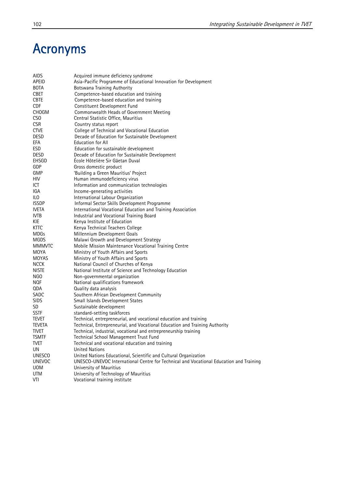## Acronyms

| AIDS            | Acquired immune deficiency syndrome                                                    |
|-----------------|----------------------------------------------------------------------------------------|
| APEID           | Asia-Pacific Programme of Educational Innovation for Development                       |
| <b>BOTA</b>     | <b>Botswana Training Authority</b>                                                     |
| <b>CBET</b>     | Competence-based education and training                                                |
|                 |                                                                                        |
| <b>CBTE</b>     | Competence-based education and training                                                |
| <b>CDF</b>      | Constituent Development Fund                                                           |
| <b>CHOGM</b>    | Commonwealth Heads of Government Meeting                                               |
| CS <sub>0</sub> | Central Statistic Office, Mauritius                                                    |
| <b>CSR</b>      | Country status report                                                                  |
| <b>CTVE</b>     | College of Technical and Vocational Education                                          |
| <b>DESD</b>     | Decade of Education for Sustainable Development                                        |
|                 | <b>Education for All</b>                                                               |
| EFA             |                                                                                        |
| <b>ESD</b>      | Education for sustainable development                                                  |
| <b>DESD</b>     | Decade of Education for Sustainable Development                                        |
| EHSGD           | Ecole Hôtelière Sir Gäetan Duval                                                       |
| GDP             | Gross domestic product                                                                 |
| GMP             | 'Building a Green Mauritius' Project                                                   |
| HIV.            | Human immunodeficiency virus                                                           |
| ICT             | Information and communication technologies                                             |
|                 |                                                                                        |
| IGA             | Income-generating activities                                                           |
| ILO             | International Labour Organization                                                      |
| <b>ISSDP</b>    | Informal Sector Skills Development Programme                                           |
| <b>IVETA</b>    | International Vocational Education and Training Association                            |
| IVTB            | Industrial and Vocational Training Board                                               |
| KIE             | Kenya Institute of Education                                                           |
| KTTC            | Kenya Technical Teachers College                                                       |
| <b>MDGs</b>     | Millennium Development Goals                                                           |
| MGDS            | Malawi Growth and Development Strategy                                                 |
|                 |                                                                                        |
| <b>MMMVTC</b>   | Mobile Mission Maintenance Vocational Training Centre                                  |
| MOYA            | Ministry of Youth Affairs and Sports                                                   |
| <b>MOYAS</b>    | Ministry of Youth Affairs and Sports                                                   |
| <b>NCCK</b>     | National Council of Churches of Kenya                                                  |
| <b>NISTE</b>    | National Institute of Science and Technology Education                                 |
| NGO             | Non-governmental organization                                                          |
| <b>NQF</b>      | National qualifications framework                                                      |
| QDA             | Quality data analysis                                                                  |
| SADC            | Southern African Development Community                                                 |
| <b>SIDS</b>     | Small Islands Development States                                                       |
|                 |                                                                                        |
| SD.             | Sustainable development                                                                |
| <b>SSTF</b>     | standard-setting taskforces                                                            |
| Tevet           | Technical, entrepreneurial, and vocational education and training                      |
| teveta          | Technical, Entrepreneurial, and Vocational Education and Training Authority            |
| <b>TIVET</b>    | Technical, industrial, vocational and entrepreneurship training                        |
| <b>TSMTF</b>    | Technical School Management Trust Fund                                                 |
| <b>TVET</b>     | Technical and vocational education and training                                        |
| UN              | <b>United Nations</b>                                                                  |
| <b>UNESCO</b>   | United Nations Educational, Scientific and Cultural Organization                       |
|                 |                                                                                        |
| <b>UNEVOC</b>   | UNESCO-UNEVOC International Centre for Technical and Vocational Education and Training |
| <b>UOM</b>      | University of Mauritius                                                                |
| UTM             | University of Technology of Mauritius                                                  |
| VTI             | Vocational training institute                                                          |
|                 |                                                                                        |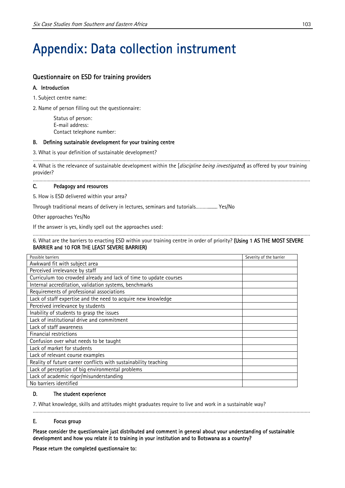# Appendix: Data collection instrument

#### Questionnaire on ESD for training providers

#### A. Introduction

1. Subject centre name:

2. Name of person filling out the questionnaire:

Status of person: E-mail address: Contact telephone number:

#### B. Defining sustainable development for your training centre

3. What is your definition of sustainable development?

…………………………………………………………………………………………………………………………………………………………………………………… 4. What is the relevance of sustainable development within the [discipline being investigated] as offered by your training provider?

……………………………………………………………………………………………………………………………………………………………………………………

#### C. Pedagogy and resources

5. How is ESD delivered within your area?

Through traditional means of delivery in lectures, seminars and tutorials………........ Yes/No

Other approaches Yes/No

If the answer is yes, kindly spell out the approaches used:

#### …………………………………………………………………………………………………………………………………………………………………………………… 6. What are the barriers to enacting ESD within your training centre in order of priority? (Using 1 AS THE MOST SEVERE BARRIER and 10 FOR THE LEAST SEVERE BARRIER)

| Possible barriers                                                 | Severity of the barrier |
|-------------------------------------------------------------------|-------------------------|
| Awkward fit with subject area                                     |                         |
| Perceived irrelevance by staff                                    |                         |
| Curriculum too crowded already and lack of time to update courses |                         |
| Internal accreditation, validation systems, benchmarks            |                         |
| Requirements of professional associations                         |                         |
| Lack of staff expertise and the need to acquire new knowledge     |                         |
| Perceived irrelevance by students                                 |                         |
| Inability of students to grasp the issues                         |                         |
| Lack of institutional drive and commitment                        |                         |
| Lack of staff awareness                                           |                         |
| Financial restrictions                                            |                         |
| Confusion over what needs to be taught                            |                         |
| Lack of market for students                                       |                         |
| Lack of relevant course examples                                  |                         |
| Reality of future career conflicts with sustainability teaching   |                         |
| Lack of perception of big environmental problems                  |                         |
| Lack of academic rigor/misunderstanding                           |                         |
| No barriers identified                                            |                         |

#### D. The student experience

7. What knowledge, skills and attitudes might graduates require to live and work in a sustainable way?

#### E. Focus group

Please consider the questionnaire just distributed and comment in general about your understanding of sustainable development and how you relate it to training in your institution and to Botswana as a country?

……………………………………………………………………………………………………………………………………………………………………………………

Please return the completed questionnaire to: